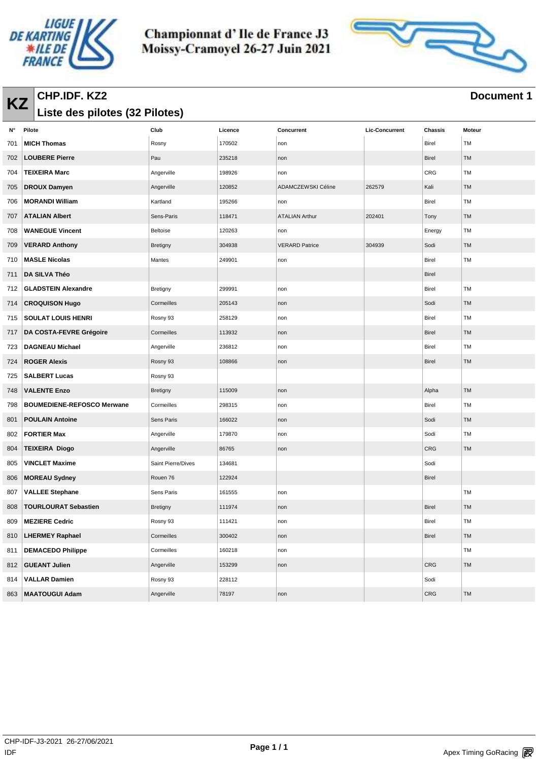



## **KZ CHP.IDF. KZ2 Document 1 Document 1 Document 1 Liste des pilotes (32 Pilotes)**

| N°  | Pilote                            | Club               | Licence | Concurrent            | <b>Lic-Concurrent</b> | Chassis    | Moteur    |
|-----|-----------------------------------|--------------------|---------|-----------------------|-----------------------|------------|-----------|
| 701 | <b>MICH Thomas</b>                | Rosny              | 170502  | non                   |                       | Birel      | <b>TM</b> |
| 702 | <b>LOUBERE Pierre</b>             | Pau                | 235218  | non                   |                       | Birel      | <b>TM</b> |
| 704 | <b>TEIXEIRA Marc</b>              | Angerville         | 198926  | non                   |                       | CRG        | TM        |
| 705 | <b>DROUX Damyen</b>               | Angerville         | 120852  | ADAMCZEWSKI Céline    | 262579                | Kali       | <b>TM</b> |
| 706 | <b>MORANDI William</b>            | Kartland           | 195266  | non                   |                       | Birel      | TM        |
| 707 | <b>ATALIAN Albert</b>             | Sens-Paris         | 118471  | <b>ATALIAN Arthur</b> | 202401                | Tony       | TM        |
| 708 | <b>WANEGUE Vincent</b>            | <b>Beltoise</b>    | 120263  | non                   |                       | Energy     | TM        |
| 709 | <b>VERARD Anthony</b>             | <b>Bretigny</b>    | 304938  | <b>VERARD Patrice</b> | 304939                | Sodi       | TM        |
| 710 | <b>MASLE Nicolas</b>              | Mantes             | 249901  | non                   |                       | Birel      | TM        |
| 711 | DA SILVA Théo                     |                    |         |                       |                       | Birel      |           |
| 712 | <b>GLADSTEIN Alexandre</b>        | Bretigny           | 299991  | non                   |                       | Birel      | TM        |
| 714 | <b>CROQUISON Hugo</b>             | Cormeilles         | 205143  | non                   |                       | Sodi       | <b>TM</b> |
| 715 | <b>SOULAT LOUIS HENRI</b>         | Rosny 93           | 258129  | non                   |                       | Birel      | TM        |
| 717 | DA COSTA-FEVRE Grégoire           | Cormeilles         | 113932  | non                   |                       | Birel      | TM        |
| 723 | <b>DAGNEAU Michael</b>            | Angerville         | 236812  | non                   |                       | Birel      | TM        |
| 724 | <b>ROGER Alexis</b>               | Rosny 93           | 108866  | non                   |                       | Birel      | TM        |
| 725 | <b>SALBERT Lucas</b>              | Rosny 93           |         |                       |                       |            |           |
| 748 | <b>VALENTE Enzo</b>               | <b>Bretigny</b>    | 115009  | non                   |                       | Alpha      | <b>TM</b> |
| 798 | <b>BOUMEDIENE-REFOSCO Merwane</b> | Cormeilles         | 298315  | non                   |                       | Birel      | TM        |
| 801 | <b>POULAIN Antoine</b>            | Sens Paris         | 166022  | non                   |                       | Sodi       | <b>TM</b> |
| 802 | <b>FORTIER Max</b>                | Angerville         | 179870  | non                   |                       | Sodi       | TM        |
| 804 | <b>TEIXEIRA Diogo</b>             | Angerville         | 86765   | non                   |                       | <b>CRG</b> | TM        |
| 805 | <b>VINCLET Maxime</b>             | Saint Pierre/Dives | 134681  |                       |                       | Sodi       |           |
| 806 | <b>MOREAU Sydney</b>              | Rouen 76           | 122924  |                       |                       | Birel      |           |
| 807 | <b>VALLEE Stephane</b>            | Sens Paris         | 161555  | non                   |                       |            | TM        |
| 808 | <b>TOURLOURAT Sebastien</b>       | Bretigny           | 111974  | non                   |                       | Birel      | TM        |
| 809 | <b>MEZIERE Cedric</b>             | Rosny 93           | 111421  | non                   |                       | Birel      | TM        |
| 810 | <b>LHERMEY Raphael</b>            | Cormeilles         | 300402  | non                   |                       | Birel      | TM        |
| 811 | <b>DEMACEDO Philippe</b>          | Cormeilles         | 160218  | non                   |                       |            | TM        |
| 812 | <b>GUEANT Julien</b>              | Angerville         | 153299  | non                   |                       | CRG        | TM        |
| 814 | <b>VALLAR Damien</b>              | Rosny 93           | 228112  |                       |                       | Sodi       |           |
| 863 | <b>MAATOUGUI Adam</b>             | Angerville         | 78197   | non                   |                       | CRG        | TM        |
|     |                                   |                    |         |                       |                       |            |           |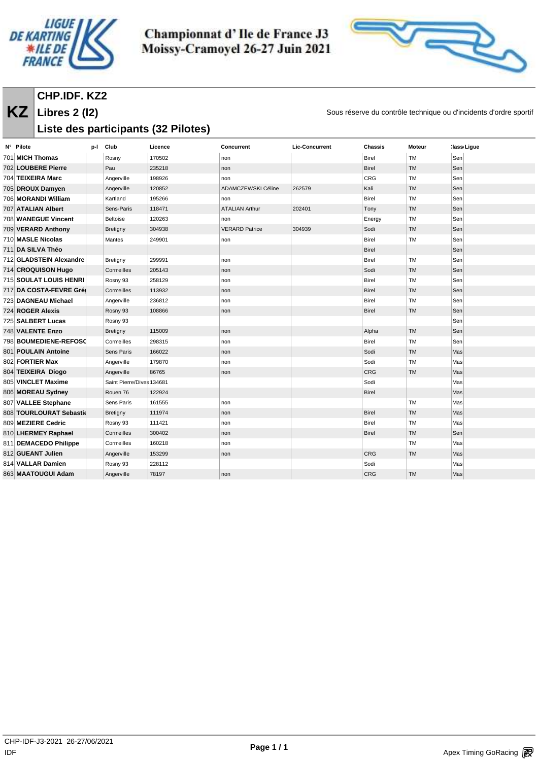



#### **KZ** Libres 2 (12) Sous réserve du contrôle technique ou d'incidents d'ordre sportif **CHP.IDF. KZ2 Libres 2 (l2)**

# **Liste des participants (32 Pilotes)**

| N° Pilote                     | p-l | Club                      | Licence | Concurrent            | <b>Lic-Concurrent</b> | Chassis      | <b>Moteur</b> | :lass Ligue |
|-------------------------------|-----|---------------------------|---------|-----------------------|-----------------------|--------------|---------------|-------------|
| 701 MICH Thomas               |     | Rosny                     | 170502  | non                   |                       | <b>Birel</b> | <b>TM</b>     | Sen         |
| 702 LOUBERE Pierre            |     | Pau                       | 235218  | non                   |                       | <b>Birel</b> | <b>TM</b>     | Sen         |
| 704 TEIXEIRA Marc             |     | Angerville                | 198926  | non                   |                       | CRG          | TM            | Sen         |
| 705 DROUX Damyen              |     | Angerville                | 120852  | ADAMCZEWSKI Céline    | 262579                | Kali         | TM            | Sen         |
| 706 MORANDI William           |     | Kartland                  | 195266  | non                   |                       | Birel        | TM            | Sen         |
| <b>707 ATALIAN Albert</b>     |     | Sens-Paris                | 118471  | <b>ATALIAN Arthur</b> | 202401                | Tony         | TM            | Sen         |
| 708 WANEGUE Vincent           |     | Beltoise                  | 120263  | non                   |                       | Energy       | TM            | Sen         |
| 709 VERARD Anthony            |     | Bretigny                  | 304938  | <b>VERARD Patrice</b> | 304939                | Sodi         | TM            | Sen         |
| 710 MASLE Nicolas             |     | Mantes                    | 249901  | non                   |                       | <b>Birel</b> | TM            | Sen         |
| 711 DA SILVA Théo             |     |                           |         |                       |                       | <b>Birel</b> |               | Sen         |
| 712 GLADSTEIN Alexandre       |     | Bretigny                  | 299991  | non                   |                       | Birel        | TM            | Sen         |
| 714 CROQUISON Hugo            |     | Cormeilles                | 205143  | non                   |                       | Sodi         | TM            | Sen         |
| <b>715 SOULAT LOUIS HENRI</b> |     | Rosny 93                  | 258129  | non                   |                       | <b>Birel</b> | <b>TM</b>     | Sen         |
| 717 DA COSTA-FEVRE Grée       |     | Cormeilles                | 113932  | non                   |                       | <b>Birel</b> | TM            | Sen         |
| 723 DAGNEAU Michael           |     | Angerville                | 236812  | non                   |                       | <b>Birel</b> | <b>TM</b>     | Sen         |
| 724 ROGER Alexis              |     | Rosny 93                  | 108866  | non                   |                       | <b>Birel</b> | TM            | Sen         |
| 725 SALBERT Lucas             |     | Rosny 93                  |         |                       |                       |              |               | Sen         |
| 748 VALENTE Enzo              |     | Bretigny                  | 115009  | non                   |                       | Alpha        | <b>TM</b>     | Sen         |
| 798 BOUMEDIENE-REFOSC         |     | Cormeilles                | 298315  | non                   |                       | Birel        | <b>TM</b>     | Sen         |
| 801 POULAIN Antoine           |     | Sens Paris                | 166022  | non                   |                       | Sodi         | TM            | Mas         |
| 802 FORTIER Max               |     | Angerville                | 179870  | non                   |                       | Sodi         | TM            | Mas         |
| 804 TEIXEIRA Diogo            |     | Angerville                | 86765   | non                   |                       | <b>CRG</b>   | TM            | Mas         |
| 805 VINCLET Maxime            |     | Saint Pierre/Dives 134681 |         |                       |                       | Sodi         |               | Mas         |
| 806 MOREAU Sydney             |     | Rouen 76                  | 122924  |                       |                       | <b>Birel</b> |               | Mas         |
| 807 VALLEE Stephane           |     | Sens Paris                | 161555  | non                   |                       |              | TM            | Mas         |
| 808 TOURLOURAT Sebastic       |     | Bretigny                  | 111974  | non                   |                       | <b>Birel</b> | <b>TM</b>     | Mas         |
| 809 MEZIERE Cedric            |     | Rosny 93                  | 111421  | non                   |                       | <b>Birel</b> | TM            | Mas         |
| 810 LHERMEY Raphael           |     | Cormeilles                | 300402  | non                   |                       | <b>Birel</b> | TM            | Sen         |
| 811 DEMACEDO Philippe         |     | Cormeilles                | 160218  | non                   |                       |              | TM            | Mas         |
| 812 GUEANT Julien             |     | Angerville                | 153299  | non                   |                       | CRG          | TM            | Mas         |
| 814 VALLAR Damien             |     | Rosny 93                  | 228112  |                       |                       | Sodi         |               | Mas         |
| 863 MAATOUGUI Adam            |     | Angerville                | 78197   | non                   |                       | CRG          | TM            | Mas         |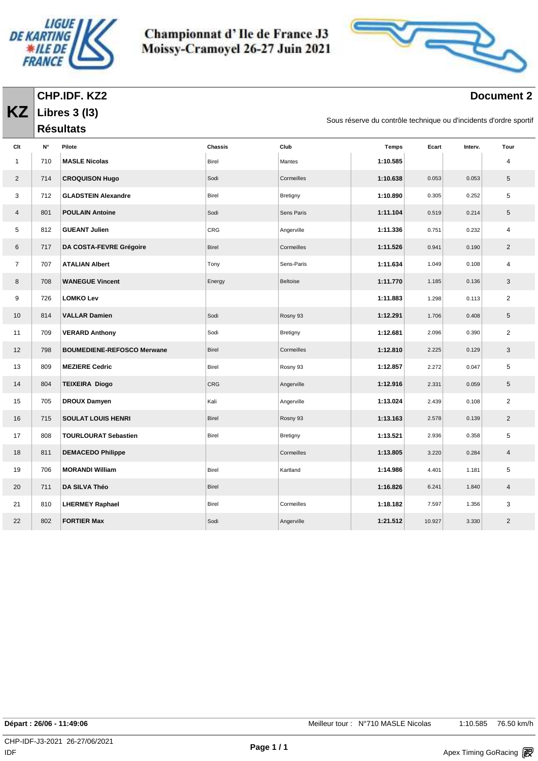| LIGUE I                        |  |
|--------------------------------|--|
| <i><b>DE KARTING</b></i>       |  |
| <b>ILE DE</b><br><b>FRANCE</b> |  |
|                                |  |



### **Document 2**

**KZ CHP.IDF. KZ2 Libres 3 (l3)**

**Résultats** 

Sous réserve du contrôle technique ou d'incidents d'ordre sportif

| Clt            | N°  | Pilote                            | <b>Chassis</b> | Club       | <b>Temps</b> | Ecart  | Interv. | Tour           |
|----------------|-----|-----------------------------------|----------------|------------|--------------|--------|---------|----------------|
| $\mathbf{1}$   | 710 | <b>MASLE Nicolas</b>              | Birel          | Mantes     | 1:10.585     |        |         | 4              |
| 2              | 714 | <b>CROQUISON Hugo</b>             | Sodi           | Cormeilles | 1:10.638     | 0.053  | 0.053   | 5              |
| 3              | 712 | <b>GLADSTEIN Alexandre</b>        | Birel          | Bretigny   | 1:10.890     | 0.305  | 0.252   | 5              |
| $\overline{4}$ | 801 | <b>POULAIN Antoine</b>            | Sodi           | Sens Paris | 1:11.104     | 0.519  | 0.214   | 5              |
| 5              | 812 | <b>GUEANT Julien</b>              | <b>CRG</b>     | Angerville | 1:11.336     | 0.751  | 0.232   | 4              |
| 6              | 717 | DA COSTA-FEVRE Grégoire           | Birel          | Cormeilles | 1:11.526     | 0.941  | 0.190   | $\overline{2}$ |
| $\overline{7}$ | 707 | <b>ATALIAN Albert</b>             | Tony           | Sens-Paris | 1:11.634     | 1.049  | 0.108   | 4              |
| 8              | 708 | <b>WANEGUE Vincent</b>            | Energy         | Beltoise   | 1:11.770     | 1.185  | 0.136   | 3              |
| 9              | 726 | <b>LOMKO Lev</b>                  |                |            | 1:11.883     | 1.298  | 0.113   | $\overline{2}$ |
| 10             | 814 | <b>VALLAR Damien</b>              | Sodi           | Rosny 93   | 1:12.291     | 1.706  | 0.408   | 5              |
| 11             | 709 | <b>VERARD Anthony</b>             | Sodi           | Bretigny   | 1:12.681     | 2.096  | 0.390   | $\overline{2}$ |
| 12             | 798 | <b>BOUMEDIENE-REFOSCO Merwane</b> | Birel          | Cormeilles | 1:12.810     | 2.225  | 0.129   | 3              |
| 13             | 809 | <b>MEZIERE Cedric</b>             | Birel          | Rosny 93   | 1:12.857     | 2.272  | 0.047   | 5              |
| 14             | 804 | <b>TEIXEIRA Diogo</b>             | <b>CRG</b>     | Angerville | 1:12.916     | 2.331  | 0.059   | 5              |
| 15             | 705 | <b>DROUX Damyen</b>               | Kali           | Angerville | 1:13.024     | 2.439  | 0.108   | $\overline{2}$ |
| 16             | 715 | <b>SOULAT LOUIS HENRI</b>         | Birel          | Rosny 93   | 1:13.163     | 2.578  | 0.139   | $\overline{2}$ |
| 17             | 808 | <b>TOURLOURAT Sebastien</b>       | Birel          | Bretigny   | 1:13.521     | 2.936  | 0.358   | 5              |
| 18             | 811 | <b>DEMACEDO Philippe</b>          |                | Cormeilles | 1:13.805     | 3.220  | 0.284   | $\overline{4}$ |
| 19             | 706 | <b>MORANDI William</b>            | Birel          | Kartland   | 1:14.986     | 4.401  | 1.181   | 5              |
| 20             | 711 | DA SILVA Théo                     | Birel          |            | 1:16.826     | 6.241  | 1.840   | $\overline{4}$ |
| 21             | 810 | <b>LHERMEY Raphael</b>            | Birel          | Cormeilles | 1:18.182     | 7.597  | 1.356   | 3              |
| 22             | 802 | <b>FORTIER Max</b>                | Sodi           | Angerville | 1:21.512     | 10.927 | 3.330   | $\overline{2}$ |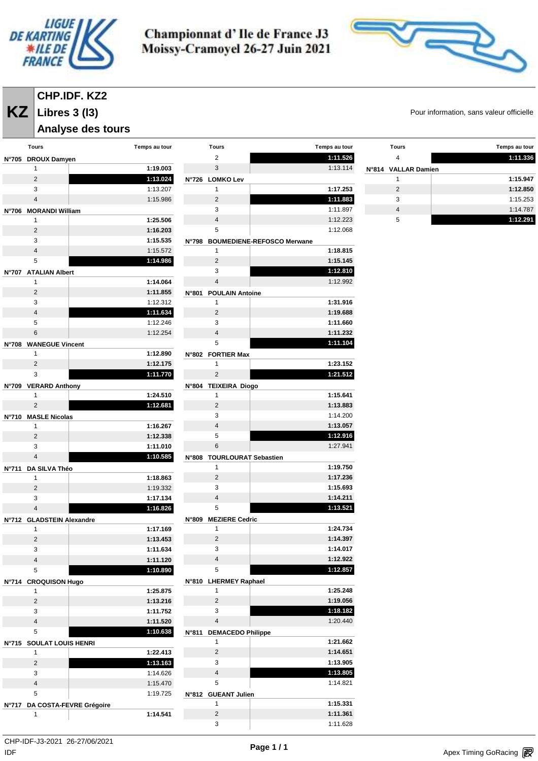



# **CHP.IDF. KZ2**

#### **Libres 3 (l3)**

### **Analyse des tours**

| Tours                         | Temps au tour |       | Tours                      | Temps au tour                    |      |
|-------------------------------|---------------|-------|----------------------------|----------------------------------|------|
| N°705 DROUX Damyen            |               |       | 2                          | 1:11.526                         |      |
| 1                             | 1:19.003      |       | 3                          | 1:13.114                         | N°81 |
| $\overline{2}$                | 1:13.024      |       | N°726 LOMKO Lev            |                                  |      |
| 3                             | 1:13.207      |       | 1                          | 1:17.253                         |      |
| $\overline{4}$                | 1:15.986      |       | $\overline{2}$             | 1:11.883                         |      |
| N°706 MORANDI William         |               |       | 3                          | 1:11.897                         |      |
| 1                             | 1:25.506      |       | $\overline{4}$             | 1:12.223                         |      |
| 2                             | 1:16.203      |       | 5                          | 1:12.068                         |      |
| 3                             | 1:15.535      |       |                            | N°798 BOUMEDIENE-REFOSCO Merwane |      |
| $\overline{4}$                | 1:15.572      |       | 1                          | 1:18.815                         |      |
| 5                             | 1:14.986      |       | $\overline{2}$             | 1:15.145                         |      |
| N°707 ATALIAN Albert          |               |       | 3                          | 1:12.810                         |      |
| 1                             | 1:14.064      |       | $\overline{4}$             | 1:12.992                         |      |
| 2                             | 1:11.855      |       | N°801 POULAIN Antoine      |                                  |      |
| 3                             | 1:12.312      |       | $\mathbf{1}$               | 1:31.916                         |      |
| $\overline{4}$                | 1:11.634      |       | $\overline{2}$             | 1:19.688                         |      |
| 5                             | 1:12.246      |       | 3                          | 1:11.660                         |      |
| 6                             | 1:12.254      |       | $\overline{4}$             | 1:11.232                         |      |
| N°708 WANEGUE Vincent         |               |       | 5                          | 1:11.104                         |      |
| 1                             | 1:12.890      |       | N°802 FORTIER Max          |                                  |      |
| $\overline{2}$                | 1:12.175      |       | 1                          | 1:23.152                         |      |
| 3                             | 1:11.770      |       | $\overline{2}$             | 1:21.512                         |      |
| N°709 VERARD Anthony          |               |       | N°804 TEIXEIRA Diogo       |                                  |      |
| 1                             | 1:24.510      |       | 1                          | 1:15.641                         |      |
| $\overline{2}$                | 1:12.681      |       | $\overline{2}$             | 1:13.883                         |      |
| N°710 MASLE Nicolas           |               |       | 3                          | 1:14.200                         |      |
| 1                             | 1:16.267      |       | $\overline{4}$             | 1:13.057                         |      |
| $\overline{2}$                | 1:12.338      |       | 5                          | 1:12.916                         |      |
| 3                             | 1:11.010      |       | 6                          | 1:27.941                         |      |
| $\overline{4}$                | 1:10.585      |       | N°808 TOURLOURAT Sebastien |                                  |      |
| N°711 DA SILVA Théo           |               |       | 1                          | 1:19.750                         |      |
| 1                             | 1:18.863      |       | $\overline{2}$             | 1:17.236                         |      |
| $\overline{2}$                | 1:19.332      |       | 3                          | 1:15.693                         |      |
| 3                             | 1:17.134      |       | $\overline{4}$             | 1:14.211                         |      |
| $\overline{4}$                | 1:16.826      |       | 5                          | 1:13.521                         |      |
| N°712 GLADSTEIN Alexandre     |               | N°809 | <b>MEZIERE Cedric</b>      |                                  |      |
| 1                             | 1:17.169      |       | 1                          | 1:24.734                         |      |
| $\overline{2}$                | 1:13.453      |       | $\overline{2}$             | 1:14.397                         |      |
| 3                             | 1:11.634      |       | 3                          | 1:14.017                         |      |
| 4                             | 1:11.120      |       | 4                          | 1:12.922                         |      |
| 5                             | 1:10.890      |       | 5                          | 1:12.857                         |      |
| N°714 CROQUISON Hugo          |               |       | N°810 LHERMEY Raphael      |                                  |      |
| 1                             | 1:25.875      |       | 1                          | 1:25.248                         |      |
| $\overline{2}$                | 1:13.216      |       | $\overline{2}$             | 1:19.056                         |      |
| 3                             | 1:11.752      |       | 3                          | 1:18.182                         |      |
| $\overline{4}$                | 1:11.520      |       | $\overline{4}$             | 1:20.440                         |      |
| 5                             | 1:10.638      |       | N°811 DEMACEDO Philippe    |                                  |      |
| Nº715 SOULAT LOUIS HENRI      |               |       | 1                          | 1:21.662                         |      |
| 1                             | 1:22.413      |       | $\overline{c}$             | 1:14.651                         |      |
| $\overline{c}$                | 1:13.163      |       | 3                          | 1:13.905                         |      |
| 3                             | 1:14.626      |       | 4                          | 1:13.805                         |      |
| 4                             | 1:15.470      |       | 5                          | 1:14.821                         |      |
| 5                             | 1:19.725      |       | N°812 GUEANT Julien        |                                  |      |
| N°717 DA COSTA-FEVRE Grégoire |               |       | $\mathbf{1}$               | 1:15.331                         |      |
| 1                             | 1:14.541      |       | $\overline{2}$             | 1:11.361                         |      |
|                               |               |       | 3                          | 1:11.628                         |      |
|                               |               |       |                            |                                  |      |

**KZ** Libres 3 (13) **COVERGINE 2018 12 AU ARRES** Pour information, sans valeur officielle

| <b>Tours</b>        | Temps au tour |
|---------------------|---------------|
| 4                   | 1:11.336      |
| N°814 VALLAR Damien |               |
|                     | 1:15.947      |
| 2                   | 1:12.850      |
| 3                   | 1:15.253      |
|                     | 1:14.787      |
| 5                   | 1:12.291      |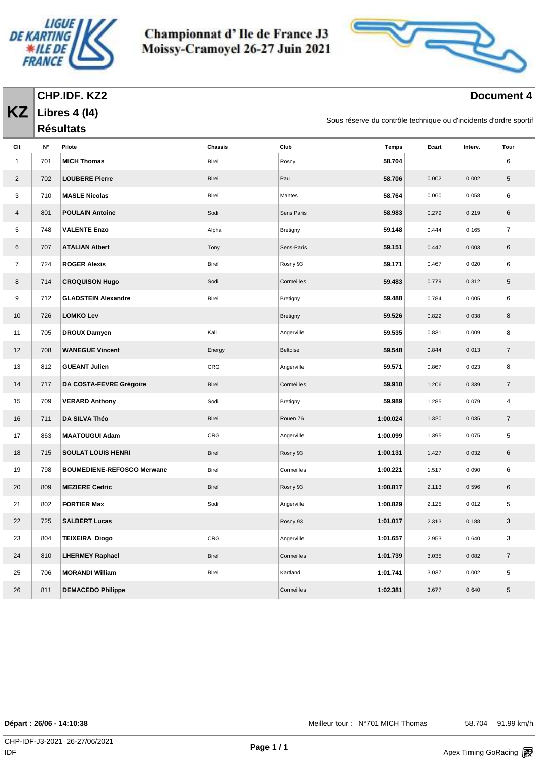

**Libres 4 (l4) Résultats** 

**KZ**

Championnat d'Ile de France J3 Moissy-Cramoyel 26-27 Juin 2021



#### **Document 4**

Sous réserve du contrôle technique ou d'incidents d'ordre sportif

| Clt            | N°  | Pilote                            | Chassis      | Club       | <b>Temps</b> | Ecart | Interv. | Tour             |
|----------------|-----|-----------------------------------|--------------|------------|--------------|-------|---------|------------------|
| $\mathbf{1}$   | 701 | <b>MICH Thomas</b>                | <b>Birel</b> | Rosny      | 58.704       |       |         | 6                |
| $\overline{2}$ | 702 | <b>LOUBERE Pierre</b>             | Birel        | Pau        | 58.706       | 0.002 | 0.002   | 5                |
| 3              | 710 | <b>MASLE Nicolas</b>              | Birel        | Mantes     | 58.764       | 0.060 | 0.058   | 6                |
| $\overline{4}$ | 801 | <b>POULAIN Antoine</b>            | Sodi         | Sens Paris | 58.983       | 0.279 | 0.219   | 6                |
| 5              | 748 | <b>VALENTE Enzo</b>               | Alpha        | Bretigny   | 59.148       | 0.444 | 0.165   | $\overline{7}$   |
| 6              | 707 | <b>ATALIAN Albert</b>             | Tony         | Sens-Paris | 59.151       | 0.447 | 0.003   | 6                |
| $\overline{7}$ | 724 | <b>ROGER Alexis</b>               | Birel        | Rosny 93   | 59.171       | 0.467 | 0.020   | 6                |
| 8              | 714 | <b>CROQUISON Hugo</b>             | Sodi         | Cormeilles | 59.483       | 0.779 | 0.312   | 5                |
| 9              | 712 | <b>GLADSTEIN Alexandre</b>        | Birel        | Bretigny   | 59.488       | 0.784 | 0.005   | 6                |
| 10             | 726 | <b>LOMKO Lev</b>                  |              | Bretigny   | 59.526       | 0.822 | 0.038   | 8                |
| 11             | 705 | <b>DROUX Damyen</b>               | Kali         | Angerville | 59.535       | 0.831 | 0.009   | 8                |
| 12             | 708 | <b>WANEGUE Vincent</b>            | Energy       | Beltoise   | 59.548       | 0.844 | 0.013   | $\overline{7}$   |
| 13             | 812 | <b>GUEANT Julien</b>              | CRG          | Angerville | 59.571       | 0.867 | 0.023   | 8                |
| 14             | 717 | DA COSTA-FEVRE Grégoire           | Birel        | Cormeilles | 59.910       | 1.206 | 0.339   | $\overline{7}$   |
| 15             | 709 | <b>VERARD Anthony</b>             | Sodi         | Bretigny   | 59.989       | 1.285 | 0.079   | 4                |
| 16             | 711 | DA SILVA Théo                     | Birel        | Rouen 76   | 1:00.024     | 1.320 | 0.035   | $\overline{7}$   |
| 17             | 863 | <b>MAATOUGUI Adam</b>             | CRG          | Angerville | 1:00.099     | 1.395 | 0.075   | 5                |
| 18             | 715 | <b>SOULAT LOUIS HENRI</b>         | Birel        | Rosny 93   | 1:00.131     | 1.427 | 0.032   | 6                |
| 19             | 798 | <b>BOUMEDIENE-REFOSCO Merwane</b> | Birel        | Cormeilles | 1:00.221     | 1.517 | 0.090   | 6                |
| 20             | 809 | <b>MEZIERE Cedric</b>             | Birel        | Rosny 93   | 1:00.817     | 2.113 | 0.596   | 6                |
| 21             | 802 | <b>FORTIER Max</b>                | Sodi         | Angerville | 1:00.829     | 2.125 | 0.012   | 5                |
| 22             | 725 | <b>SALBERT Lucas</b>              |              | Rosny 93   | 1:01.017     | 2.313 | 0.188   | 3                |
| 23             | 804 | <b>TEIXEIRA Diogo</b>             | CRG          | Angerville | 1:01.657     | 2.953 | 0.640   | 3                |
| 24             | 810 | <b>LHERMEY Raphael</b>            | <b>Birel</b> | Cormeilles | 1:01.739     | 3.035 | 0.082   | $\boldsymbol{7}$ |
| 25             | 706 | <b>MORANDI William</b>            | Birel        | Kartland   | 1:01.741     | 3.037 | 0.002   | 5                |
| 26             | 811 | <b>DEMACEDO Philippe</b>          |              | Cormeilles | 1:02.381     | 3.677 | 0.640   | 5                |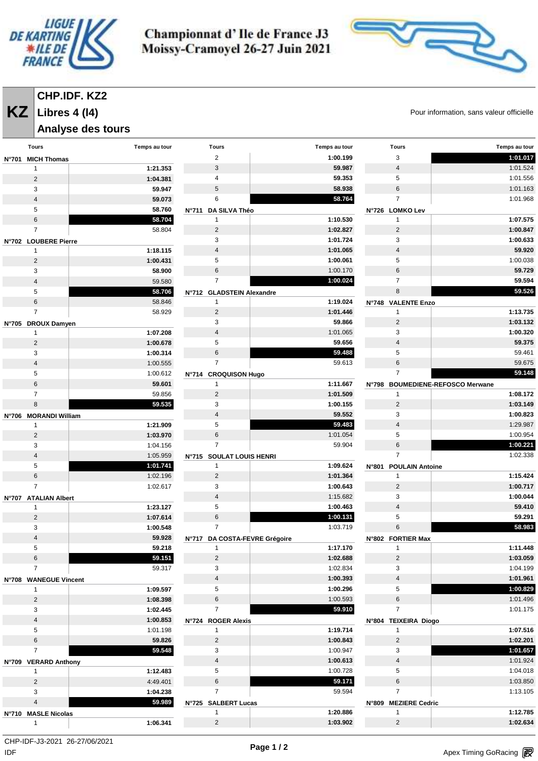

**Libres 4 (l4)**

Championnat d'Ile de France J3 Moissy-Cramoyel 26-27 Juin 2021



**KZ** Libres 4 (14) **COVERGINE 2018 12 AU ARTICIPE** Pour information, sans valeur officielle

| <b>Analyse des tours</b>    |               |                               |               |                       |                                   |
|-----------------------------|---------------|-------------------------------|---------------|-----------------------|-----------------------------------|
| <b>Tours</b>                | Temps au tour | <b>Tours</b>                  | Temps au tour | <b>Tours</b>          | Temps au tour                     |
| <b>MICH Thomas</b><br>N°701 |               | $\overline{2}$                | 1:00.199      | 3                     | 1:01.017                          |
| $\mathbf{1}$                | 1:21.353      | 3                             | 59.987        | $\overline{4}$        | 1:01.524                          |
| $\overline{c}$              | 1:04.381      | 4                             | 59.353        | 5                     | 1:01.556                          |
| 3                           | 59.947        | 5                             | 58.938        | $\,6\,$               | 1:01.163                          |
| $\overline{4}$              | 59.073        | 6                             | 58.764        | $\overline{7}$        | 1:01.968                          |
| 5                           | 58.760        | N°711 DA SILVA Théo           |               | N°726 LOMKO Lev       |                                   |
| 6                           | 58.704        | $\mathbf{1}$                  | 1:10.530      | $\mathbf{1}$          | 1:07.575                          |
| $\overline{7}$              | 58.804        | $\overline{2}$                | 1:02.827      | $\overline{2}$        | 1:00.847                          |
| N°702 LOUBERE Pierre        |               | 3                             | 1:01.724      | 3                     | 1:00.633                          |
| $\mathbf{1}$                | 1:18.115      | $\overline{4}$                | 1:01.065      | $\sqrt{4}$            | 59.920                            |
| $\sqrt{2}$                  | 1:00.431      | 5                             | 1:00.061      | 5                     | 1:00.038                          |
| 3                           | 58.900        | 6                             | 1:00.170      | $\,6\,$               | 59.729                            |
| $\overline{4}$              | 59.580        | $\overline{7}$                | 1:00.024      | $\overline{7}$        | 59.594                            |
| 5                           | 58.706        | N°712 GLADSTEIN Alexandre     |               | 8                     | 59.526                            |
| $\,6\,$                     | 58.846        | 1                             | 1:19.024      | N°748 VALENTE Enzo    |                                   |
| $\overline{7}$              | 58.929        | 2                             | 1:01.446      | 1                     | 1:13.735                          |
| N°705 DROUX Damyen          |               | 3                             | 59.866        | $\overline{2}$        | 1:03.132                          |
| $\mathbf 1$                 | 1:07.208      | $\overline{4}$                | 1:01.065      | 3                     | 1:00.320                          |
| $\sqrt{2}$                  | 1:00.678      | 5                             | 59.656        | $\overline{4}$        | 59.375                            |
| 3                           | 1:00.314      | 6                             | 59.488        | 5                     | 59.461                            |
| $\overline{4}$              | 1:00.555      | $\overline{7}$                | 59.613        | 6                     | 59.675                            |
| 5                           | 1:00.612      | N°714 CROQUISON Hugo          |               | $\overline{7}$        | 59.148                            |
| $\,6\,$                     | 59.601        | 1                             | 1:11.667      | N°798                 | <b>BOUMEDIENE-REFOSCO Merwane</b> |
| $\overline{7}$              | 59.856        | $\overline{2}$                | 1:01.509      | $\mathbf{1}$          | 1:08.172                          |
| 8                           | 59.535        | 3                             | 1:00.155      | $\overline{2}$        | 1:03.149                          |
| N°706 MORANDI William       |               | $\overline{4}$                | 59.552        | 3                     | 1:00.823                          |
| $\mathbf{1}$                | 1:21.909      | 5                             | 59.483        | $\sqrt{4}$            | 1:29.987                          |
| $\mathbf 2$                 | 1:03.970      | 6                             | 1:01.054      | 5                     | 1:00.954                          |
| 3                           | 1:04.156      | $\overline{7}$                | 59.904        | 6                     | 1:00.221                          |
| 4                           | 1:05.959      | N°715 SOULAT LOUIS HENRI      |               | $\overline{7}$        | 1:02.338                          |
| 5                           | 1:01.741      | 1                             | 1:09.624      | N°801 POULAIN Antoine |                                   |
| $\,6\,$                     | 1:02.196      | $\overline{2}$                | 1:01.364      | $\mathbf{1}$          | 1:15.424                          |
| $\overline{7}$              | 1:02.617      | 3                             | 1:00.643      | $\overline{2}$        | 1:00.717                          |
| N°707 ATALIAN Albert        |               | $\overline{4}$                | 1:15.682      | 3                     | 1:00.044                          |
| 1                           | 1:23.127      | 5                             | 1:00.463      | $\overline{4}$        | 59.410                            |
| $\sqrt{2}$                  | 1:07.614      | 6                             | 1:00.131      | 5                     | 59.291                            |
| 3                           | 1:00.548      | $\overline{7}$                | 1:03.719      | 6                     | 58.983                            |
| 4                           | 59.928        | N°717 DA COSTA-FEVRE Grégoire |               | N°802 FORTIER Max     |                                   |
| 5                           | 59.218        | 1                             | 1:17.170      | $\mathbf{1}$          | 1:11.448                          |
| 6                           | 59.151        | $\overline{2}$                | 1:02.688      | $\overline{2}$        | 1:03.059                          |
| $\overline{7}$              | 59.317        | 3                             | 1:02.834      | 3                     | 1:04.199                          |
| N°708 WANEGUE Vincent       |               | $\overline{4}$                | 1:00.393      | $\overline{4}$        | 1:01.961                          |
| $\mathbf{1}$                | 1:09.597      | 5                             | 1:00.296      | 5                     | 1:00.829                          |
| $\sqrt{2}$                  | 1:08.398      | 6                             | 1:00.593      | 6                     | 1:01.496                          |
| 3                           | 1:02.445      | $\overline{7}$                | 59.910        | $\overline{7}$        | 1:01.175                          |
| $\sqrt{4}$                  | 1:00.853      | N°724 ROGER Alexis            |               | N°804 TEIXEIRA Diogo  |                                   |
| 5                           | 1:01.198      | $\mathbf{1}$                  | 1:19.714      | $\mathbf{1}$          | 1:07.516                          |
| $\,6\,$                     | 59.826        | $\overline{2}$                | 1:00.843      | $\overline{2}$        | 1:02.201                          |
| $\overline{7}$              | 59.548        | 3                             | 1:00.947      | 3                     | 1:01.657                          |
| N°709 VERARD Anthony        |               | $\overline{4}$                | 1:00.613      | $\overline{4}$        | 1:01.924                          |
| $\mathbf{1}$                | 1:12.483      | 5                             | 1:00.728      | 5                     | 1:04.018                          |
| $\overline{2}$              | 4:49.401      | 6                             | 59.171        | $\,6$                 | 1:03.850                          |
| 3                           | 1:04.238      | $\overline{7}$                | 59.594        | $\overline{7}$        | 1:13.105                          |
| $\overline{4}$              | 59.989        | N°725 SALBERT Lucas           |               | N°809 MEZIERE Cedric  |                                   |
| N°710 MASLE Nicolas         |               | 1                             | 1:20.886      | $\mathbf{1}$          | 1:12.785                          |
| $\mathbf{1}$                | 1:06.341      | $\overline{2}$                | 1:03.902      | $\overline{2}$        | 1:02.634                          |

CHP-IDF-J3-2021 26-27/06/2021

 $\mathsf{IDF}$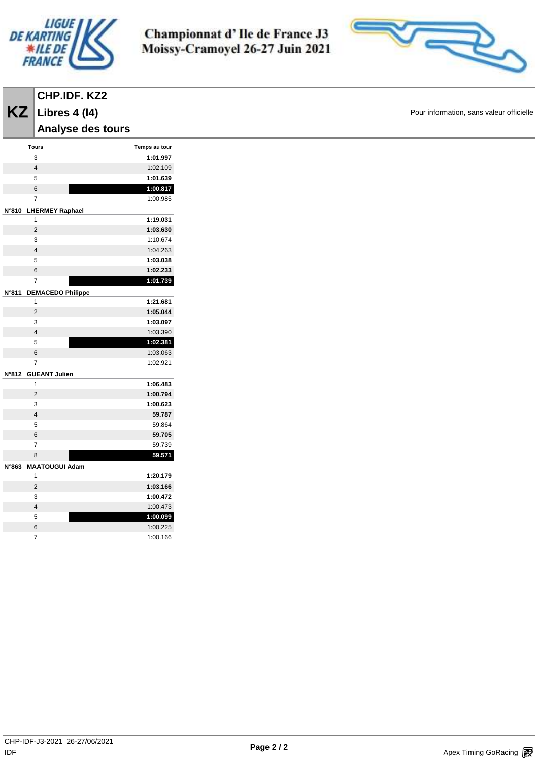

**Libres 4 (l4)**

Championnat d'Ile de France J3 Moissy-Cramoyel 26-27 Juin 2021



**KZ** Libres 4 (14) **COVID-19 COVID-20** Pour information, sans valeur officielle

|       |                          | Analyse des tours |               |
|-------|--------------------------|-------------------|---------------|
|       | <b>Tours</b>             |                   | Temps au tour |
|       | 3                        |                   | 1:01.997      |
|       | 4                        |                   | 1:02.109      |
|       | 5                        |                   | 1:01.639      |
|       | 6                        |                   | 1:00.817      |
|       | $\overline{7}$           |                   | 1:00.985      |
| N°810 | <b>LHERMEY Raphael</b>   |                   |               |
|       | 1                        |                   | 1:19.031      |
|       | $\overline{2}$           |                   | 1:03.630      |
|       | 3                        |                   | 1:10.674      |
|       | $\overline{\mathbf{4}}$  |                   | 1:04.263      |
|       | 5                        |                   | 1:03.038      |
|       | 6                        |                   | 1:02.233      |
|       | 7                        |                   | 1:01.739      |
| N°811 | <b>DEMACEDO Philippe</b> |                   |               |
|       | 1                        |                   | 1:21.681      |
|       | $\overline{2}$           |                   | 1:05.044      |
|       | 3                        |                   | 1:03.097      |
|       | 4                        |                   | 1:03.390      |
|       | 5                        |                   | 1:02.381      |
|       | 6                        |                   | 1:03.063      |
|       | $\overline{7}$           |                   | 1:02.921      |
| N°812 | <b>GUEANT Julien</b>     |                   |               |
|       | 1                        |                   | 1:06.483      |
|       | $\overline{2}$           |                   | 1:00.794      |
|       | 3                        |                   | 1:00.623      |
|       | $\overline{\mathbf{4}}$  |                   | 59.787        |
|       | 5                        |                   | 59.864        |
|       | 6                        |                   | 59.705        |
|       | 7                        |                   | 59.739        |
|       | 8                        |                   | 59.571        |
| N°863 | <b>MAATOUGUI Adam</b>    |                   |               |
|       | 1                        |                   | 1:20.179      |
|       | $\overline{2}$           |                   | 1:03.166      |
|       | 3                        |                   | 1:00.472      |
|       | 4                        |                   | 1:00.473      |
|       | 5                        |                   | 1:00.099      |
|       | 6                        |                   | 1:00.225      |
|       | 7                        |                   | 1:00.166      |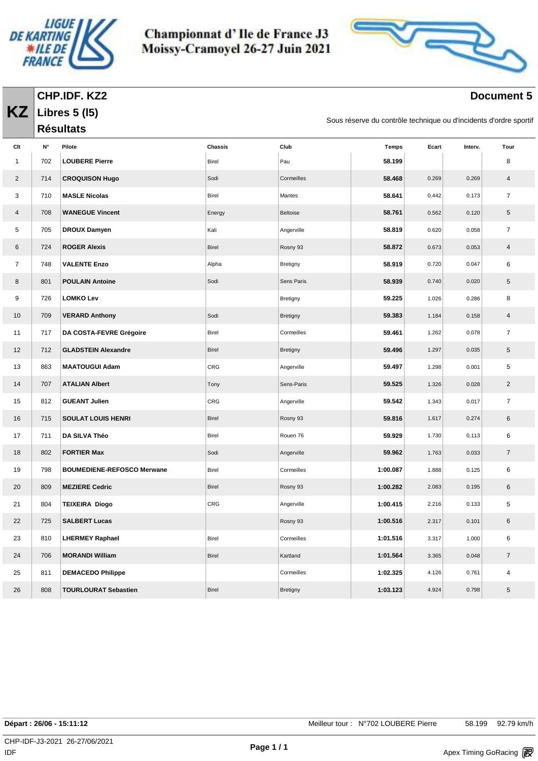

**Libres 5 (l5) Résultats** 

**KZ**

Championnat d'Ile de France J3 Moissy-Cramoyel 26-27 Juin 2021



### **Document 5**

Sous réserve du contrôle technique ou d'incidents d'ordre sportif

| Clt            | N°  | Pilote                            | Chassis      | Club            | <b>Temps</b> | Ecart | Interv. | Tour           |
|----------------|-----|-----------------------------------|--------------|-----------------|--------------|-------|---------|----------------|
| $\mathbf{1}$   | 702 | <b>LOUBERE Pierre</b>             | Birel        | Pau             | 58.199       |       |         | 8              |
| $\overline{2}$ | 714 | <b>CROQUISON Hugo</b>             | Sodi         | Cormeilles      | 58.468       | 0.269 | 0.269   | $\overline{4}$ |
| 3              | 710 | <b>MASLE Nicolas</b>              | Birel        | Mantes          | 58.641       | 0.442 | 0.173   | $\overline{7}$ |
| 4              | 708 | <b>WANEGUE Vincent</b>            | Energy       | Beltoise        | 58.761       | 0.562 | 0.120   | $\sqrt{5}$     |
| 5              | 705 | <b>DROUX Damyen</b>               | Kali         | Angerville      | 58.819       | 0.620 | 0.058   | $\overline{7}$ |
| 6              | 724 | <b>ROGER Alexis</b>               | <b>Birel</b> | Rosny 93        | 58.872       | 0.673 | 0.053   | $\overline{4}$ |
| $\overline{7}$ | 748 | <b>VALENTE Enzo</b>               | Alpha        | Bretigny        | 58.919       | 0.720 | 0.047   | 6              |
| 8              | 801 | <b>POULAIN Antoine</b>            | Sodi         | Sens Paris      | 58.939       | 0.740 | 0.020   | 5              |
| 9              | 726 | <b>LOMKO Lev</b>                  |              | Bretigny        | 59.225       | 1.026 | 0.286   | 8              |
| 10             | 709 | <b>VERARD Anthony</b>             | Sodi         | Bretigny        | 59.383       | 1.184 | 0.158   | 4              |
| 11             | 717 | DA COSTA-FEVRE Grégoire           | Birel        | Cormeilles      | 59.461       | 1.262 | 0.078   | $\overline{7}$ |
| 12             | 712 | <b>GLADSTEIN Alexandre</b>        | <b>Birel</b> | Bretigny        | 59.496       | 1.297 | 0.035   | 5              |
| 13             | 863 | <b>MAATOUGUI Adam</b>             | CRG          | Angerville      | 59.497       | 1.298 | 0.001   | 5              |
| 14             | 707 | <b>ATALIAN Albert</b>             | Tony         | Sens-Paris      | 59.525       | 1.326 | 0.028   | $\overline{2}$ |
| 15             | 812 | <b>GUEANT Julien</b>              | CRG          | Angerville      | 59.542       | 1.343 | 0.017   | $\overline{7}$ |
| 16             | 715 | <b>SOULAT LOUIS HENRI</b>         | <b>Birel</b> | Rosny 93        | 59.816       | 1.617 | 0.274   | 6              |
| 17             | 711 | DA SILVA Théo                     | Birel        | Rouen 76        | 59.929       | 1.730 | 0.113   | 6              |
| 18             | 802 | <b>FORTIER Max</b>                | Sodi         | Angerville      | 59.962       | 1.763 | 0.033   | $\overline{7}$ |
| 19             | 798 | <b>BOUMEDIENE-REFOSCO Merwane</b> | Birel        | Cormeilles      | 1:00.087     | 1.888 | 0.125   | 6              |
| 20             | 809 | <b>MEZIERE Cedric</b>             | <b>Birel</b> | Rosny 93        | 1:00.282     | 2.083 | 0.195   | 6              |
| 21             | 804 | <b>TEIXEIRA Diogo</b>             | CRG          | Angerville      | 1:00.415     | 2.216 | 0.133   | 5              |
| 22             | 725 | <b>SALBERT Lucas</b>              |              | Rosny 93        | 1:00.516     | 2.317 | 0.101   | 6              |
| 23             | 810 | <b>LHERMEY Raphael</b>            | Birel        | Cormeilles      | 1:01.516     | 3.317 | 1.000   | 6              |
| 24             | 706 | <b>MORANDI William</b>            | <b>Birel</b> | Kartland        | 1:01.564     | 3.365 | 0.048   | $\overline{7}$ |
| 25             | 811 | <b>DEMACEDO Philippe</b>          |              | Cormeilles      | 1:02.325     | 4.126 | 0.761   | 4              |
| 26             | 808 | <b>TOURLOURAT Sebastien</b>       | <b>Birel</b> | <b>Bretigny</b> | 1:03.123     | 4.924 | 0.798   | 5              |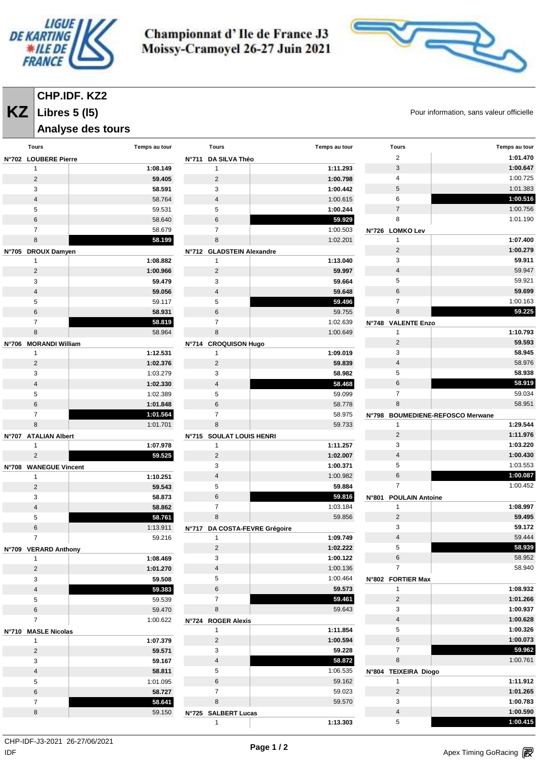



# **CHP.IDF. KZ2**

**Libres 5 (l5)**

# **Analyse des tours**

**KZ** Libres 5 (15) **COVERS** CHOICE POUR Information, sans valeur officielle

| <b>Tours</b>            | Temps au tour | <b>Tours</b>                  | Temps au tour | <b>Tours</b>                    | Temps au tour                     |
|-------------------------|---------------|-------------------------------|---------------|---------------------------------|-----------------------------------|
| N°702 LOUBERE Pierre    |               | N°711 DA SILVA Théo           |               | 2                               | 1:01.470                          |
| 1                       | 1:08.149      | 1                             | 1:11.293      | $\mathsf 3$                     | 1:00.647                          |
| $\overline{2}$          | 59.405        | $\overline{2}$                | 1:00.798      | 4                               | 1:00.725                          |
| 3                       | 58.591        | 3                             | 1:00.442      | $\,$ 5 $\,$                     | 1:01.383                          |
| 4                       | 58.764        | $\overline{4}$                | 1:00.615      | 6                               | 1:00.516                          |
| 5                       | 59.531        | 5                             | 1:00.244      | $\overline{7}$                  | 1:00.756                          |
| 6                       | 58.640        | 6                             | 59.929        | 8                               | 1:01.190                          |
| $\overline{7}$          | 58.679        | $\overline{7}$                | 1:00.503      | N°726 LOMKO Lev                 |                                   |
| 8                       | 58.199        | 8                             | 1:02.201      | $\mathbf{1}$                    | 1:07.400                          |
| N°705 DROUX Damyen      |               | N°712 GLADSTEIN Alexandre     |               | 2                               | 1:00.279                          |
| -1                      | 1:08.882      | 1                             | 1:13.040      | 3                               | 59.911                            |
| $\overline{2}$          | 1:00.966      | $\overline{2}$                | 59.997        | $\overline{4}$                  | 59.947                            |
| 3                       | 59.479        | 3                             | 59.664        | $\mathbf 5$                     | 59.921                            |
| 4                       | 59.056        | 4                             | 59.648        | $\,6\,$                         | 59.699                            |
| 5                       | 59.117        | 5                             | 59.496        | $\overline{7}$                  | 1:00.163                          |
| 6                       | 58.931        | 6                             | 59.755        | 8                               | 59.225                            |
| $\overline{7}$          | 58.819        | $\overline{7}$                | 1:02.639      | N°748 VALENTE Enzo              |                                   |
| 8                       | 58.964        | 8                             | 1:00.649      | $\mathbf{1}$                    | 1:10.793                          |
| N°706 MORANDI William   |               | N°714 CROQUISON Hugo          |               | $\overline{2}$                  | 59.593                            |
| 1                       | 1:12.531      | 1                             | 1:09.019      | 3                               | 58.945                            |
| $\overline{2}$          | 1:02.376      | $\overline{2}$                | 59.839        | $\overline{4}$                  | 58.976                            |
| 3                       | 1:03.279      | 3                             | 58.982        | 5                               | 58.938                            |
| 4                       | 1:02.330      | 4                             | 58.468        | 6                               | 58.919                            |
| 5                       | 1:02.389      | 5                             | 59.099        | $\overline{7}$                  | 59.034                            |
| 6                       | 1:01.848      | 6                             | 58.778        | 8                               | 58.951                            |
| $\overline{7}$          | 1:01.564      | 7                             | 58.975        | N°798                           | <b>BOUMEDIENE-REFOSCO Merwane</b> |
| 8                       | 1:01.701      | 8                             | 59.733        | $\mathbf{1}$                    | 1:29.544                          |
| N°707 ATALIAN Albert    |               | N°715 SOULAT LOUIS HENRI      |               | $\overline{2}$                  | 1:11.976                          |
| 1                       | 1:07.978      | $\mathbf{1}$                  | 1:11.257      | 3                               | 1:03.220                          |
| $\overline{2}$          | 59.525        | $\overline{2}$                | 1:02.007      | $\overline{4}$                  | 1:00.430                          |
| N°708 WANEGUE Vincent   |               | 3                             | 1:00.371      | 5                               | 1:03.553                          |
| 1                       | 1:10.251      | $\overline{4}$                | 1:00.982      | 6                               | 1:00.087                          |
| $\overline{2}$          | 59.543        | 5                             | 59.884        | $\overline{7}$                  | 1:00.452                          |
| 3                       | 58.873        | 6                             | 59.816        | N°801<br><b>POULAIN Antoine</b> |                                   |
| 4                       | 58.862        | $\overline{7}$                | 1:03.184      | $\mathbf{1}$                    | 1:08.997                          |
| 5                       | 58.761        | 8                             | 59.856        | 2                               | 59.495                            |
| 6                       | 1:13.911      | N°717 DA COSTA-FEVRE Grégoire |               | 3                               | 59.172                            |
| $\overline{7}$          | 59.216        | 1                             | 1:09.749      | 4                               | 59.444                            |
| N°709 VERARD Anthony    |               | $\overline{c}$                | 1:02.222      | 5                               | 58.939                            |
| 1                       | 1:08.469      | 3                             | 1:00.122      | 6                               | 58.952                            |
| $\overline{2}$          | 1:01.270      | $\overline{\mathbf{4}}$       | 1:00.136      | $\overline{7}$                  | 58.940                            |
| 3                       | 59.508        | 5                             | 1:00.464      | N°802 FORTIER Max               |                                   |
| $\overline{\mathbf{4}}$ | 59.383        | 6                             | 59.573        | $\mathbf{1}$                    | 1:08.932                          |
| 5                       | 59.539        | $\overline{7}$                | 59.461        | $\overline{c}$                  | 1:01.266                          |
| 6                       | 59.470        | 8                             | 59.643        | 3                               | 1:00.937                          |
| $\overline{7}$          | 1:00.622      | N°724 ROGER Alexis            |               | $\overline{4}$                  | 1:00.628                          |
| N°710 MASLE Nicolas     |               | 1                             | 1:11.854      | $\overline{5}$                  | 1:00.326                          |
| $\mathbf{1}$            | 1:07.379      | $\overline{c}$                | 1:00.594      | $\,6\,$                         | 1:00.073                          |
| $\overline{2}$          | 59.571        | 3                             | 59.228        | $\overline{7}$                  | 59.962                            |
| 3                       | 59.167        | $\overline{\mathbf{4}}$       | 58.872        | $\bf 8$                         | 1:00.761                          |
| $\overline{4}$          | 58.811        | 5                             | 1:06.535      | N°804 TEIXEIRA Diogo            |                                   |
| 5                       | 1:01.095      | 6                             | 59.162        | $\mathbf{1}$                    | 1:11.912                          |
| 6                       | 58.727        | $\overline{7}$                | 59.023        | $\overline{2}$                  | 1:01.265                          |
| $\overline{7}$          | 58.641        | 8                             | 59.570        | 3                               | 1:00.783                          |
| 8                       | 59.150        | N°725 SALBERT Lucas           |               | $\overline{4}$                  | 1:00.590                          |
|                         |               | $\mathbf{1}$                  | 1:13.303      | $5\phantom{.0}$                 | 1:00.415                          |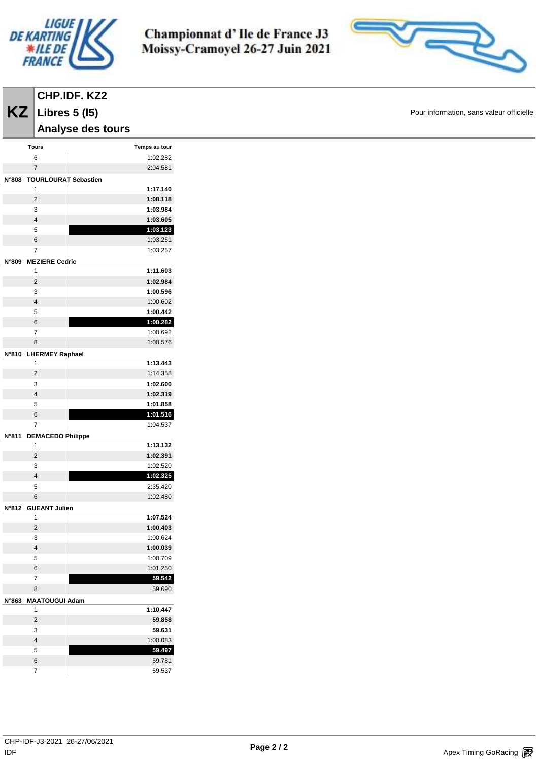



| KZ<br>Libres $5(15)$<br>Analyse des tours<br>Temps au tour<br>Tours<br>1:02.282<br>6<br>$\overline{7}$<br>2:04.581<br>N°808 TOURLOURAT Sebastien<br>1:17.140<br>$\mathbf{1}$<br>$\sqrt{2}$<br>1:08.118<br>1:03.984<br>3<br>1:03.605<br>$\overline{\mathbf{4}}$<br>5<br>1:03.123<br>6<br>1:03.251<br>$\overline{7}$<br>1:03.257<br>N°809 MEZIERE Cedric<br>1:11.603<br>$\mathbf{1}$<br>$\overline{c}$<br>1:02.984<br>1:00.596<br>3<br>$\overline{\mathbf{4}}$<br>1:00.602<br>5<br>1:00.442<br>6<br>1:00.282<br>1:00.692<br>$\overline{7}$<br>8<br>1:00.576<br>N°810 LHERMEY Raphael<br>1:13.443<br>$\mathbf{1}$<br>$\overline{c}$<br>1:14.358<br>1:02.600<br>3<br>$\overline{\mathbf{4}}$<br>1:02.319<br>1:01.858<br>5<br>6<br>1:01.516<br>$\overline{7}$<br>1:04.537<br>N°811 DEMACEDO Philippe<br>1:13.132<br>$\mathbf{1}$<br>1:02.391<br>$\mathbf 2$<br>3<br>1:02.520<br>$\overline{\mathbf{4}}$<br>1:02.325<br>2:35.420<br>5<br>1:02.480<br>$6\overline{6}$<br>N°812 GUEANT Julien<br>1:07.524<br>$\mathbf{1}$<br>$\overline{2}$<br>1:00.403<br>3<br>1:00.624<br>$\overline{\mathbf{4}}$<br>1:00.039<br>$\,$ 5 $\,$<br>1:00.709<br>6<br>1:01.250<br>$\overline{7}$<br>59.542<br>8<br>59.690<br>N°863 MAATOUGUI Adam<br>1:10.447<br>$\mathbf{1}$<br>$\sqrt{2}$<br>59.858<br>3<br>59.631<br>$\overline{\mathbf{4}}$<br>1:00.083<br>5<br>59.497<br>6<br>59.781 | CHP.IDF. KZ2   |        |
|----------------------------------------------------------------------------------------------------------------------------------------------------------------------------------------------------------------------------------------------------------------------------------------------------------------------------------------------------------------------------------------------------------------------------------------------------------------------------------------------------------------------------------------------------------------------------------------------------------------------------------------------------------------------------------------------------------------------------------------------------------------------------------------------------------------------------------------------------------------------------------------------------------------------------------------------------------------------------------------------------------------------------------------------------------------------------------------------------------------------------------------------------------------------------------------------------------------------------------------------------------------------------------------------------------------------------------------------------------------|----------------|--------|
|                                                                                                                                                                                                                                                                                                                                                                                                                                                                                                                                                                                                                                                                                                                                                                                                                                                                                                                                                                                                                                                                                                                                                                                                                                                                                                                                                                |                |        |
|                                                                                                                                                                                                                                                                                                                                                                                                                                                                                                                                                                                                                                                                                                                                                                                                                                                                                                                                                                                                                                                                                                                                                                                                                                                                                                                                                                |                |        |
|                                                                                                                                                                                                                                                                                                                                                                                                                                                                                                                                                                                                                                                                                                                                                                                                                                                                                                                                                                                                                                                                                                                                                                                                                                                                                                                                                                |                |        |
|                                                                                                                                                                                                                                                                                                                                                                                                                                                                                                                                                                                                                                                                                                                                                                                                                                                                                                                                                                                                                                                                                                                                                                                                                                                                                                                                                                |                |        |
|                                                                                                                                                                                                                                                                                                                                                                                                                                                                                                                                                                                                                                                                                                                                                                                                                                                                                                                                                                                                                                                                                                                                                                                                                                                                                                                                                                |                |        |
|                                                                                                                                                                                                                                                                                                                                                                                                                                                                                                                                                                                                                                                                                                                                                                                                                                                                                                                                                                                                                                                                                                                                                                                                                                                                                                                                                                |                |        |
|                                                                                                                                                                                                                                                                                                                                                                                                                                                                                                                                                                                                                                                                                                                                                                                                                                                                                                                                                                                                                                                                                                                                                                                                                                                                                                                                                                |                |        |
|                                                                                                                                                                                                                                                                                                                                                                                                                                                                                                                                                                                                                                                                                                                                                                                                                                                                                                                                                                                                                                                                                                                                                                                                                                                                                                                                                                |                |        |
|                                                                                                                                                                                                                                                                                                                                                                                                                                                                                                                                                                                                                                                                                                                                                                                                                                                                                                                                                                                                                                                                                                                                                                                                                                                                                                                                                                |                |        |
|                                                                                                                                                                                                                                                                                                                                                                                                                                                                                                                                                                                                                                                                                                                                                                                                                                                                                                                                                                                                                                                                                                                                                                                                                                                                                                                                                                |                |        |
|                                                                                                                                                                                                                                                                                                                                                                                                                                                                                                                                                                                                                                                                                                                                                                                                                                                                                                                                                                                                                                                                                                                                                                                                                                                                                                                                                                |                |        |
|                                                                                                                                                                                                                                                                                                                                                                                                                                                                                                                                                                                                                                                                                                                                                                                                                                                                                                                                                                                                                                                                                                                                                                                                                                                                                                                                                                |                |        |
|                                                                                                                                                                                                                                                                                                                                                                                                                                                                                                                                                                                                                                                                                                                                                                                                                                                                                                                                                                                                                                                                                                                                                                                                                                                                                                                                                                |                |        |
|                                                                                                                                                                                                                                                                                                                                                                                                                                                                                                                                                                                                                                                                                                                                                                                                                                                                                                                                                                                                                                                                                                                                                                                                                                                                                                                                                                |                |        |
|                                                                                                                                                                                                                                                                                                                                                                                                                                                                                                                                                                                                                                                                                                                                                                                                                                                                                                                                                                                                                                                                                                                                                                                                                                                                                                                                                                |                |        |
|                                                                                                                                                                                                                                                                                                                                                                                                                                                                                                                                                                                                                                                                                                                                                                                                                                                                                                                                                                                                                                                                                                                                                                                                                                                                                                                                                                |                |        |
|                                                                                                                                                                                                                                                                                                                                                                                                                                                                                                                                                                                                                                                                                                                                                                                                                                                                                                                                                                                                                                                                                                                                                                                                                                                                                                                                                                |                |        |
|                                                                                                                                                                                                                                                                                                                                                                                                                                                                                                                                                                                                                                                                                                                                                                                                                                                                                                                                                                                                                                                                                                                                                                                                                                                                                                                                                                |                |        |
|                                                                                                                                                                                                                                                                                                                                                                                                                                                                                                                                                                                                                                                                                                                                                                                                                                                                                                                                                                                                                                                                                                                                                                                                                                                                                                                                                                |                |        |
|                                                                                                                                                                                                                                                                                                                                                                                                                                                                                                                                                                                                                                                                                                                                                                                                                                                                                                                                                                                                                                                                                                                                                                                                                                                                                                                                                                |                |        |
|                                                                                                                                                                                                                                                                                                                                                                                                                                                                                                                                                                                                                                                                                                                                                                                                                                                                                                                                                                                                                                                                                                                                                                                                                                                                                                                                                                |                |        |
|                                                                                                                                                                                                                                                                                                                                                                                                                                                                                                                                                                                                                                                                                                                                                                                                                                                                                                                                                                                                                                                                                                                                                                                                                                                                                                                                                                |                |        |
|                                                                                                                                                                                                                                                                                                                                                                                                                                                                                                                                                                                                                                                                                                                                                                                                                                                                                                                                                                                                                                                                                                                                                                                                                                                                                                                                                                |                |        |
|                                                                                                                                                                                                                                                                                                                                                                                                                                                                                                                                                                                                                                                                                                                                                                                                                                                                                                                                                                                                                                                                                                                                                                                                                                                                                                                                                                |                |        |
|                                                                                                                                                                                                                                                                                                                                                                                                                                                                                                                                                                                                                                                                                                                                                                                                                                                                                                                                                                                                                                                                                                                                                                                                                                                                                                                                                                |                |        |
|                                                                                                                                                                                                                                                                                                                                                                                                                                                                                                                                                                                                                                                                                                                                                                                                                                                                                                                                                                                                                                                                                                                                                                                                                                                                                                                                                                |                |        |
|                                                                                                                                                                                                                                                                                                                                                                                                                                                                                                                                                                                                                                                                                                                                                                                                                                                                                                                                                                                                                                                                                                                                                                                                                                                                                                                                                                |                |        |
|                                                                                                                                                                                                                                                                                                                                                                                                                                                                                                                                                                                                                                                                                                                                                                                                                                                                                                                                                                                                                                                                                                                                                                                                                                                                                                                                                                |                |        |
|                                                                                                                                                                                                                                                                                                                                                                                                                                                                                                                                                                                                                                                                                                                                                                                                                                                                                                                                                                                                                                                                                                                                                                                                                                                                                                                                                                |                |        |
|                                                                                                                                                                                                                                                                                                                                                                                                                                                                                                                                                                                                                                                                                                                                                                                                                                                                                                                                                                                                                                                                                                                                                                                                                                                                                                                                                                |                |        |
|                                                                                                                                                                                                                                                                                                                                                                                                                                                                                                                                                                                                                                                                                                                                                                                                                                                                                                                                                                                                                                                                                                                                                                                                                                                                                                                                                                |                |        |
|                                                                                                                                                                                                                                                                                                                                                                                                                                                                                                                                                                                                                                                                                                                                                                                                                                                                                                                                                                                                                                                                                                                                                                                                                                                                                                                                                                |                |        |
|                                                                                                                                                                                                                                                                                                                                                                                                                                                                                                                                                                                                                                                                                                                                                                                                                                                                                                                                                                                                                                                                                                                                                                                                                                                                                                                                                                |                |        |
|                                                                                                                                                                                                                                                                                                                                                                                                                                                                                                                                                                                                                                                                                                                                                                                                                                                                                                                                                                                                                                                                                                                                                                                                                                                                                                                                                                |                |        |
|                                                                                                                                                                                                                                                                                                                                                                                                                                                                                                                                                                                                                                                                                                                                                                                                                                                                                                                                                                                                                                                                                                                                                                                                                                                                                                                                                                |                |        |
|                                                                                                                                                                                                                                                                                                                                                                                                                                                                                                                                                                                                                                                                                                                                                                                                                                                                                                                                                                                                                                                                                                                                                                                                                                                                                                                                                                |                |        |
|                                                                                                                                                                                                                                                                                                                                                                                                                                                                                                                                                                                                                                                                                                                                                                                                                                                                                                                                                                                                                                                                                                                                                                                                                                                                                                                                                                |                |        |
|                                                                                                                                                                                                                                                                                                                                                                                                                                                                                                                                                                                                                                                                                                                                                                                                                                                                                                                                                                                                                                                                                                                                                                                                                                                                                                                                                                |                |        |
|                                                                                                                                                                                                                                                                                                                                                                                                                                                                                                                                                                                                                                                                                                                                                                                                                                                                                                                                                                                                                                                                                                                                                                                                                                                                                                                                                                |                |        |
|                                                                                                                                                                                                                                                                                                                                                                                                                                                                                                                                                                                                                                                                                                                                                                                                                                                                                                                                                                                                                                                                                                                                                                                                                                                                                                                                                                |                |        |
|                                                                                                                                                                                                                                                                                                                                                                                                                                                                                                                                                                                                                                                                                                                                                                                                                                                                                                                                                                                                                                                                                                                                                                                                                                                                                                                                                                |                |        |
|                                                                                                                                                                                                                                                                                                                                                                                                                                                                                                                                                                                                                                                                                                                                                                                                                                                                                                                                                                                                                                                                                                                                                                                                                                                                                                                                                                |                |        |
|                                                                                                                                                                                                                                                                                                                                                                                                                                                                                                                                                                                                                                                                                                                                                                                                                                                                                                                                                                                                                                                                                                                                                                                                                                                                                                                                                                |                |        |
|                                                                                                                                                                                                                                                                                                                                                                                                                                                                                                                                                                                                                                                                                                                                                                                                                                                                                                                                                                                                                                                                                                                                                                                                                                                                                                                                                                |                |        |
|                                                                                                                                                                                                                                                                                                                                                                                                                                                                                                                                                                                                                                                                                                                                                                                                                                                                                                                                                                                                                                                                                                                                                                                                                                                                                                                                                                |                |        |
|                                                                                                                                                                                                                                                                                                                                                                                                                                                                                                                                                                                                                                                                                                                                                                                                                                                                                                                                                                                                                                                                                                                                                                                                                                                                                                                                                                |                |        |
|                                                                                                                                                                                                                                                                                                                                                                                                                                                                                                                                                                                                                                                                                                                                                                                                                                                                                                                                                                                                                                                                                                                                                                                                                                                                                                                                                                |                |        |
|                                                                                                                                                                                                                                                                                                                                                                                                                                                                                                                                                                                                                                                                                                                                                                                                                                                                                                                                                                                                                                                                                                                                                                                                                                                                                                                                                                |                |        |
|                                                                                                                                                                                                                                                                                                                                                                                                                                                                                                                                                                                                                                                                                                                                                                                                                                                                                                                                                                                                                                                                                                                                                                                                                                                                                                                                                                |                |        |
|                                                                                                                                                                                                                                                                                                                                                                                                                                                                                                                                                                                                                                                                                                                                                                                                                                                                                                                                                                                                                                                                                                                                                                                                                                                                                                                                                                |                |        |
|                                                                                                                                                                                                                                                                                                                                                                                                                                                                                                                                                                                                                                                                                                                                                                                                                                                                                                                                                                                                                                                                                                                                                                                                                                                                                                                                                                | $\overline{7}$ | 59.537 |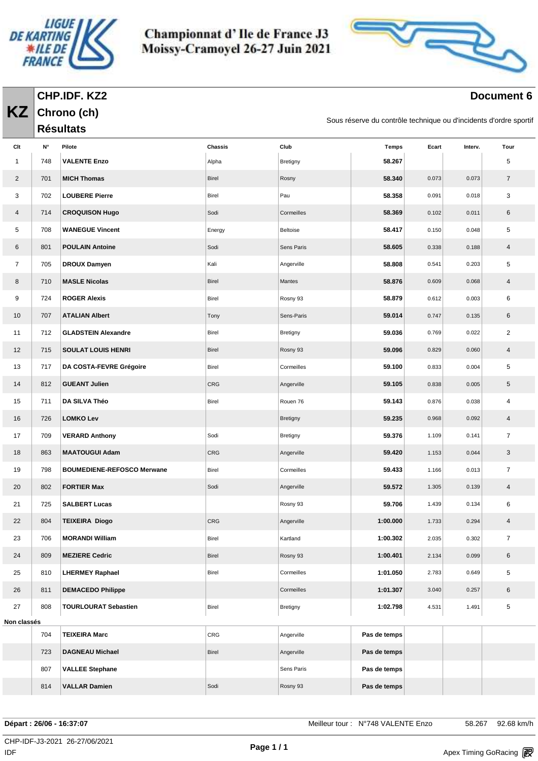

**Chrono (ch)**

**KZ**

Championnat d'Ile de France J3 Moissy-Cramoyel 26-27 Juin 2021



#### **Document 6**

Sous réserve du contrôle technique ou d'incidents d'ordre sportif

|                |     | <b>Résultats</b>                  |         |            | oddo reporte da compote technique ou umbiachto a citate oportir |       |         |                |
|----------------|-----|-----------------------------------|---------|------------|-----------------------------------------------------------------|-------|---------|----------------|
| Clt            | N°  | Pilote                            | Chassis | Club       | <b>Temps</b>                                                    | Ecart | Interv. | Tour           |
| 1              | 748 | <b>VALENTE Enzo</b>               | Alpha   | Bretigny   | 58.267                                                          |       |         | 5              |
| $\overline{2}$ | 701 | <b>MICH Thomas</b>                | Birel   | Rosny      | 58.340                                                          | 0.073 | 0.073   | $\overline{7}$ |
| 3              | 702 | <b>LOUBERE Pierre</b>             | Birel   | Pau        | 58.358                                                          | 0.091 | 0.018   | 3              |
| 4              | 714 | <b>CROQUISON Hugo</b>             | Sodi    | Cormeilles | 58.369                                                          | 0.102 | 0.011   | 6              |
| 5              | 708 | <b>WANEGUE Vincent</b>            | Energy  | Beltoise   | 58.417                                                          | 0.150 | 0.048   | 5              |
| 6              | 801 | <b>POULAIN Antoine</b>            | Sodi    | Sens Paris | 58.605                                                          | 0.338 | 0.188   | $\overline{4}$ |
| $\overline{7}$ | 705 | <b>DROUX Damyen</b>               | Kali    | Angerville | 58.808                                                          | 0.541 | 0.203   | 5              |
| 8              | 710 | <b>MASLE Nicolas</b>              | Birel   | Mantes     | 58.876                                                          | 0.609 | 0.068   | $\overline{4}$ |
| 9              | 724 | <b>ROGER Alexis</b>               | Birel   | Rosny 93   | 58.879                                                          | 0.612 | 0.003   | 6              |
| 10             | 707 | <b>ATALIAN Albert</b>             | Tony    | Sens-Paris | 59.014                                                          | 0.747 | 0.135   | 6              |
| 11             | 712 | <b>GLADSTEIN Alexandre</b>        | Birel   | Bretigny   | 59.036                                                          | 0.769 | 0.022   | $\overline{2}$ |
| 12             | 715 | <b>SOULAT LOUIS HENRI</b>         | Birel   | Rosny 93   | 59.096                                                          | 0.829 | 0.060   | $\overline{4}$ |
| 13             | 717 | DA COSTA-FEVRE Grégoire           | Birel   | Cormeilles | 59.100                                                          | 0.833 | 0.004   | 5              |
| 14             | 812 | <b>GUEANT Julien</b>              | CRG     | Angerville | 59.105                                                          | 0.838 | 0.005   | 5              |
| 15             | 711 | DA SILVA Théo                     | Birel   | Rouen 76   | 59.143                                                          | 0.876 | 0.038   | 4              |
| 16             | 726 | <b>LOMKO Lev</b>                  |         | Bretigny   | 59.235                                                          | 0.968 | 0.092   | $\overline{4}$ |
| 17             | 709 | <b>VERARD Anthony</b>             | Sodi    | Bretigny   | 59.376                                                          | 1.109 | 0.141   | $\overline{7}$ |
| 18             | 863 | <b>MAATOUGUI Adam</b>             | CRG     | Angerville | 59.420                                                          | 1.153 | 0.044   | 3              |
| 19             | 798 | <b>BOUMEDIENE-REFOSCO Merwane</b> | Birel   | Cormeilles | 59.433                                                          | 1.166 | 0.013   | $\overline{7}$ |
| 20             | 802 | <b>FORTIER Max</b>                | Sodi    | Angerville | 59.572                                                          | 1.305 | 0.139   | $\overline{4}$ |
| 21             | 725 | <b>SALBERT Lucas</b>              |         | Rosny 93   | 59.706                                                          | 1.439 | 0.134   | 6              |
| 22             | 804 | <b>TEIXEIRA Diogo</b>             | CRG     | Angerville | 1:00.000                                                        | 1.733 | 0.294   | 4              |
| 23             | 706 | <b>MORANDI William</b>            | Birel   | Kartland   | 1:00.302                                                        | 2.035 | 0.302   | $\overline{7}$ |
| 24             | 809 | <b>MEZIERE Cedric</b>             | Birel   | Rosny 93   | 1:00.401                                                        | 2.134 | 0.099   | 6              |
| 25             | 810 | <b>LHERMEY Raphael</b>            | Birel   | Cormeilles | 1:01.050                                                        | 2.783 | 0.649   | 5              |
| 26             | 811 | <b>DEMACEDO Philippe</b>          |         | Cormeilles | 1:01.307                                                        | 3.040 | 0.257   | $\,6\,$        |
| 27             | 808 | <b>TOURLOURAT Sebastien</b>       | Birel   | Bretigny   | 1:02.798                                                        | 4.531 | 1.491   | 5              |
| Non classés    |     |                                   |         |            |                                                                 |       |         |                |
|                | 704 | <b>TEIXEIRA Marc</b>              | CRG     | Angerville | Pas de temps                                                    |       |         |                |
|                | 723 | <b>DAGNEAU Michael</b>            | Birel   | Angerville | Pas de temps                                                    |       |         |                |
|                | 807 | <b>VALLEE Stephane</b>            |         | Sens Paris | Pas de temps                                                    |       |         |                |
|                | 814 | <b>VALLAR Damien</b>              | Sodi    | Rosny 93   | Pas de temps                                                    |       |         |                |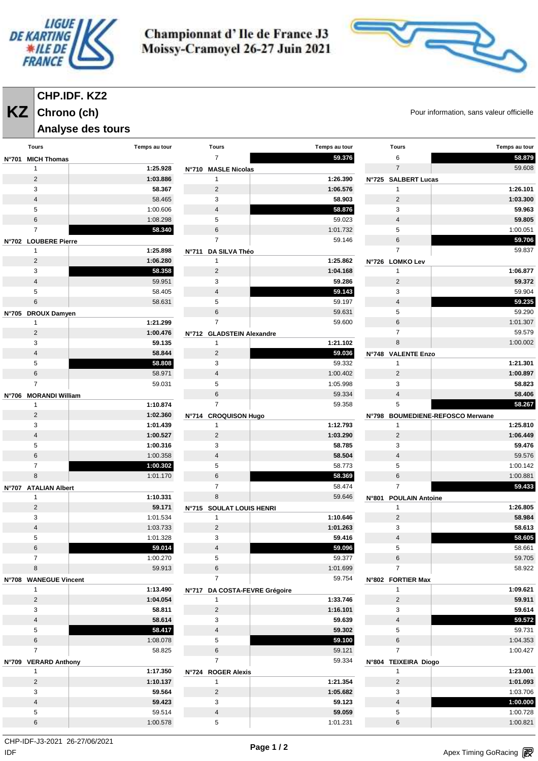



# **CHP.IDF. KZ2**

# **Chrono (ch)**

**Analyse des tours** 

**KZ** Chrono (ch) Chrono (ch)

| <b>Tours</b>            | Temps au tour | <b>Tours</b>                  | Temps au tour | <b>Tours</b>          | Temps au tour                    |
|-------------------------|---------------|-------------------------------|---------------|-----------------------|----------------------------------|
|                         |               |                               |               |                       |                                  |
| N°701 MICH Thomas       |               | $\overline{7}$                | 59.376        | 6                     | 58.879                           |
| 1                       | 1:25.928      | N°710 MASLE Nicolas           |               | $\overline{7}$        | 59.608                           |
| $\overline{\mathbf{c}}$ | 1:03.886      | $\mathbf{1}$                  | 1:26.390      | N°725 SALBERT Lucas   |                                  |
| 3                       | 58.367        | 2                             | 1:06.576      | 1                     | 1:26.101                         |
| 4                       | 58.465        | 3                             | 58.903        | $\sqrt{2}$            | 1:03.300                         |
| 5                       | 1:00.606      | $\overline{4}$                | 58.876        | 3                     | 59.963                           |
| 6                       | 1:08.298      | 5                             | 59.023        | 4                     | 59.805                           |
| $\overline{7}$          | 58.340        | $\,6$                         | 1:01.732      | 5                     | 1:00.051                         |
| N°702 LOUBERE Pierre    |               | $\overline{7}$                | 59.146        | 6                     | 59.706                           |
| $\mathbf{1}$            | 1:25.898      | DA SILVA Théo<br><b>N°711</b> |               | $\overline{7}$        | 59.837                           |
| $\overline{c}$          | 1:06.280      | $\mathbf{1}$                  | 1:25.862      | N°726 LOMKO Lev       |                                  |
| 3                       | 58.358        | $\overline{2}$                | 1:04.168      | 1                     | 1:06.877                         |
| $\overline{4}$          | 59.951        | 3                             | 59.286        | $\overline{2}$        | 59.372                           |
|                         |               |                               |               |                       |                                  |
| 5                       | 58.405        | $\overline{\mathbf{4}}$       | 59.143        | 3                     | 59.904                           |
| 6                       | 58.631        | 5                             | 59.197        | $\overline{4}$        | 59.235                           |
| N°705 DROUX Damyen      |               | 6                             | 59.631        | 5                     | 59.290                           |
| $\mathbf{1}$            | 1:21.299      | $\overline{7}$                | 59.600        | 6                     | 1:01.307                         |
| $\overline{c}$          | 1:00.476      | N°712 GLADSTEIN Alexandre     |               | $\overline{7}$        | 59.579                           |
| 3                       | 59.135        | $\mathbf{1}$                  | 1:21.102      | 8                     | 1:00.002                         |
| 4                       | 58.844        | $\overline{2}$                | 59.036        | N°748 VALENTE Enzo    |                                  |
| 5                       | 58.808        | 3                             | 59.332        | $\mathbf{1}$          | 1:21.301                         |
| 6                       | 58.971        | $\overline{\mathbf{4}}$       | 1:00.402      | $\overline{2}$        | 1:00.897                         |
| $\overline{7}$          | 59.031        | 5                             | 1:05.998      | 3                     | 58.823                           |
| N°706 MORANDI William   |               | $\,6$                         | 59.334        | $\overline{4}$        | 58.406                           |
| $\mathbf{1}$            | 1:10.874      | $\overline{7}$                | 59.358        | 5                     | 58.267                           |
| 2                       | 1:02.360      | N°714 CROQUISON Hugo          |               |                       | N°798 BOUMEDIENE-REFOSCO Merwane |
| 3                       | 1:01.439      | 1                             | 1:12.793      | $\mathbf{1}$          | 1:25.810                         |
| 4                       | 1:00.527      | $\overline{2}$                | 1:03.290      | $\overline{2}$        | 1:06.449                         |
|                         |               |                               |               |                       |                                  |
| 5                       | 1:00.316      | 3                             | 58.785        | 3                     | 59.476                           |
| 6                       | 1:00.358      | $\overline{4}$                | 58.504        | 4                     | 59.576                           |
| $\overline{7}$          | 1:00.302      | 5                             | 58.773        | 5                     | 1:00.142                         |
| 8                       | 1:01.170      | 6                             | 58.369        | 6                     | 1:00.881                         |
| N°707 ATALIAN Albert    |               | $\overline{7}$                | 58.474        | $\overline{7}$        | 59.433                           |
| 1                       | 1:10.331      | 8                             | 59.646        | N°801 POULAIN Antoine |                                  |
| 2                       | 59.171        | N°715 SOULAT LOUIS HENRI      |               | 1                     | 1:26.805                         |
| 3                       | 1:01.534      | $\mathbf{1}$                  | 1:10.646      | $\overline{2}$        | 58.984                           |
| 4                       | 1:03.733      | $\overline{2}$                | 1:01.263      | 3                     | 58.613                           |
| 5                       | 1:01.328      | 3                             | 59.416        | 4                     | 58.605                           |
| 6                       | 59.014        | 4                             | 59.096        | 5                     | 58.661                           |
| $\overline{7}$          | 1:00.270      | 5                             | 59.377        | 6                     | 59.705                           |
| 8                       | 59.913        | 6                             | 1:01.699      | $\overline{7}$        | 58.922                           |
| N°708 WANEGUE Vincent   |               | $\overline{7}$                | 59.754        | N°802 FORTIER Max     |                                  |
| $\mathbf{1}$            | 1:13.490      | N°717 DA COSTA-FEVRE Grégoire |               | $\mathbf{1}$          | 1:09.621                         |
| $\overline{2}$          | 1:04.054      | 1                             | 1:33.746      | $\overline{2}$        | 59.911                           |
| 3                       | 58.811        | $\overline{2}$                | 1:16.101      | 3                     | 59.614                           |
| $\overline{4}$          | 58.614        | 3                             | 59.639        | $\overline{4}$        | 59.572                           |
| 5                       | 58.417        | $\overline{4}$                | 59.302        | 5                     | 59.731                           |
| 6                       | 1:08.078      | 5                             | 59.100        | 6                     | 1:04.353                         |
| $\overline{7}$          |               |                               |               |                       |                                  |
|                         | 58.825        | 6                             | 59.121        | $\overline{7}$        | 1:00.427                         |
| N°709 VERARD Anthony    |               | $\overline{7}$                | 59.334        | N°804 TEIXEIRA Diogo  |                                  |
| $\mathbf{1}$            | 1:17.350      | N°724 ROGER Alexis            |               | 1                     | 1:23.001                         |
| $\overline{2}$          | 1:10.137      | $\mathbf{1}$                  | 1:21.354      | $\overline{c}$        | 1:01.093                         |
| 3                       | 59.564        | $\overline{2}$                | 1:05.682      | 3                     | 1:03.706                         |
| $\overline{4}$          | 59.423        | 3                             | 59.123        | $\overline{4}$        | 1:00.000                         |
| 5                       | 59.514        | $\overline{4}$                | 59.059        | 5                     | 1:00.728                         |
| 6                       | 1:00.578      | 5                             | 1:01.231      | 6                     | 1:00.821                         |
|                         |               |                               |               |                       |                                  |

 $\mathsf{IDF}$ CHP-IDF-J3-2021 26-27/06/2021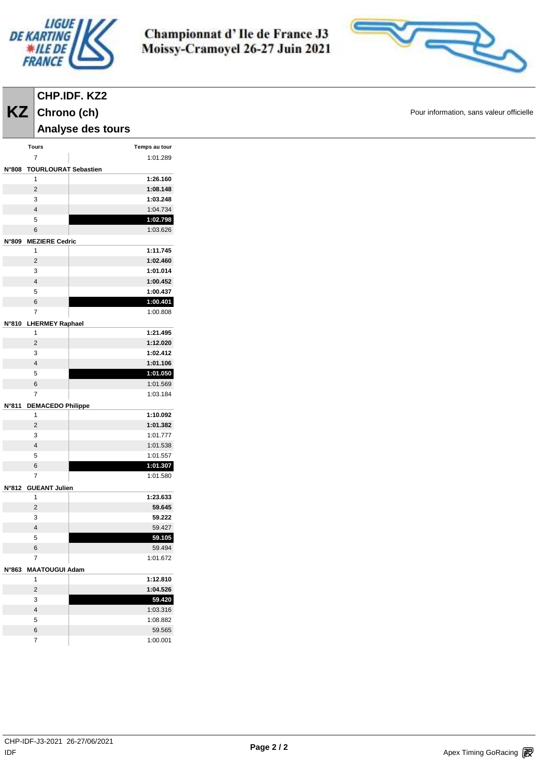

Championnat d'Ile de France J3 Moissy-Cramoyel 26-27 Juin 2021



Pour information, sans valeur officielle

|              |                | $KZ$ Chrono (ch)            |               |
|--------------|----------------|-----------------------------|---------------|
|              |                | Analyse des tours           |               |
|              | <b>Tours</b>   |                             | Temps au tour |
|              | $\overline{7}$ |                             | 1:01.289      |
| <b>N°808</b> |                |                             |               |
|              | 1              | <b>TOURLOURAT Sebastien</b> | 1:26.160      |
|              | $\overline{2}$ |                             | 1:08.148      |
|              | 3              |                             | 1:03.248      |
|              | $\overline{4}$ |                             | 1:04.734      |
|              | 5              |                             | 1:02.798      |
|              | 6              |                             | 1:03.626      |
|              |                |                             |               |
| N°809        | 1              | <b>MEZIERE Cedric</b>       | 1:11.745      |
|              | $\overline{2}$ |                             | 1:02.460      |
|              | 3              |                             |               |
|              | $\overline{4}$ |                             | 1:01.014      |
|              |                |                             | 1:00.452      |
|              | 5              |                             | 1:00.437      |
|              | 6              |                             | 1:00.401      |
|              | $\overline{7}$ |                             | 1:00.808      |
|              |                | N°810 LHERMEY Raphael       |               |
|              | 1              |                             | 1:21.495      |
|              | $\overline{2}$ |                             | 1:12.020      |
|              | 3              |                             | 1:02.412      |
|              | $\overline{4}$ |                             | 1:01.106      |
|              | 5              |                             | 1:01.050      |
|              | 6              |                             | 1:01.569      |
|              | 7              |                             | 1:03.184      |
| N°811        |                | <b>DEMACEDO Philippe</b>    |               |
|              | 1              |                             | 1:10.092      |
|              | $\overline{2}$ |                             | 1:01.382      |
|              | 3              |                             | 1:01.777      |
|              | 4              |                             | 1:01.538      |
|              | 5              |                             | 1:01.557      |
|              | 6              |                             | 1:01.307      |
|              | $\overline{7}$ |                             | 1:01.580      |
|              |                |                             |               |
|              | 1              | N°812 GUEANT Julien         | 1:23.633      |
|              | 2              |                             | 59.645        |
|              |                |                             |               |
|              | 3              |                             | 59.222        |
|              | 4              |                             | 59.427        |
|              | 5              |                             | 59.105        |
|              | $\,$ 6         |                             | 59.494        |
|              | 7              |                             | 1:01.672      |
| N°863        |                | <b>MAATOUGUI Adam</b>       |               |
|              | 1              |                             | 1:12.810      |
|              | $\overline{2}$ |                             | 1:04.526      |
|              | 3              |                             | 59.420        |
|              | 4              |                             | 1:03.316      |
|              | 5              |                             | 1:08.882      |
|              | 6              |                             | 59.565        |
|              | 7              |                             | 1:00.001      |
|              |                |                             |               |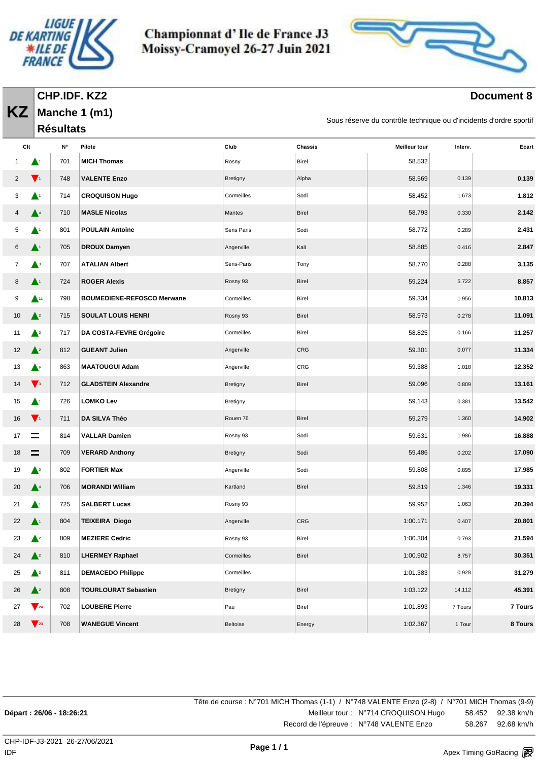



### **Document 8**

| CHP.IDF. KZ2       |
|--------------------|
| $KZ$ Manche 1 (m1) |
| <b>Résultats</b>   |

Sous réserve du contrôle technique ou d'incidents d'ordre sportif

|    | Clt                       | $\mathsf{N}^\circ$ | Pilote                            | Club            | Chassis    | <b>Meilleur tour</b> | Interv. | Ecart          |
|----|---------------------------|--------------------|-----------------------------------|-----------------|------------|----------------------|---------|----------------|
|    |                           | 701                | <b>MICH Thomas</b>                | Rosny           | Birel      | 58.532               |         |                |
| 2  | $\blacktriangledown_1$    | 748                | <b>VALENTE Enzo</b>               | <b>Bretigny</b> | Alpha      | 58.569               | 0.139   | 0.139          |
| 3  | $\blacktriangle^4$        | 714                | <b>CROQUISON Hugo</b>             | Cormeilles      | Sodi       | 58.452               | 1.673   | 1.812          |
| 4  | $\blacktriangle^4$        | 710                | <b>MASLE Nicolas</b>              | Mantes          | Birel      | 58.793               | 0.330   | 2.142          |
| 5  | ▲                         | 801                | <b>POULAIN Antoine</b>            | Sens Paris      | Sodi       | 58.772               | 0.289   | 2.431          |
| 6  | $\blacktriangle^1$        | 705                | <b>DROUX Damyen</b>               | Angerville      | Kali       | 58.885               | 0.416   | 2.847          |
| 7  | $\blacktriangle^3$        | 707                | <b>ATALIAN Albert</b>             | Sens-Paris      | Tony       | 58.770               | 0.288   | 3.135          |
| 8  | $\blacktriangle^1$        | 724                | <b>ROGER Alexis</b>               | Rosny 93        | Birel      | 59.224               | 5.722   | 8.857          |
| 9  | $\blacktriangle^{11}$     | 798                | <b>BOUMEDIENE-REFOSCO Merwane</b> | Cormeilles      | Birel      | 59.334               | 1.956   | 10.813         |
| 10 | $\triangle^2$             | 715                | <b>SOULAT LOUIS HENRI</b>         | Rosny 93        | Birel      | 58.973               | 0.278   | 11.091         |
| 11 | $\triangle^2$             | 717                | DA COSTA-FEVRE Grégoire           | Cormeilles      | Birel      | 58.825               | 0.166   | 11.257         |
| 12 | $\triangle^2$             | 812                | <b>GUEANT Julien</b>              | Angerville      | <b>CRG</b> | 59.301               | 0.077   | 11.334         |
| 13 | $\triangle^6$             | 863                | <b>MAATOUGUI Adam</b>             | Angerville      | CRG        | 59.388               | 1.018   | 12.352         |
| 14 | $\mathbf{V}$ <sub>3</sub> | 712                | <b>GLADSTEIN Alexandre</b>        | Bretigny        | Birel      | 59.096               | 0.809   | 13.161         |
| 15 | $\blacktriangle^1$        | 726                | <b>LOMKO Lev</b>                  | Bretigny        |            | 59.143               | 0.381   | 13.542         |
| 16 | $\mathbf{V}$              | 711                | DA SILVA Théo                     | Rouen 76        | Birel      | 59.279               | 1.360   | 14.902         |
| 17 | $\equiv$                  | 814                | <b>VALLAR Damien</b>              | Rosny 93        | Sodi       | 59.631               | 1.986   | 16.888         |
| 18 | $=$                       | 709                | <b>VERARD Anthony</b>             | Bretigny        | Sodi       | 59.486               | 0.202   | 17.090         |
| 19 | $\triangle^2$             | 802                | <b>FORTIER Max</b>                | Angerville      | Sodi       | 59.808               | 0.895   | 17.985         |
| 20 | $\blacktriangle^4$        | 706                | <b>MORANDI William</b>            | Kartland        | Birel      | 59.819               | 1.346   | 19.331         |
| 21 | $\blacktriangle^1$        | 725                | <b>SALBERT Lucas</b>              | Rosny 93        |            | 59.952               | 1.063   | 20.394         |
| 22 | $\blacktriangle^1$        | 804                | <b>TEIXEIRA Diogo</b>             | Angerville      | <b>CRG</b> | 1:00.171             | 0.407   | 20.801         |
| 23 | $\blacktriangle^2$        | 809                | <b>MEZIERE Cedric</b>             | Rosny 93        | Birel      | 1:00.304             | 0.793   | 21.594         |
| 24 | $\triangle^2$             | 810                | <b>LHERMEY Raphael</b>            | Cormeilles      | Birel      | 1:00.902             | 8.757   | 30.351         |
| 25 | $\triangle^2$             | 811                | <b>DEMACEDO Philippe</b>          | Cormeilles      |            | 1:01.383             | 0.928   | 31.279         |
| 26 | $\triangle^2$             | 808                | <b>TOURLOURAT Sebastien</b>       | Bretigny        | Birel      | 1:03.122             | 14.112  | 45.391         |
| 27 | $\sqrt{24}$               | 702                | <b>LOUBERE Pierre</b>             | Pau             | Birel      | 1:01.893             | 7 Tours | <b>7 Tours</b> |
| 28 | $\sqrt{23}$               | 708                | <b>WANEGUE Vincent</b>            | Beltoise        | Energy     | 1:02.367             | 1 Tour  | 8 Tours        |

Tête de course : N°701 MICH Thomas (1-1) / N°748 VALENTE Enzo (2-8) / N°701 MICH Thomas (9-9) **Départ : 26/06 - 18:26:21** Meilleur tour : N°714 CROQUISON Hugo 58.452 92.38 km/h Record de l'épreuve : N°748 VALENTE Enzo 58.267 92.68 km/h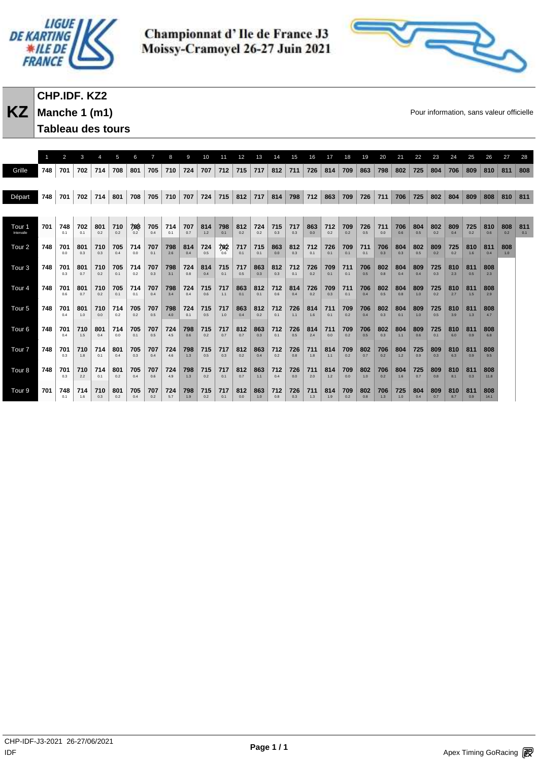



# **CHP.IDF. KZ2**

**Manche 1 (m1) Tableau des tours** 

**KZ** Manche 1 (m1) **Manche 1 (m1)** and the state of the state of the state of the state of the state of the state of the state of the state of the state of the state of the state of the state of the state of the state of t

|                   | $\mathbf{1}$ | 2          | 3          | $\boldsymbol{\Delta}$ | 5          | 6                    | $\overline{7}$ | 8          | 9          | 10         | 11         | 12         | 13         | 14         | 15         | 16         | 17         | 18         | 19         | 20         | 21         | 22         | 23         | 24         | 25         | 26          | 27         | 28  |
|-------------------|--------------|------------|------------|-----------------------|------------|----------------------|----------------|------------|------------|------------|------------|------------|------------|------------|------------|------------|------------|------------|------------|------------|------------|------------|------------|------------|------------|-------------|------------|-----|
| Grille            | 748          | 701        | 702        | 714                   | 708        | 801                  | 705            | 710        | 724        | 707        | 712        | 715        | 717        | 812        | 711        | 726        | 814        | 709        | 863        | 798        | 802        | 725        | 804        | 706        | 809        | 810         | 811        | 808 |
|                   |              |            |            |                       |            |                      |                |            |            |            |            |            |            |            |            |            |            |            |            |            |            |            |            |            |            |             |            |     |
| Départ            | 748          | 701        | 702        | 714                   | 801        | 708                  | 705            | 710        | 707        | 724        | 715        | 812        | 717        | 814        | 798        | 712        | 863        | 709        | 726        | 711        | 706        | 725        | 802        | 804        | 809        | 808         | 810        | 811 |
|                   |              |            |            |                       |            |                      |                |            |            |            |            |            |            |            |            |            |            |            |            |            |            |            |            |            |            |             |            |     |
| Tour <sub>1</sub> | 701          | 748        | 702        | 801                   | 710        | $708$ <sub>0.2</sub> | 705            | 714        | 707        | 814        | 798        | 812        | 724        | 715        | 717        | 863        | 712        | 709        | 726        | 711        | 706        | 804        | 802        | 809        | 725        | 810         | 808        | 811 |
| Intervalle        |              | 0.1        | 0.1        | 0.2                   | 0.2        |                      | 0.4            | 0.1        | 0.7        | 1.2        | 0.1        | 0.2        | 0.2        | 0.3        | 0.3        | 0.0        | 0.2        | 0.2        | 0.5        | 0.0        | 0.6        | 0.5        | 0.2        | 0.4        | 0.2        | 0.6         | 0.2        | 0.1 |
| Tour <sub>2</sub> | 748          | 701<br>0.0 | 801<br>0.3 | 710<br>0.3            | 705<br>0.4 | 714<br>0.0           | 707<br>0.1     | 798<br>2.6 | 814<br>0.4 | 724<br>0.5 | 702<br>0.6 | 717<br>0.1 | 715<br>0.1 | 863<br>0.0 | 812<br>0.3 | 712<br>0.1 | 726<br>0.1 | 709<br>0.1 | 711<br>0.1 | 706<br>0.3 | 804<br>0.3 | 802<br>0.5 | 809<br>0.2 | 725<br>0.2 | 810<br>1.6 | 811<br>0.4  | 808<br>1.0 |     |
|                   |              |            |            |                       |            |                      |                |            |            |            |            |            |            |            |            |            |            |            |            |            |            |            |            |            |            |             |            |     |
| Tour <sub>3</sub> | 748          | 701<br>0.3 | 801<br>0.7 | 710<br>0.2            | 705<br>0.1 | 714<br>0.2           | 707<br>0.3     | 798<br>3.1 | 724<br>0.8 | 814<br>0.4 | 715<br>0.1 | 717<br>0.5 | 863<br>0.3 | 812<br>0.3 | 712<br>0.1 | 726<br>0.2 | 709<br>0.1 | 711<br>0.1 | 706<br>0.5 | 802<br>0.8 | 804<br>0.4 | 809<br>0.4 | 725<br>0.3 | 810<br>2.3 | 811<br>0.5 | 808<br>2.3  |            |     |
| Tour <sub>4</sub> | 748          | 701        | 801        | 710                   | 705        | 714                  | 707            | 798        | 724        | 715        | 717        | 863        | 812        | 712        | 814        | 726        | 709        | 711        | 706        | 802        | 804        | 809        | 725        | 810        | 811        | 808         |            |     |
|                   |              | 0.6        | 0.7        | 0.2                   | 0.1        | 0.1                  | 0.4            | 3.4        | 0.4        | 0.6        | 1.1        | 0.1        | 0.1        | 0.6        | 0.4        | 0.2        | 0.3        | 0.1        | 0.4        | 0.5        | 0.8        | 1.0        | 0.2        | 2.7        | 1.5        | 2.9         |            |     |
| Tour <sub>5</sub> | 748          | 701<br>0.4 | 801<br>1.0 | 710<br>0.0            | 714<br>0.2 | 705<br>0.2           | 707<br>0.5     | 798<br>4.0 | 724<br>0.1 | 715<br>0.5 | 717<br>1.0 | 863<br>0.4 | 812<br>0.2 | 712<br>0.1 | 726<br>1.1 | 814<br>1.6 | 711<br>0.1 | 709<br>0.2 | 706<br>0.4 | 802<br>0.3 | 804<br>0.1 | 809<br>1.0 | 725<br>0.5 | 810<br>3.9 | 811<br>1.3 | 808<br>4.7  |            |     |
| Tour <sub>6</sub> | 748          | 701        | 710        | 801                   | 714        | 705                  | 707            | 724        | 798        | 715        | 717        | 812        | 863        | 712        | 726        | 814        | 711        | 709        | 706        | 802        | 804        | 809        | 725        | 810        | 811        | 808         |            |     |
|                   |              | 0.4        | 1.5        | 0.4                   | 0.0        | 0.1                  | 0.5            | 4.5        | 0.6        | 0.2        | 0.7        | 0.7        | 0.3        | 0.1        | 0.5        | 2.4        | 0.0        | 0.2        | 0.5        | 0.3        | 1.1        | 0.6        | 0.1        | 6.0        | 0.9        | 6.8         |            |     |
| Tour <sub>7</sub> | 748          | 701<br>0.3 | 710<br>1.8 | 714<br>0.1            | 801<br>0.4 | 705                  | 707<br>0.4     | 724<br>4.6 | 798<br>1.3 | 715<br>0.5 | 717<br>0.3 | 812        | 863<br>0.4 | 712        | 726<br>0.8 | 711<br>1.8 | 814<br>1.1 | 709<br>0.2 | 802<br>0.7 | 706<br>0.2 | 804<br>1.2 | 725<br>0.9 | 809<br>0.3 | 810<br>6.3 | 811<br>0.9 | 808<br>9.5  |            |     |
|                   |              |            |            |                       |            | 0.3                  |                |            |            |            |            | 0.2        |            | 0.2        |            |            |            |            |            |            |            |            |            |            |            |             |            |     |
| Tour <sub>8</sub> | 748          | 701<br>0.3 | 710<br>2.2 | 714<br>0.1            | 801<br>0.2 | 705<br>0.4           | 707<br>0.6     | 724<br>4.9 | 798<br>1.3 | 715<br>0.2 | 717<br>0.1 | 812<br>0.7 | 863<br>1.1 | 712<br>0.4 | 726<br>0.0 | 711<br>2.0 | 814<br>1.2 | 709<br>0.0 | 802<br>1.0 | 706<br>0.2 | 804<br>1.6 | 725<br>0.7 | 809<br>0.8 | 810<br>8.1 | 811<br>0.3 | 808<br>11.8 |            |     |
| Tour <sub>9</sub> | 701          | 748        | 714        | 710                   | 801        | 705                  | 707            | 724        | 798        | 715        | 717        | 812        | 863        | 712        | 726        | 711        | 814        | 709        | 802        | 706        | 725        | 804        | 809        | 810        | 811        | 808         |            |     |
|                   |              | 0.1        | 1.6        | 0.3                   | 0.2        | 0.4                  | 0.2            | 5.7        | 1.9        | 0.2        | 0.1        | 0.0        | 1.0        | 0.8        | 0.3        | 1.3        | 1.9        | 0.2        | 0.8        | 1.3        | 1.0        | 0.4        | 0.7        | 8.7        | 0.9        | 14.1        |            |     |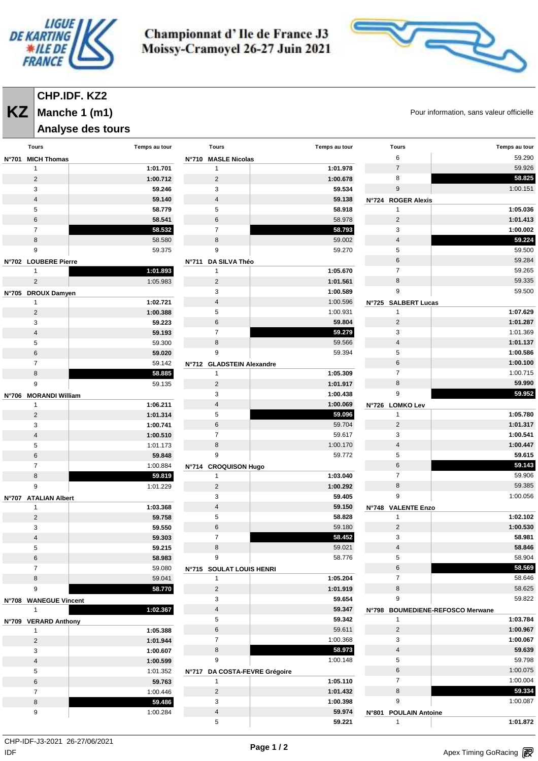



# **CHP.IDF. KZ2**

# **Analyse des tours**

**KZ** Manche 1 (m1) **Manche 1 (m1) Reserves All and Security Contracts** Pour information, sans valeur officielle

| Tours                                | Temps au tour | <b>Tours</b>                        | Temps au tour | Tours                                  | Temps au tour                    |
|--------------------------------------|---------------|-------------------------------------|---------------|----------------------------------------|----------------------------------|
| N°701 MICH Thomas                    |               | N°710 MASLE Nicolas                 |               | 6                                      | 59.290                           |
| $\mathbf{1}$                         | 1:01.701      | 1                                   | 1:01.978      | $\overline{7}$                         | 59.926                           |
| $\overline{2}$                       | 1:00.712      | $\overline{2}$                      | 1:00.678      | 8                                      | 58.825                           |
| 3                                    | 59.246        | 3                                   | 59.534        | 9                                      | 1:00.151                         |
| $\overline{4}$                       | 59.140        | $\overline{4}$                      | 59.138        | N°724 ROGER Alexis                     |                                  |
| 5                                    | 58.779        | 5                                   | 58.918        | $\mathbf{1}$                           | 1:05.036                         |
| 6                                    | 58.541        | 6                                   | 58.978        | 2                                      | 1:01.413                         |
| $\overline{7}$                       | 58.532        | $\overline{7}$                      | 58.793        | 3                                      | 1:00.002                         |
| 8                                    | 58.580        | 8                                   | 59.002        | $\overline{4}$                         | 59.224                           |
| 9                                    | 59.375        | 9                                   | 59.270        | 5                                      | 59.500                           |
|                                      |               |                                     |               | 6                                      | 59.284                           |
| N°702 LOUBERE Pierre<br>$\mathbf{1}$ | 1:01.893      | N°711 DA SILVA Théo<br>$\mathbf{1}$ | 1:05.670      | $\overline{7}$                         | 59.265                           |
| $\overline{2}$                       |               |                                     |               | 8                                      | 59.335                           |
|                                      | 1:05.983      | $\overline{2}$                      | 1:01.561      | 9                                      |                                  |
| N°705 DROUX Damyen                   |               | 3                                   | 1:00.589      |                                        | 59.500                           |
| 1                                    | 1:02.721      | $\overline{4}$                      | 1:00.596      | N°725 SALBERT Lucas                    |                                  |
| $\sqrt{2}$                           | 1:00.388      | 5                                   | 1:00.931      | $\mathbf{1}$                           | 1:07.629                         |
| 3                                    | 59.223        | $\,6\,$                             | 59.804        | $\overline{2}$                         | 1:01.287                         |
| 4                                    | 59.193        | $\overline{7}$                      | 59.279        | 3                                      | 1:01.369                         |
| 5                                    | 59.300        | 8                                   | 59.566        | $\overline{4}$                         | 1:01.137                         |
| 6                                    | 59.020        | 9                                   | 59.394        | 5                                      | 1:00.586                         |
| 7                                    | 59.142        | N°712 GLADSTEIN Alexandre           |               | 6                                      | 1:00.100                         |
| 8                                    | 58.885        | $\mathbf{1}$                        | 1:05.309      | $\overline{7}$                         | 1:00.715                         |
| 9                                    | 59.135        | $\overline{2}$                      | 1:01.917      | 8                                      | 59.990                           |
| N°706 MORANDI William                |               | 3                                   | 1:00.438      | 9                                      | 59.952                           |
| $\overline{1}$                       | 1:06.211      | $\overline{4}$                      | 1:00.069      | N°726 LOMKO Lev                        |                                  |
| $\overline{2}$                       | 1:01.314      | 5                                   | 59.096        | $\mathbf{1}$                           | 1:05.780                         |
| 3                                    | 1:00.741      | $\,6\,$                             | 59.704        | $\overline{2}$                         | 1:01.317                         |
| 4                                    | 1:00.510      | $\overline{7}$                      | 59.617        | 3                                      | 1:00.541                         |
| 5                                    | 1:01.173      | 8                                   | 1:00.170      | $\overline{4}$                         | 1:00.447                         |
| 6                                    | 59.848        | 9                                   | 59.772        | 5                                      | 59.615                           |
| $\overline{7}$                       | 1:00.884      | N°714 CROQUISON Hugo                |               | 6                                      | 59.143                           |
| 8                                    | 59.819        | $\mathbf{1}$                        | 1:03.040      | $\overline{7}$                         | 59.906                           |
| 9                                    | 1:01.229      | $\overline{2}$                      | 1:00.292      | 8                                      | 59.385                           |
| N°707 ATALIAN Albert                 |               | 3                                   | 59.405        | 9                                      | 1:00.056                         |
| 1                                    | 1:03.368      | $\overline{4}$                      | 59.150        | N°748 VALENTE Enzo                     |                                  |
| $\overline{c}$                       | 59.758        | 5                                   | 58.828        | $\mathbf{1}$                           | 1:02.102                         |
| 3                                    | 59.550        | $\,6\,$                             | 59.180        | $\overline{2}$                         | 1:00.530                         |
| 4                                    | 59.303        | $\overline{7}$                      | 58.452        | 3                                      | 58.981                           |
| 5                                    | 59.215        | 8                                   | 59.021        | 4                                      | 58.846                           |
| 6                                    | 58.983        | 9                                   | 58.776        | 5                                      | 58.904                           |
| $\overline{7}$                       | 59.080        | N°715 SOULAT LOUIS HENRI            |               | 6                                      | 58.569                           |
| 8                                    | 59.041        | $\mathbf{1}$                        | 1:05.204      | $\overline{7}$                         | 58.646                           |
| 9                                    | 58.770        | $\overline{2}$                      | 1:01.919      | 8                                      | 58.625                           |
|                                      |               | 3                                   |               | 9                                      | 59.822                           |
| N°708 WANEGUE Vincent                |               |                                     | 59.654        |                                        |                                  |
| 1                                    | 1:02.367      | $\overline{4}$                      | 59.347        |                                        | N°798 BOUMEDIENE-REFOSCO Merwane |
| N°709 VERARD Anthony                 |               | 5                                   | 59.342        | $\mathbf{1}$                           | 1:03.784                         |
| 1                                    | 1:05.388      | 6                                   | 59.611        | $\overline{2}$                         | 1:00.967                         |
| $\overline{2}$                       | 1:01.944      | $\overline{7}$                      | 1:00.368      | 3                                      | 1:00.067                         |
| 3                                    | 1:00.607      | 8                                   | 58.973        | $\overline{4}$                         | 59.639                           |
| $\overline{\mathbf{4}}$              | 1:00.599      | 9                                   | 1:00.148      | 5                                      | 59.798                           |
| 5                                    | 1:01.352      | N°717 DA COSTA-FEVRE Grégoire       |               | 6                                      | 1:00.075                         |
| 6                                    | 59.763        | $\mathbf{1}$                        | 1:05.110      | $\overline{7}$                         | 1:00.004                         |
| $\overline{7}$                       | 1:00.446      | $\overline{2}$                      | 1:01.432      | $\bf 8$                                | 59.334                           |
| 8                                    | 59.486        | 3                                   | 1:00.398      | 9                                      | 1:00.087                         |
| 9                                    | 1:00.284      | $\overline{4}$                      | 59.974        | <b>N°801</b><br><b>POULAIN Antoine</b> |                                  |
|                                      |               | 5                                   | 59.221        | $\mathbf{1}$                           | 1:01.872                         |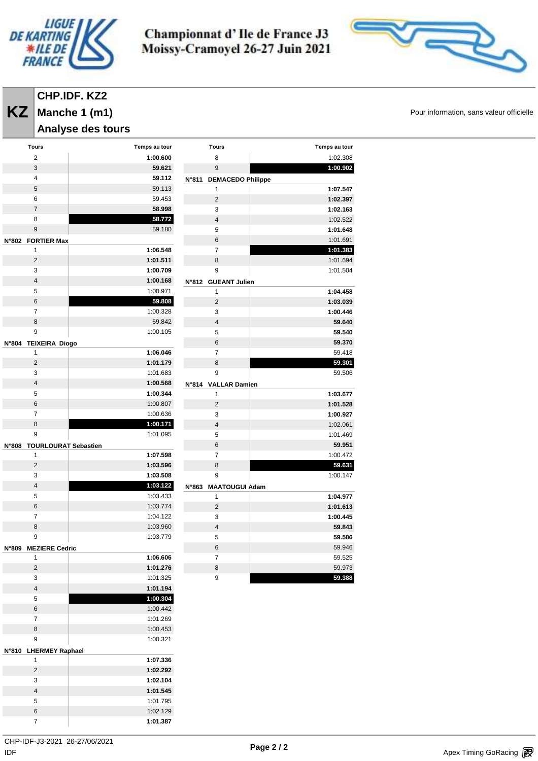



# **CHP.IDF. KZ2**

**Manche 1 (m1)**

### **Analyse des tours**

| Tours                      | Temps au tour |              | Tours                    | Temps au tour |
|----------------------------|---------------|--------------|--------------------------|---------------|
| $\overline{2}$             | 1:00.600      |              | 8                        | 1:02.308      |
| 3                          | 59.621        |              | 9                        | 1:00.902      |
| $\overline{\mathbf{4}}$    | 59.112        | <b>N°811</b> | <b>DEMACEDO Philippe</b> |               |
| 5                          | 59.113        |              | 1                        | 1:07.547      |
| 6                          | 59.453        |              | $\overline{2}$           | 1:02.397      |
| $\overline{7}$             | 58.998        |              | 3                        | 1:02.163      |
| 8                          | 58.772        |              | $\overline{4}$           | 1:02.522      |
| 9                          | 59.180        |              | 5                        | 1:01.648      |
| N°802 FORTIER Max          |               |              | 6                        | 1:01.691      |
| 1                          | 1:06.548      |              | 7                        | 1:01.383      |
| $\overline{2}$             | 1:01.511      |              | 8                        | 1:01.694      |
| 3                          | 1:00.709      |              | 9                        | 1:01.504      |
| $\overline{4}$             | 1:00.168      |              | N°812 GUEANT Julien      |               |
| 5                          | 1:00.971      |              | 1                        | 1:04.458      |
| 6                          | 59.808        |              | $\overline{2}$           | 1:03.039      |
| $\overline{7}$             | 1:00.328      |              | 3                        | 1:00.446      |
| 8                          | 59.842        |              | 4                        | 59.640        |
| 9                          | 1:00.105      |              | 5                        | 59.540        |
| N°804 TEIXEIRA Diogo       |               |              | 6                        | 59.370        |
| 1                          | 1:06.046      |              | $\overline{7}$           | 59.418        |
| $\overline{c}$             | 1:01.179      |              | 8                        | 59.301        |
| 3                          | 1:01.683      |              | 9                        | 59.506        |
| $\overline{4}$             | 1:00.568      |              | N°814 VALLAR Damien      |               |
| 5                          | 1:00.344      |              | 1                        | 1:03.677      |
| 6                          | 1:00.807      |              | $\overline{2}$           | 1:01.528      |
| $\overline{7}$             | 1:00.636      |              | 3                        | 1:00.927      |
| 8                          | 1:00.171      |              | $\overline{\mathbf{4}}$  | 1:02.061      |
| 9                          | 1:01.095      |              | 5                        | 1:01.469      |
| N°808 TOURLOURAT Sebastien |               |              | 6                        | 59.951        |
| 1                          | 1:07.598      |              | $\overline{7}$           | 1:00.472      |
| $\overline{2}$             | 1:03.596      |              | 8                        | 59.631        |
| 3                          | 1:03.508      |              | 9                        | 1:00.147      |
| $\overline{4}$             | 1:03.122      | N°863        | <b>MAATOUGUI Adam</b>    |               |
| 5                          | 1:03.433      |              | 1                        | 1:04.977      |
| 6                          | 1:03.774      |              | $\overline{c}$           | 1:01.613      |
| $\overline{7}$             | 1:04.122      |              | 3                        | 1:00.445      |
| 8                          | 1:03.960      |              | 4                        | 59.843        |
| 9                          | 1:03.779      |              | 5                        | 59.506        |
| N°809 MEZIERE Cedric       |               |              | 6                        | 59.946        |
| $\mathbf{1}$               | 1:06.606      |              | 7                        | 59.525        |
| $\overline{2}$             | 1:01.276      |              | 8                        | 59.973        |
| 3                          | 1:01.325      |              | 9                        | 59.388        |
| $\sqrt{4}$                 | 1:01.194      |              |                          |               |
| 5                          | 1:00.304      |              |                          |               |
| $\,6\,$                    | 1:00.442      |              |                          |               |
| 7                          | 1:01.269      |              |                          |               |
| 8                          | 1:00.453      |              |                          |               |
| 9                          | 1:00.321      |              |                          |               |
|                            |               |              |                          |               |
| N°810 LHERMEY Raphael<br>1 | 1:07.336      |              |                          |               |
| $\overline{c}$             | 1:02.292      |              |                          |               |
| 3                          | 1:02.104      |              |                          |               |
|                            |               |              |                          |               |

**KZ** Manche 1 (m1) **Manche 1 (m1)** and the state of the state of the state of the state of the state of the state of the state of the state of the state of the state of the state of the state of the state of the state of t

 **1:01.545** 1:01.795 1:02.129 **1:01.387**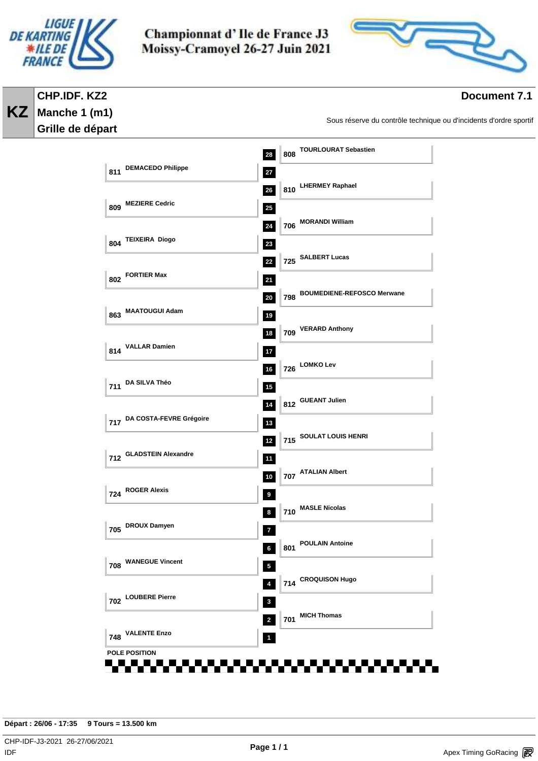

**CHP.IDF. KZ2 Manche 1 (m1) Grille de départ** 

**KZ**

Championnat d'Ile de France J3 Moissy-Cramoyel 26-27 Juin 2021



# **Document 7.1**

Sous réserve du contrôle technique ou d'incidents d'ordre sportif

| 811 DEMACEDO Philippe<br>27<br>810 LHERMEY Raphael<br>$26\phantom{.0}$<br>809 MEZIERE Cedric<br>$25\,$<br>706 MORANDI William<br>24<br>804 TEIXEIRA Diogo<br>23<br>725 SALBERT Lucas<br>22<br>802 FORTIER Max<br>21<br>798 BOUMEDIENE-REFOSCO Merwane<br>20<br>863 MAATOUGUI Adam<br>19<br>709 VERARD Anthony<br>18<br>814 VALLAR Damien<br>$17\,$<br>726 LOMKO Lev<br>16<br>711 DA SILVA Théo<br>$15\,$<br>812 GUEANT Julien<br>14<br>717 DA COSTA-FEVRE Grégoire<br>$13$<br>715 SOULAT LOUIS HENRI<br>$12$<br>712 GLADSTEIN Alexandre<br>11<br>707 ATALIAN Albert<br>10<br>724 ROGER Alexis<br>9 |
|----------------------------------------------------------------------------------------------------------------------------------------------------------------------------------------------------------------------------------------------------------------------------------------------------------------------------------------------------------------------------------------------------------------------------------------------------------------------------------------------------------------------------------------------------------------------------------------------------|
|                                                                                                                                                                                                                                                                                                                                                                                                                                                                                                                                                                                                    |
|                                                                                                                                                                                                                                                                                                                                                                                                                                                                                                                                                                                                    |
|                                                                                                                                                                                                                                                                                                                                                                                                                                                                                                                                                                                                    |
|                                                                                                                                                                                                                                                                                                                                                                                                                                                                                                                                                                                                    |
|                                                                                                                                                                                                                                                                                                                                                                                                                                                                                                                                                                                                    |
|                                                                                                                                                                                                                                                                                                                                                                                                                                                                                                                                                                                                    |
|                                                                                                                                                                                                                                                                                                                                                                                                                                                                                                                                                                                                    |
|                                                                                                                                                                                                                                                                                                                                                                                                                                                                                                                                                                                                    |
|                                                                                                                                                                                                                                                                                                                                                                                                                                                                                                                                                                                                    |
|                                                                                                                                                                                                                                                                                                                                                                                                                                                                                                                                                                                                    |
|                                                                                                                                                                                                                                                                                                                                                                                                                                                                                                                                                                                                    |
|                                                                                                                                                                                                                                                                                                                                                                                                                                                                                                                                                                                                    |
|                                                                                                                                                                                                                                                                                                                                                                                                                                                                                                                                                                                                    |
|                                                                                                                                                                                                                                                                                                                                                                                                                                                                                                                                                                                                    |
|                                                                                                                                                                                                                                                                                                                                                                                                                                                                                                                                                                                                    |
|                                                                                                                                                                                                                                                                                                                                                                                                                                                                                                                                                                                                    |
| 710 MASLE Nicolas                                                                                                                                                                                                                                                                                                                                                                                                                                                                                                                                                                                  |
| 8<br>705 DROUX Damyen                                                                                                                                                                                                                                                                                                                                                                                                                                                                                                                                                                              |
| $\overline{I}$<br><b>POULAIN Antoine</b><br>801                                                                                                                                                                                                                                                                                                                                                                                                                                                                                                                                                    |
| 6<br><b>708 WANEGUE Vincent</b><br>$\overline{\mathbf{5}}$                                                                                                                                                                                                                                                                                                                                                                                                                                                                                                                                         |
| 714 CROQUISON Hugo<br>$\boldsymbol{4}$                                                                                                                                                                                                                                                                                                                                                                                                                                                                                                                                                             |
| 702 LOUBERE Pierre<br>$\mathbf 3$                                                                                                                                                                                                                                                                                                                                                                                                                                                                                                                                                                  |
| 701 MICH Thomas<br>$\overline{\mathbf{2}}$                                                                                                                                                                                                                                                                                                                                                                                                                                                                                                                                                         |
| <b>VALENTE Enzo</b><br>748<br>1                                                                                                                                                                                                                                                                                                                                                                                                                                                                                                                                                                    |
| POLE POSITION                                                                                                                                                                                                                                                                                                                                                                                                                                                                                                                                                                                      |

**Départ : 26/06 - 17:35 9 Tours = 13.500 km**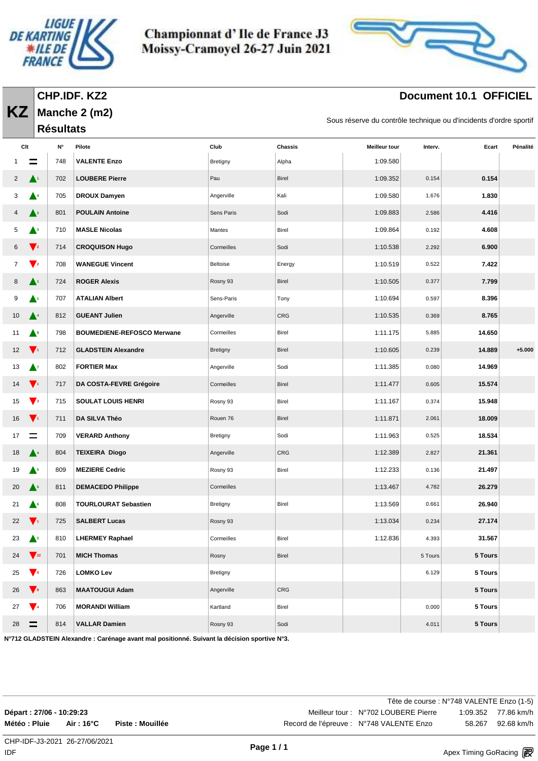

**Manche 2 (m2)**

**Résultats** 

**KZ**

Championnat d'Ile de France J3 Moissy-Cramoyel 26-27 Juin 2021



# **Document 10.1 OFFICIEL**

Sous réserve du contrôle technique ou d'incidents d'ordre sportif

|    | Clt                       | N۰  | Pilote                            | Club            | <b>Chassis</b> | <b>Meilleur tour</b> | Interv. | Ecart   | Pénalité |
|----|---------------------------|-----|-----------------------------------|-----------------|----------------|----------------------|---------|---------|----------|
|    |                           | 748 | <b>VALENTE Enzo</b>               | <b>Bretigny</b> | Alpha          | 1:09.580             |         |         |          |
| 2  | A1                        | 702 | <b>LOUBERE Pierre</b>             | Pau             | Birel          | 1:09.352             | 0.154   | 0.154   |          |
| 3  | ▲▲                        | 705 | <b>DROUX Damyen</b>               | Angerville      | Kali           | 1:09.580             | 1.676   | 1.830   |          |
|    | $\blacktriangle^2$        | 801 | <b>POULAIN Antoine</b>            | Sens Paris      | Sodi           | 1:09.883             | 2.586   | 4.416   |          |
| 5  | ▲                         | 710 | <b>MASLE Nicolas</b>              | Mantes          | Birel          | 1:09.864             | 0.192   | 4.608   |          |
| 6  | $\blacktriangledown_2$    | 714 | <b>CROQUISON Hugo</b>             | Cormeilles      | Sodi           | 1:10.538             | 2.292   | 6.900   |          |
| 7  | $\mathbf{V}^{\mathbf{2}}$ | 708 | <b>WANEGUE Vincent</b>            | Beltoise        | Energy         | 1:10.519             | 0.522   | 7.422   |          |
| 8  | A1.                       | 724 | <b>ROGER Alexis</b>               | Rosny 93        | Birel          | 1:10.505             | 0.377   | 7.799   |          |
| 9  | A1                        | 707 | <b>ATALIAN Albert</b>             | Sens-Paris      | Tony           | 1:10.694             | 0.597   | 8.396   |          |
| 10 | $\blacktriangle^4$        | 812 | <b>GUEANT Julien</b>              | Angerville      | CRG            | 1:10.535             | 0.369   | 8.765   |          |
| 11 | ▲॰                        | 798 | <b>BOUMEDIENE-REFOSCO Merwane</b> | Cormeilles      | Birel          | 1:11.175             | 5.885   | 14.650  |          |
| 12 | $\blacktriangledown_1$    | 712 | <b>GLADSTEIN Alexandre</b>        | <b>Bretigny</b> | Birel          | 1:10.605             | 0.239   | 14.889  | $+5.000$ |
| 13 | $\blacktriangle^7$        | 802 | <b>FORTIER Max</b>                | Angerville      | Sodi           | 1:11.385             | 0.080   | 14.969  |          |
| 14 | $\blacktriangledown_1$    | 717 | DA COSTA-FEVRE Grégoire           | Cormeilles      | Birel          | 1:11.477             | 0.605   | 15.574  |          |
| 15 | $\blacktriangledown_3$    | 715 | <b>SOULAT LOUIS HENRI</b>         | Rosny 93        | Birel          | 1:11.167             | 0.374   | 15.948  |          |
| 16 | $\mathbf{V}$ <sup>1</sup> | 711 | DA SILVA Théo                     | Rouen 76        | Birel          | 1:11.871             | 2.061   | 18.009  |          |
| 17 | $\equiv$                  | 709 | <b>VERARD Anthony</b>             | Bretigny        | Sodi           | 1:11.963             | 0.525   | 18.534  |          |
| 18 | ▲                         | 804 | <b>TEIXEIRA Diogo</b>             | Angerville      | CRG            | 1:12.389             | 2.827   | 21.361  |          |
| 19 | $\blacktriangle^5$        | 809 | <b>MEZIERE Cedric</b>             | Rosny 93        | Birel          | 1:12.233             | 0.136   | 21.497  |          |
| 20 | $\blacktriangle^6$        | 811 | <b>DEMACEDO Philippe</b>          | Cormeilles      |                | 1:13.467             | 4.782   | 26.279  |          |
| 21 | ▲∘                        | 808 | <b>TOURLOURAT Sebastien</b>       | Bretigny        | Birel          | 1:13.569             | 0.661   | 26.940  |          |
| 22 | $\mathbf{V}_1$            | 725 | <b>SALBERT Lucas</b>              | Rosny 93        |                | 1:13.034             | 0.234   | 27.174  |          |
| 23 | $\mathbf{L}^2$            | 810 | <b>LHERMEY Raphael</b>            | Cormeilles      | Birel          | 1:12.836             | 4.393   | 31.567  |          |
| 24 | $\mathbf{V}_{22}$         | 701 | <b>MICH Thomas</b>                | Rosny           | Birel          |                      | 5 Tours | 5 Tours |          |
| 25 | $\blacktriangledown$      | 726 | <b>LOMKO Lev</b>                  | Bretigny        |                |                      | 6.129   | 5 Tours |          |
| 26 | $\blacktriangledown$      | 863 | <b>MAATOUGUI Adam</b>             | Angerville      | CRG            |                      |         | 5 Tours |          |
| 27 | $\mathbf{V}$ <sup>4</sup> | 706 | <b>MORANDI William</b>            | Kartland        | Birel          |                      | 0.000   | 5 Tours |          |
| 28 | $=$                       | 814 | <b>VALLAR Damien</b>              | Rosny 93        | Sodi           |                      | 4.011   | 5 Tours |          |

**N°712 GLADSTEIN Alexandre : Carénage avant mal positionné. Suivant la décision sportive N°3.**

|                          |            |                  | Tête de course : N°748 VALENTE Enzo (1-5) |        |                     |
|--------------------------|------------|------------------|-------------------------------------------|--------|---------------------|
| Départ: 27/06 - 10:29:23 |            |                  | Meilleur tour: N°702 LOUBERE Pierre       |        | 1:09.352 77.86 km/h |
| Météo : Pluie            | Air : 16°C | Piste : Mouillée | Record de l'épreuve : N°748 VALENTE Enzo  | 58.267 | 92.68 km/h          |
|                          |            |                  |                                           |        |                     |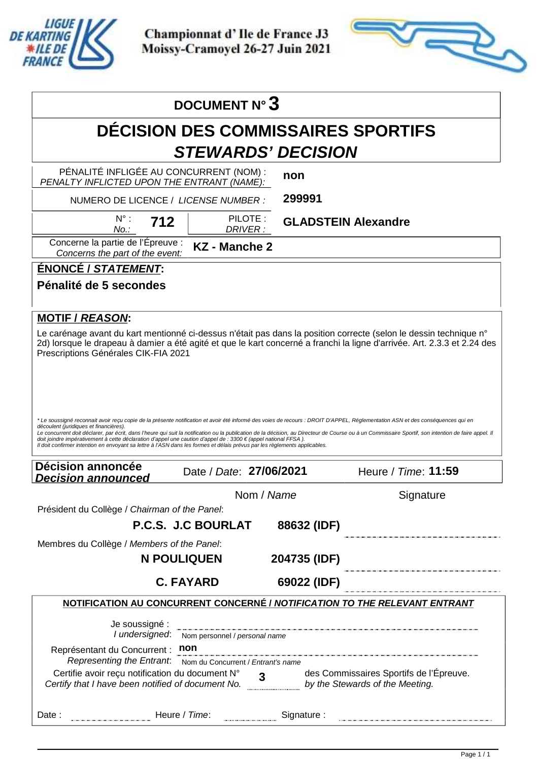

Apex Timing - timing solutions and services https://www.apex-timing.com/

Championnat d'Ile de France J3 Moissy-Cramoyel 26-27 Juin 2021



|                                                                                                                                                                                                                                                                                                                                                                                                                                                                                                     | <b>DOCUMENT N° 3</b>                         |                                           |                                                                                                                                                                                                                                               |
|-----------------------------------------------------------------------------------------------------------------------------------------------------------------------------------------------------------------------------------------------------------------------------------------------------------------------------------------------------------------------------------------------------------------------------------------------------------------------------------------------------|----------------------------------------------|-------------------------------------------|-----------------------------------------------------------------------------------------------------------------------------------------------------------------------------------------------------------------------------------------------|
|                                                                                                                                                                                                                                                                                                                                                                                                                                                                                                     |                                              | <b>DECISION DES COMMISSAIRES SPORTIFS</b> |                                                                                                                                                                                                                                               |
|                                                                                                                                                                                                                                                                                                                                                                                                                                                                                                     |                                              | <b>STEWARDS' DECISION</b>                 |                                                                                                                                                                                                                                               |
| PÉNALITÉ INFLIGÉE AU CONCURRENT (NOM) :<br>PENALTY INFLICTED UPON THE ENTRANT (NAME):                                                                                                                                                                                                                                                                                                                                                                                                               |                                              | non                                       |                                                                                                                                                                                                                                               |
| NUMERO DE LICENCE / LICENSE NUMBER :                                                                                                                                                                                                                                                                                                                                                                                                                                                                |                                              | 299991                                    |                                                                                                                                                                                                                                               |
| $N^{\circ}$ :<br>712<br>No.:                                                                                                                                                                                                                                                                                                                                                                                                                                                                        | PILOTE:<br>DRIVER:                           | <b>GLADSTEIN Alexandre</b>                |                                                                                                                                                                                                                                               |
| Concerne la partie de l'Épreuve :<br>Concerns the part of the event:                                                                                                                                                                                                                                                                                                                                                                                                                                | <b>KZ</b> - Manche 2                         |                                           |                                                                                                                                                                                                                                               |
| ÉNONCÉ / STATEMENT:                                                                                                                                                                                                                                                                                                                                                                                                                                                                                 |                                              |                                           |                                                                                                                                                                                                                                               |
| Pénalité de 5 secondes                                                                                                                                                                                                                                                                                                                                                                                                                                                                              |                                              |                                           |                                                                                                                                                                                                                                               |
| <b>MOTIF / REASON:</b>                                                                                                                                                                                                                                                                                                                                                                                                                                                                              |                                              |                                           |                                                                                                                                                                                                                                               |
| Prescriptions Générales CIK-FIA 2021                                                                                                                                                                                                                                                                                                                                                                                                                                                                |                                              |                                           | Le carénage avant du kart mentionné ci-dessus n'était pas dans la position correcte (selon le dessin technique n°<br>2d) lorsque le drapeau à damier a été agité et que le kart concerné a franchi la ligne d'arrivée. Art. 2.3.3 et 2.24 des |
|                                                                                                                                                                                                                                                                                                                                                                                                                                                                                                     |                                              |                                           |                                                                                                                                                                                                                                               |
| *Le soussigné reconnait avoir reçu copie de la présente notification et avoir été informé des voies de recours : DROIT D'APPEL, Réglementation ASN et des conséquences qui en<br>découlent (juridiques et financières).<br>doit joindre impérativement à cette déclaration d'appel une caution d'appel de : 3300 € (appel national FFSA).<br>Il doit confirmer intention en envoyant sa lettre à l'ASN dans les formes et délais prévus par les règlements applicables.<br><b>Décision annoncée</b> |                                              |                                           | Le concurrent doit déclarer, par écrit, dans l'heure qui suit la notification ou la publication de la décision, au Directeur de Course ou à un Commissaire Sportif, son intention de faire appel. Il                                          |
| <b>Decision announced</b>                                                                                                                                                                                                                                                                                                                                                                                                                                                                           | Date / Date: 27/06/2021                      |                                           | Heure / Time: 11:59                                                                                                                                                                                                                           |
|                                                                                                                                                                                                                                                                                                                                                                                                                                                                                                     |                                              | Nom / Name                                | Signature                                                                                                                                                                                                                                     |
| Président du Collège / Chairman of the Panel:                                                                                                                                                                                                                                                                                                                                                                                                                                                       | P.C.S. J.C BOURLAT                           | 88632 (IDF)                               |                                                                                                                                                                                                                                               |
| Membres du Collège / Members of the Panel:                                                                                                                                                                                                                                                                                                                                                                                                                                                          |                                              |                                           |                                                                                                                                                                                                                                               |
|                                                                                                                                                                                                                                                                                                                                                                                                                                                                                                     | <b>N POULIQUEN</b>                           | 204735 (IDF)                              |                                                                                                                                                                                                                                               |
|                                                                                                                                                                                                                                                                                                                                                                                                                                                                                                     | <b>C. FAYARD</b>                             | 69022 (IDF)                               |                                                                                                                                                                                                                                               |
|                                                                                                                                                                                                                                                                                                                                                                                                                                                                                                     |                                              |                                           | NOTIFICATION AU CONCURRENT CONCERNÉ / NOTIFICATION TO THE RELEVANT ENTRANT                                                                                                                                                                    |
| Je soussigné :                                                                                                                                                                                                                                                                                                                                                                                                                                                                                      |                                              |                                           |                                                                                                                                                                                                                                               |
| Représentant du Concurrent : non                                                                                                                                                                                                                                                                                                                                                                                                                                                                    | I undersigned: Nom personnel / personal name |                                           |                                                                                                                                                                                                                                               |
| Representing the Entrant: Nom du Concurrent / Entrant's name<br>Certifie avoir reçu notification du document N° 3 des Commissaires Sportifs de l'I<br>Certify that I have been notified of document No. by the Stewards of the Meeting.                                                                                                                                                                                                                                                             |                                              |                                           | des Commissaires Sportifs de l'Épreuve.                                                                                                                                                                                                       |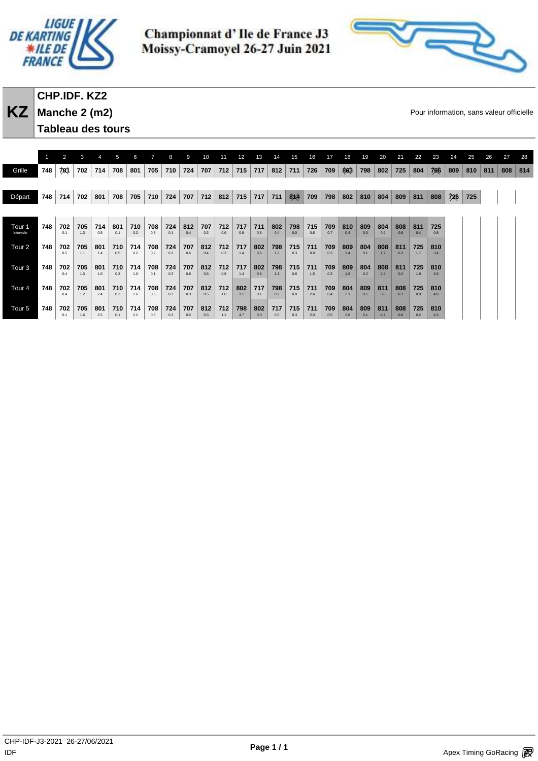



# **CHP.IDF. KZ2 Manche 2 (m2)**

**Tableau des tours** 

**KZ** Manche 2 (m2) **Manche 2 (m2) Example 2** CONSIDERATE Pour information, sans valeur officielle

|                      |     | 2          | 3          |            | 5          | 6          |            |            | 9          | 10         | 11         | 12         | 13         | 14         | 15         | 16         | 17         | 18         | 19         | 20         | 21         | 22         | 23         | 24  | 25  | 26  | 27  | 28  |
|----------------------|-----|------------|------------|------------|------------|------------|------------|------------|------------|------------|------------|------------|------------|------------|------------|------------|------------|------------|------------|------------|------------|------------|------------|-----|-----|-----|-----|-----|
| Grille               | 748 | 701        | 702        | 714        | 708        | 801        | 705        | 710        | 724        | 707        | 712        | 715        | 717        | 812        | 711        | 726        | 709        | 863        | 798        | 802        | 725        | 804        | 706        | 809 | 810 | 811 | 808 | 814 |
|                      |     |            |            |            |            |            |            |            |            |            |            |            |            |            |            |            |            |            |            |            |            |            |            |     |     |     |     |     |
| Départ               | 748 | 714        | 702        | 801        | 708        | 705        | 710        | 724        | 707        | 712        | 812        | 715        | 717        | 711        | 8X4        | 709        | 798        | 802        | 810        | 804        | 809        | 811        | 808        | 726 | 725 |     |     |     |
|                      |     |            |            |            |            |            |            |            |            |            |            |            |            |            |            |            |            |            |            |            |            |            |            |     |     |     |     |     |
| Tour 1<br>Intervalle | 748 | 702        | 705        | 714        | 801        | 710        | 708        | 724        | 812        | 707        | 712        | 717        | 711        | 802        | 798        | 715        | 709        | 810        | 809<br>0.3 | 804        | 808        | 811        | 725        |     |     |     |     |     |
|                      |     | 0.1        | 1.3        | 0.5        | 0.1        | 0.2        | 0.5        | 0.1        | 0.4        | 0.3        | 0.6        | 0.9        | 0.6        | 0.4        | 0.0        | 0.6        | 0.7        | 0.4        |            | 0.2        | 0.6        | 0.4        | 0.8        |     |     |     |     |     |
| Tour 2               | 748 | 702<br>0.5 | 705<br>1.1 | 801<br>1.4 | 710<br>0.5 | 714<br>0.2 | 708<br>0.2 | 724<br>0.3 | 707<br>0.6 | 812<br>0.4 | 712<br>0.3 | 717<br>1.4 | 802<br>0.6 | 798<br>1.2 | 715<br>0.3 | 711<br>0.8 | 709<br>0.3 | 809<br>1.4 | 804<br>0.1 | 808<br>1.7 | 811<br>0.3 | 725<br>1.7 | 810<br>3.4 |     |     |     |     |     |
| Tour 3               | 748 | 702        | 705        | 801        | 710        | 714        | 708        | 724        | 707        | 812        | 712        | 717        | 802        | 798        | 715        | 711        | 709        | 809        | 804        | 808        | 811        | 725        | 810        |     |     |     |     |     |
|                      |     | 0.4        | 1.3        | 1.9        | 0.3        | 1.0        | 0.1        | 0.3        | 0.6        | 0.6        | 0.8        | 1.4        | 0.6        | 1.1        | 0.8        | 1.5        | 0.3        | 1.6        | 0.2        | 2.2        | 0.2        | 1.9        | 2.9        |     |     |     |     |     |
| Tour 4               | 748 | 702<br>0.4 | 705<br>1.2 | 801<br>2.4 | 710<br>0.2 | 714<br>1.6 | 708<br>0.5 | 724<br>0.3 | 707<br>0.3 | 812<br>0.5 | 712<br>1.0 | 802<br>3.1 | 717<br>0.1 | 798<br>0.2 | 715<br>0.8 | 711<br>2.4 | 709<br>0.4 | 804<br>2.1 | 809<br>0.5 | 811<br>3.0 | 808<br>0.7 | 725<br>0.8 | 810<br>4.8 |     |     |     |     |     |
| Tour 5               | 748 | 702        | 705        | 801        | 710        | 714        | 708        | 724        | 707        | 812        | 712        | 798        | 802        | 717        | 715        | 711        | 709        | 804        | 809        | 811        | 808        | 725        | 810        |     |     |     |     |     |
|                      |     | 0.1        | 1.6        | 2.5        | 0.1        | 2.2        | 0.5        | 0.3        | 0.5        | 0.3        | 1.1        | 4.7        | 0.3        | 0.6        | 0.3        | 2.0        | 0.5        | 2.8        | 0.1        | 4.7        | 0.6        | 0.2        | 4.3        |     |     |     |     |     |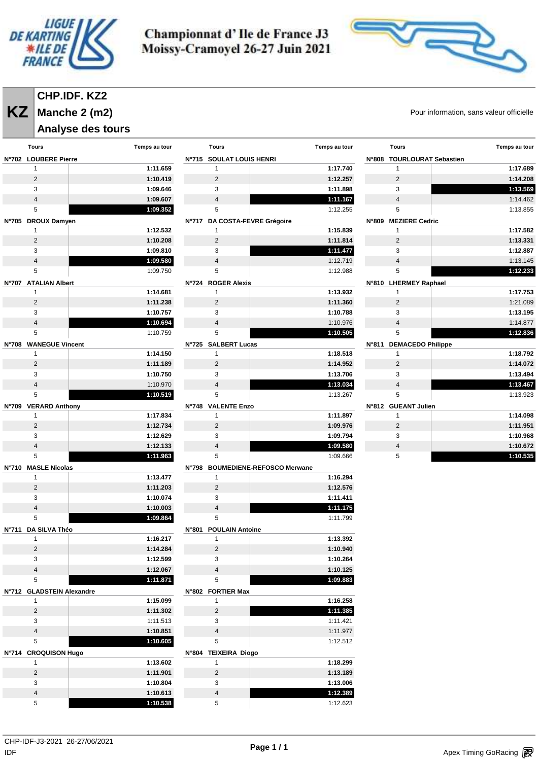



# **CHP.IDF. KZ2**

**KZ** Manche 2 (m2) **Manche 2 (m2)** and the state of the state of the state of the state of the state of the state of the state of the state of the state of the state of the state of the state of the state of the state of t **Manche 2 (m2)**

#### **Analyse des tours**

| Tours                     | Temps au tour | Tours                            | Temps au tour | <b>Tours</b>               | Temps au tour        |
|---------------------------|---------------|----------------------------------|---------------|----------------------------|----------------------|
| N°702 LOUBERE Pierre      |               | N°715 SOULAT LOUIS HENRI         |               | N°808 TOURLOURAT Sebastien |                      |
| $\mathbf{1}$              | 1:11.659      | $\mathbf{1}$                     | 1:17.740      | $\mathbf{1}$               | 1:17.689             |
| $\overline{2}$            | 1:10.419      | 2                                | 1:12.257      | 2                          | 1:14.208             |
| 3                         | 1:09.646      | 3                                | 1:11.898      | 3                          | 1:13.569             |
| $\overline{4}$            | 1:09.607      | $\overline{4}$                   | 1:11.167      | $\overline{4}$             | 1:14.462             |
| 5                         | 1:09.352      | 5                                | 1:12.255      | 5                          | 1:13.855             |
| N°705 DROUX Damyen        |               | N°717 DA COSTA-FEVRE Grégoire    |               | N°809 MEZIERE Cedric       |                      |
| $\mathbf{1}$              | 1:12.532      | $\mathbf{1}$                     | 1:15.839      | $\mathbf{1}$               | 1:17.582             |
| $\overline{2}$            | 1:10.208      | 2                                | 1:11.814      | $\overline{2}$             | 1:13.331             |
| 3                         | 1:09.810      | 3                                | 1:11.477      | 3                          | 1:12.887             |
| $\overline{4}$            | 1:09.580      | $\overline{4}$                   | 1:12.719      | $\overline{4}$             | 1:13.145             |
| 5                         | 1:09.750      | 5                                | 1:12.988      | 5                          | 1:12.233             |
| N°707 ATALIAN Albert      |               | N°724 ROGER Alexis               |               | N°810 LHERMEY Raphael      |                      |
| 1                         | 1:14.681      | $\mathbf{1}$                     | 1:13.932      | 1                          | 1:17.753             |
| $\overline{2}$            | 1:11.238      | 2                                | 1:11.360      | 2                          | 1:21.089             |
| 3                         | 1:10.757      | 3                                | 1:10.788      | 3                          | 1:13.195             |
| $\overline{4}$            |               |                                  |               |                            |                      |
| 5                         | 1:10.694      | 4<br>5                           | 1:10.976      | 4<br>5                     | 1:14.877<br>1:12.836 |
|                           | 1:10.759      |                                  | 1:10.505      |                            |                      |
| N°708 WANEGUE Vincent     |               | N°725 SALBERT Lucas              |               | N°811 DEMACEDO Philippe    |                      |
| $\mathbf{1}$              | 1:14.150      | $\mathbf{1}$                     | 1:18.518      | $\mathbf{1}$               | 1:18.792             |
| $\overline{2}$            | 1:11.189      | 2                                | 1:14.952      | $\overline{2}$             | 1:14.072             |
| 3                         | 1:10.750      | 3                                | 1:13.706      | 3                          | 1:13.494             |
| $\overline{\mathbf{4}}$   | 1:10.970      | 4                                | 1:13.034      | $\overline{4}$             | 1:13.467             |
| 5                         | 1:10.519      | 5                                | 1:13.267      | 5                          | 1:13.923             |
| N°709 VERARD Anthony      |               | N°748 VALENTE Enzo               |               | N°812 GUEANT Julien        |                      |
| 1                         | 1:17.834      | $\mathbf{1}$                     | 1:11.897      | $\mathbf{1}$               | 1:14.098             |
| $\overline{2}$            | 1:12.734      | 2                                | 1:09.976      | 2                          | 1:11.951             |
| 3                         | 1:12.629      | 3                                | 1:09.794      | 3                          | 1:10.968             |
| $\overline{4}$            | 1:12.133      | $\overline{4}$                   | 1:09.580      | $\overline{4}$             | 1:10.672             |
| 5                         | 1:11.963      | 5                                | 1:09.666      | 5                          | 1:10.535             |
| N°710 MASLE Nicolas       |               | N°798 BOUMEDIENE-REFOSCO Merwane |               |                            |                      |
| $\mathbf{1}$              | 1:13.477      | $\mathbf{1}$                     | 1:16.294      |                            |                      |
| $\overline{2}$            | 1:11.203      | $\overline{2}$                   | 1:12.576      |                            |                      |
| 3                         | 1:10.074      | 3                                | 1:11.411      |                            |                      |
| $\overline{4}$            | 1:10.003      | $\overline{4}$                   | 1:11.175      |                            |                      |
| 5                         | 1:09.864      | 5                                | 1:11.799      |                            |                      |
| N°711 DA SILVA Théo       |               | N°801 POULAIN Antoine            |               |                            |                      |
| 1                         | 1:16.217      | $\mathbf{1}$                     | 1:13.392      |                            |                      |
| $\overline{2}$            | 1:14.284      | $\overline{c}$                   | 1:10.940      |                            |                      |
| 3                         | 1:12.599      | 3                                | 1:10.264      |                            |                      |
| $\overline{4}$            | 1:12.067      | $\overline{4}$                   | 1:10.125      |                            |                      |
| 5                         | 1:11.871      | $\,$ 5 $\,$                      | 1:09.883      |                            |                      |
| N°712 GLADSTEIN Alexandre |               | N°802 FORTIER Max                |               |                            |                      |
| $\mathbf{1}$              | 1:15.099      | $\mathbf{1}$                     | 1:16.258      |                            |                      |
| $\overline{2}$            | 1:11.302      | $\overline{2}$                   | 1:11.385      |                            |                      |
| 3                         | 1:11.513      | 3                                | 1:11.421      |                            |                      |
| $\overline{4}$            | 1:10.851      | $\overline{4}$                   | 1:11.977      |                            |                      |
| 5                         | 1:10.605      | 5                                | 1:12.512      |                            |                      |
| N°714 CROQUISON Hugo      |               | N°804 TEIXEIRA Diogo             |               |                            |                      |
| $\mathbf{1}$              | 1:13.602      | $\mathbf{1}$                     | 1:18.299      |                            |                      |
| $\overline{2}$            | 1:11.901      | $\overline{2}$                   | 1:13.189      |                            |                      |
| 3                         | 1:10.804      | 3                                | 1:13.006      |                            |                      |
| $\overline{\mathbf{4}}$   | 1:10.613      | $\sqrt{4}$                       | 1:12.389      |                            |                      |
| 5                         | 1:10.538      | 5                                | 1:12.623      |                            |                      |
|                           |               |                                  |               |                            |                      |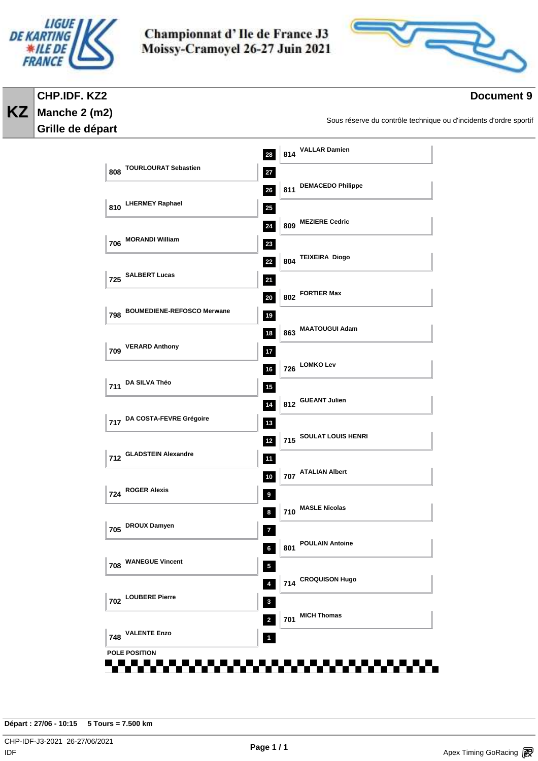

**Manche 2 (m2) Grille de départ** 

**KZ**

Championnat d'Ile de France J3 Moissy-Cramoyel 26-27 Juin 2021



#### **Document 9**

Sous réserve du contrôle technique ou d'incidents d'ordre sportif

 **<sup>814</sup> VALLAR Damien TOURLOURAT Sebastien <sup>811</sup> DEMACEDO Philippe LHERMEY Raphael <sup>809</sup> MEZIERE Cedric MORANDI William <sup>804</sup> TEIXEIRA Diogo SALBERT Lucas <sup>802</sup> FORTIER Max BOUMEDIENE-REFOSCO Merwane <sup>863</sup> MAATOUGUI Adam VERARD Anthony <sup>726</sup> LOMKO Lev DA SILVA Théo <sup>812</sup> GUEANT Julien DA COSTA-FEVRE Grégoire <sup>715</sup> SOULAT LOUIS HENRI GLADSTEIN Alexandre <sup>707</sup> ATALIAN Albert ROGER Alexis <sup>710</sup> MASLE Nicolas DROUX Damyen <sup>801</sup> POULAIN Antoine WANEGUE Vincent <sup>714</sup> CROQUISON Hugo LOUBERE Pierre <sup>701</sup> MICH Thomas VALENTE Enzo POLE POSITION**

**Départ : 27/06 - 10:15 5 Tours = 7.500 km**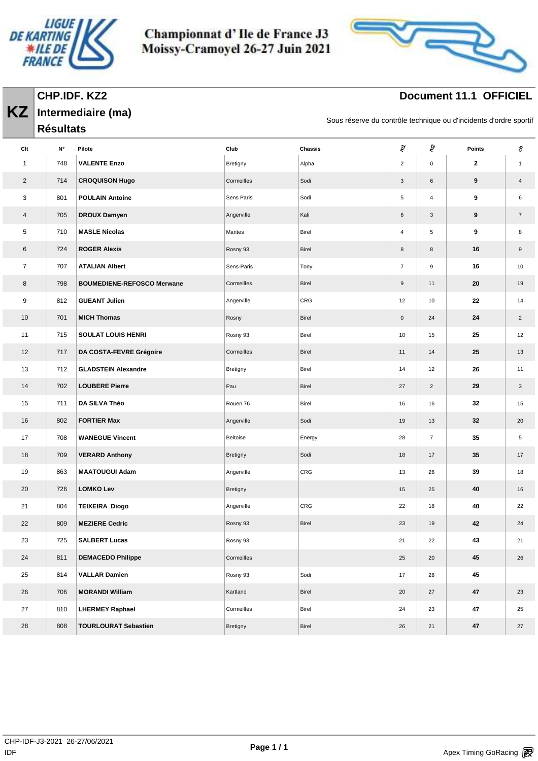

**Intermediaire (ma)**

**KZ**

Championnat d'Ile de France J3 Moissy-Cramoyel 26-27 Juin 2021



# **Document 11.1 OFFICIEL**

Sous réserve du contrôle technique ou d'incidents d'ordre sportif

|                | <b>Résultats</b> |                                   |            |              |                         |                |        |                  |
|----------------|------------------|-----------------------------------|------------|--------------|-------------------------|----------------|--------|------------------|
| Clt            | N°               | Pilote                            | Club       | Chassis      | ξ                       | ङ्के           | Points | s                |
| 1              | 748              | <b>VALENTE Enzo</b>               | Bretigny   | Alpha        | $\overline{\mathbf{c}}$ | $\mathbf 0$    | 2      | $\mathbf{1}$     |
| $\overline{2}$ | 714              | <b>CROQUISON Hugo</b>             | Cormeilles | Sodi         | 3                       | 6              | 9      | $\overline{4}$   |
| 3              | 801              | <b>POULAIN Antoine</b>            | Sens Paris | Sodi         | 5                       | 4              | 9      | $\,6\,$          |
| $\overline{4}$ | 705              | <b>DROUX Damyen</b>               | Angerville | Kali         | 6                       | 3              | 9      | $\overline{7}$   |
| 5              | 710              | <b>MASLE Nicolas</b>              | Mantes     | Birel        | 4                       | 5              | 9      | 8                |
| 6              | 724              | <b>ROGER Alexis</b>               | Rosny 93   | <b>Birel</b> | 8                       | 8              | 16     | $\boldsymbol{9}$ |
| $\overline{7}$ | 707              | <b>ATALIAN Albert</b>             | Sens-Paris | Tony         | $\overline{7}$          | 9              | 16     | 10               |
| 8              | 798              | <b>BOUMEDIENE-REFOSCO Merwane</b> | Cormeilles | <b>Birel</b> | $9\,$                   | 11             | 20     | 19               |
| 9              | 812              | <b>GUEANT Julien</b>              | Angerville | CRG          | 12                      | 10             | 22     | 14               |
| 10             | 701              | <b>MICH Thomas</b>                | Rosny      | <b>Birel</b> | $\mathsf{O}\xspace$     | 24             | 24     | $\overline{2}$   |
| 11             | 715              | <b>SOULAT LOUIS HENRI</b>         | Rosny 93   | Birel        | 10                      | 15             | 25     | 12               |
| 12             | 717              | DA COSTA-FEVRE Grégoire           | Cormeilles | <b>Birel</b> | 11                      | 14             | 25     | 13               |
| 13             | 712              | <b>GLADSTEIN Alexandre</b>        | Bretigny   | Birel        | 14                      | 12             | 26     | 11               |
| 14             | 702              | <b>LOUBERE Pierre</b>             | Pau        | Birel        | 27                      | $\overline{2}$ | 29     | 3                |
| 15             | 711              | DA SILVA Théo                     | Rouen 76   | Birel        | 16                      | 16             | 32     | 15               |
| 16             | 802              | <b>FORTIER Max</b>                | Angerville | Sodi         | 19                      | 13             | 32     | 20               |
| 17             | 708              | <b>WANEGUE Vincent</b>            | Beltoise   | Energy       | 28                      | $\overline{7}$ | 35     | 5                |
| 18             | 709              | <b>VERARD Anthony</b>             | Bretigny   | Sodi         | 18                      | 17             | 35     | 17               |
| 19             | 863              | <b>MAATOUGUI Adam</b>             | Angerville | CRG          | 13                      | 26             | 39     | 18               |
| 20             | 726              | <b>LOMKO Lev</b>                  | Bretigny   |              | 15                      | 25             | 40     | 16               |
| 21             | 804              | <b>TEIXEIRA Diogo</b>             | Angerville | CRG          | 22                      | 18             | 40     | 22               |
| 22             | 809              | <b>MEZIERE Cedric</b>             | Rosny 93   | Birel        | 23                      | 19             | 42     | 24               |
| 23             | 725              | <b>SALBERT Lucas</b>              | Rosny 93   |              | 21                      | 22             | 43     | 21               |
| 24             | 811              | <b>DEMACEDO Philippe</b>          | Cormeilles |              | 25                      | 20             | 45     | 26               |
| 25             | 814              | <b>VALLAR Damien</b>              | Rosny 93   | Sodi         | 17                      | 28             | 45     |                  |
| 26             | 706              | <b>MORANDI William</b>            | Kartland   | Birel        | 20                      | 27             | 47     | 23               |
| 27             | 810              | <b>LHERMEY Raphael</b>            | Cormeilles | Birel        | 24                      | 23             | 47     | 25               |
| 28             | 808              | <b>TOURLOURAT Sebastien</b>       | Bretigny   | Birel        | 26                      | 21             | 47     | 27               |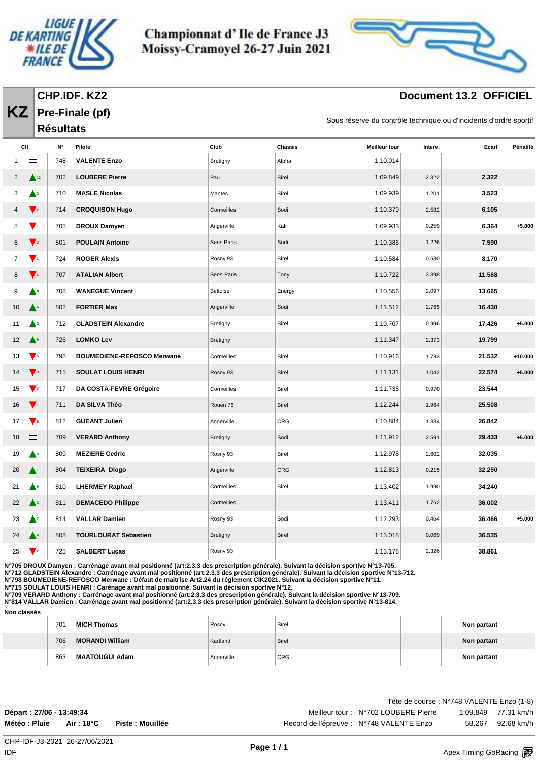

**CHP.IDF. KZ2 Pre-Finale (pf)**

**KZ**

Championnat d'Ile de France J3 Moissy-Cramoyel 26-27 Juin 2021



# **Document 13.2 OFFICIEL**

Sous réserve du contrôle technique ou d'incidents d'ordre sportif

|                |                                             | <b>Résultats</b> |                                   |            |                |                      |         |        |           |
|----------------|---------------------------------------------|------------------|-----------------------------------|------------|----------------|----------------------|---------|--------|-----------|
| Clt            |                                             | N°               | Pilote                            | Club       | <b>Chassis</b> | <b>Meilleur tour</b> | Interv. | Ecart  | Pénalité  |
|                |                                             | 748              | <b>VALENTE Enzo</b>               | Bretigny   | Alpha          | 1:10.014             |         |        |           |
| $\overline{2}$ | $\triangle$ <sup>12</sup>                   | 702              | <b>LOUBERE Pierre</b>             | Pau        | Birel          | 1:09.849             | 2.322   | 2.322  |           |
| 3              | $\blacktriangle^2$                          | 710              | <b>MASLE Nicolas</b>              | Mantes     | Birel          | 1:09.939             | 1.201   | 3.523  |           |
| 4              | $\mathbf{V}_2$                              | 714              | <b>CROQUISON Hugo</b>             | Cormeilles | Sodi           | 1:10.379             | 2.582   | 6.105  |           |
| 5              | $\mathbf{V}^{\mathbf{t}}$                   | 705              | <b>DROUX Damyen</b>               | Angerville | Kali           | 1:09.933             | 0.259   | 6.364  | $+5.000$  |
| 6              | $\blacktriangledown_3$                      | 801              | <b>POULAIN Antoine</b>            | Sens Paris | Sodi           | 1:10.386             | 1.226   | 7.590  |           |
| 7              | $\mathbf{V}$                                | 724              | <b>ROGER Alexis</b>               | Rosny 93   | Birel          | 1:10.584             | 0.580   | 8.170  |           |
| 8              | $\blacktriangledown_1$                      | 707              | <b>ATALIAN Albert</b>             | Sens-Paris | Tony           | 1:10.722             | 3.398   | 11.568 |           |
| 9              | ▲॰                                          | 708              | <b>WANEGUE Vincent</b>            | Beltoise   | Energy         | 1:10.556             | 2.097   | 13.665 |           |
| 10             | $\triangle^6$                               | 802              | <b>FORTIER Max</b>                | Angerville | Sodi           | 1:11.512             | 2.765   | 16.430 |           |
| 11             | $\blacktriangle^2$                          | 712              | <b>GLADSTEIN Alexandre</b>        | Bretigny   | Birel          | 1:10.707             | 0.996   | 17.426 | $+5.000$  |
| 12             | $\blacktriangle^s$                          | 726              | <b>LOMKO Lev</b>                  | Bretigny   |                | 1:11.347             | 2.373   | 19.799 |           |
| 13             | $\blacktriangledown$ <sub>5</sub>           | 798              | <b>BOUMEDIENE-REFOSCO Merwane</b> | Cormeilles | Birel          | 1:10.916             | 1.733   | 21.532 | $+10.000$ |
| 14             | $\sqrt{3}$                                  | 715              | <b>SOULAT LOUIS HENRI</b>         | Rosny 93   | Birel          | 1:11.131             | 1.042   | 22.574 | $+5.000$  |
| 15             | $\blacktriangledown$ <sub>3</sub>           | 717              | DA COSTA-FEVRE Grégoire           | Cormeilles | Birel          | 1:11.735             | 0.970   | 23.544 |           |
| 16             | $\mathbf{V}^{\scriptscriptstyle{\text{1}}}$ | 711              | DA SILVA Théo                     | Rouen 76   | Birel          | 1:12.244             | 1.964   | 25.508 |           |
| 17             | $\mathbf{V}$ 8                              | 812              | <b>GUEANT Julien</b>              | Angerville | CRG            | 1:10.884             | 1.334   | 26.842 |           |
| 18             | $\equiv$                                    | 709              | <b>VERARD Anthony</b>             | Bretigny   | Sodi           | 1:11.912             | 2.591   | 29.433 | $+5.000$  |
| 19             | $\blacktriangle^3$                          | 809              | <b>MEZIERE Cedric</b>             | Rosny 93   | Birel          | 1:12.978             | 2.602   | 32.035 |           |
| 20             | $\blacktriangle^+$                          | 804              | <b>TEIXEIRA Diogo</b>             | Angerville | CRG            | 1:12.813             | 0.215   | 32.250 |           |
| 21             | ▲∘                                          | 810              | <b>LHERMEY Raphael</b>            | Cormeilles | Birel          | 1:13.402             | 1.990   | 34.240 |           |
| 22             | $\blacktriangle^2$                          | 811              | <b>DEMACEDO Philippe</b>          | Cormeilles |                | 1:13.411             | 1.762   | 36.002 |           |
| 23             | $\blacktriangle^2$                          | 814              | <b>VALLAR Damien</b>              | Rosny 93   | Sodi           | 1:12.293             | 0.464   | 36.466 | $+5.000$  |
| 24             | ▲▲                                          | 808              | <b>TOURLOURAT Sebastien</b>       | Bretigny   | Birel          | 1:13.018             | 0.069   | 36.535 |           |
| 25             | $\blacktriangledown_2$                      | 725              | <b>SALBERT Lucas</b>              | Rosny 93   |                | 1:13.178             | 2.326   | 38.861 |           |

**N°705 DROUX Damyen : Carrénage avant mal positionné (art:2.3.3 des prescription générale). Suivant la décision sportive N°13-705.**

**N°712 GLADSTEIN Alexandre : Carrénage avant mal positionné (art:2.3.3 des prescription générale). Suivant la décision sportive N°13-712.**

**N°798 BOUMEDIENE-REFOSCO Merwane : Défaut de maitrîse Art2.24 du réglement CIK2021. Suivant la décision sportive N°11.**

**N°715 SOULAT LOUIS HENRI : Carénage avant mal positionné. Suivant la décision sportive N°12.**

**N°709 VERARD Anthony : Carrénage avant mal positionné (art:2.3.3 des prescription générale). Suivant la décision sportive N°13-709.**

**N°814 VALLAR Damien : Carrénage avant mal positionné (art:2.3.3 des prescription générale). Suivant la décision sportive N°13-814.**

**Non classés**

| ---------- |                 |                    |            |              |  |             |  |
|------------|-----------------|--------------------|------------|--------------|--|-------------|--|
|            | 70 <sup>1</sup> | <b>MICH Thomas</b> | Rosny      | Birel        |  | Non partant |  |
|            | 706             | MORANDI William    | Kartland   | <b>Birel</b> |  | Non partant |  |
|            | 863             | MAATOUGUI Adam     | Angerville | <b>CRG</b>   |  | Non partant |  |

|                           |            |                  | Tête de course : N°748 VALENTE Enzo (1-8) |        |                     |
|---------------------------|------------|------------------|-------------------------------------------|--------|---------------------|
| Départ : 27/06 - 13:49:34 |            |                  | Meilleur tour: N°702 LOUBERE Pierre       |        | 1:09.849 77.31 km/h |
| Météo : Pluie             | Air : 18°C | Piste : Mouillée | Record de l'épreuve : N°748 VALENTE Enzo  | 58.267 | 92.68 km/h          |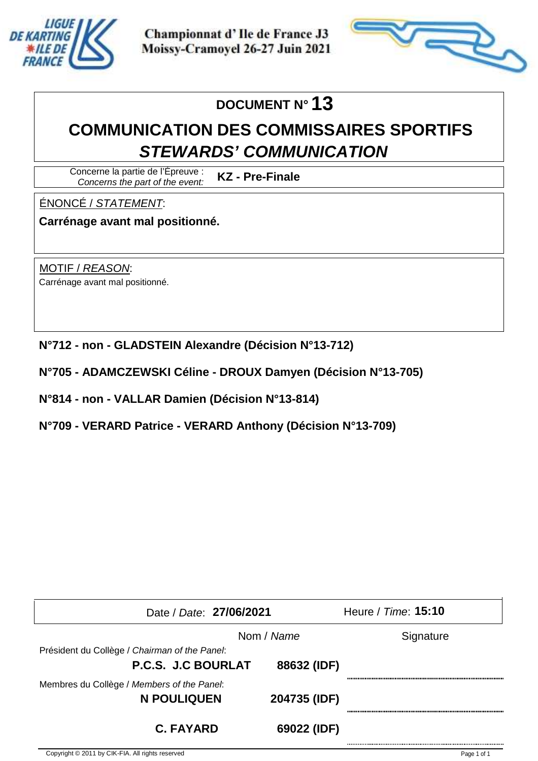



# **DOCUMENT N° 13**

# **COMMUNICATION DES COMMISSAIRES SPORTIFS STEWARDS' COMMUNICATION**

Concerne la partie de l'Épreuve : Concerns the part of the event: **KZ - Pre-Finale**

ÉNONCÉ / STATEMENT:

**Carrénage avant mal positionné.**

MOTIF / REASON: Carrénage avant mal positionné.

- **N°712 non GLADSTEIN Alexandre (Décision N°13-712)**
- **N°705 ADAMCZEWSKI Céline DROUX Damyen (Décision N°13-705)**

**N°814 - non - VALLAR Damien (Décision N°13-814)**

**N°709 - VERARD Patrice - VERARD Anthony (Décision N°13-709)**

| Date / Date: 27/06/2021                                                    |              | Heure / Time: 15:10 |
|----------------------------------------------------------------------------|--------------|---------------------|
|                                                                            | Nom / Name   | Signature           |
| Président du Collège / Chairman of the Panel:<br><b>P.C.S. J.C BOURLAT</b> | 88632 (IDF)  |                     |
| Membres du Collège / Members of the Panel:<br>N POULIQUEN                  | 204735 (IDF) |                     |
| <b>C. FAYARD</b>                                                           | 69022 (IDF)  |                     |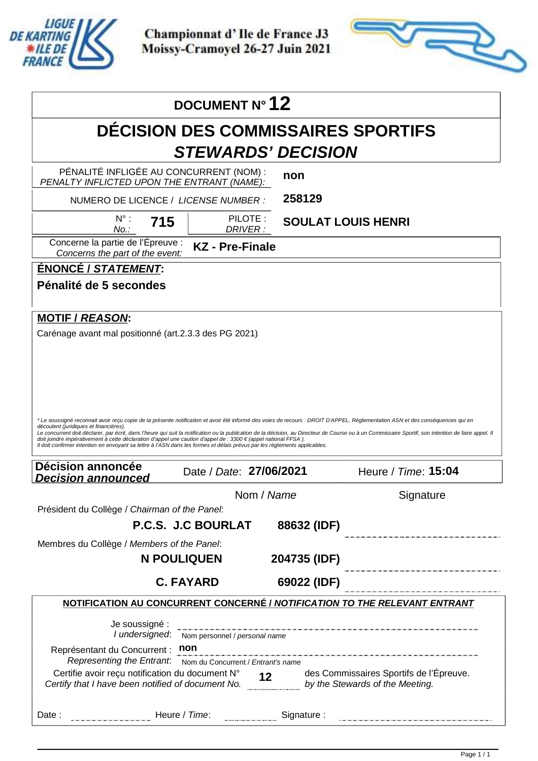

Apex Timing - timing solutions and services https://www.apex-timing.com/

Championnat d'Ile de France J3 Moissy-Cramoyel 26-27 Juin 2021



|                                                                                                                                                                                                                                                                                                                                                                                                                                 | DOCUMENT N° 12                       |                    |              |                                           |  |
|---------------------------------------------------------------------------------------------------------------------------------------------------------------------------------------------------------------------------------------------------------------------------------------------------------------------------------------------------------------------------------------------------------------------------------|--------------------------------------|--------------------|--------------|-------------------------------------------|--|
|                                                                                                                                                                                                                                                                                                                                                                                                                                 |                                      |                    |              | <b>DECISION DES COMMISSAIRES SPORTIFS</b> |  |
|                                                                                                                                                                                                                                                                                                                                                                                                                                 | <b>STEWARDS' DECISION</b>            |                    |              |                                           |  |
| PÉNALITÉ INFLIGÉE AU CONCURRENT (NOM) :<br>PENALTY INFLICTED UPON THE ENTRANT (NAME):                                                                                                                                                                                                                                                                                                                                           |                                      | non                |              |                                           |  |
| NUMERO DE LICENCE / LICENSE NUMBER :                                                                                                                                                                                                                                                                                                                                                                                            |                                      |                    | 258129       |                                           |  |
| $N^{\circ}$ :<br>715<br>No.:                                                                                                                                                                                                                                                                                                                                                                                                    |                                      | PILOTE:<br>DRIVER: |              | <b>SOULAT LOUIS HENRI</b>                 |  |
| Concerne la partie de l'Épreuve :<br>Concerns the part of the event:                                                                                                                                                                                                                                                                                                                                                            | <b>KZ</b> - Pre-Finale               |                    |              |                                           |  |
| ÉNONCÉ / STATEMENT:                                                                                                                                                                                                                                                                                                                                                                                                             |                                      |                    |              |                                           |  |
| Pénalité de 5 secondes                                                                                                                                                                                                                                                                                                                                                                                                          |                                      |                    |              |                                           |  |
|                                                                                                                                                                                                                                                                                                                                                                                                                                 |                                      |                    |              |                                           |  |
| <b>MOTIF / REASON:</b><br>Carénage avant mal positionné (art.2.3.3 des PG 2021)                                                                                                                                                                                                                                                                                                                                                 |                                      |                    |              |                                           |  |
|                                                                                                                                                                                                                                                                                                                                                                                                                                 |                                      |                    |              |                                           |  |
|                                                                                                                                                                                                                                                                                                                                                                                                                                 |                                      |                    |              |                                           |  |
|                                                                                                                                                                                                                                                                                                                                                                                                                                 |                                      |                    |              |                                           |  |
|                                                                                                                                                                                                                                                                                                                                                                                                                                 |                                      |                    |              |                                           |  |
|                                                                                                                                                                                                                                                                                                                                                                                                                                 |                                      |                    |              |                                           |  |
|                                                                                                                                                                                                                                                                                                                                                                                                                                 |                                      |                    |              |                                           |  |
| *Le soussigné reconnait avoir reçu copie de la présente notification et avoir été informé des voies de recours : DROIT D'APPEL, Réglementation ASN et des conséquences qui en<br>découlent (juridiques et financières).<br>Le concurrent doit déclarer, par écrit, dans l'heure qui suit la notification ou la publication de la décision, au Directeur de Course ou à un Commissaire Sportif, son intention de faire appel. Il |                                      |                    |              |                                           |  |
| doit joindre impérativement à cette déclaration d'appel une caution d'appel de : 3300 € (appel national FFSA).<br>Il doit confirmer intention en envoyant sa lettre à l'ASN dans les formes et délais prévus par les règlements applicables.                                                                                                                                                                                    |                                      |                    |              |                                           |  |
| Décision annoncée<br><b>Decision announced</b>                                                                                                                                                                                                                                                                                                                                                                                  | Date / Date: 27/06/2021              |                    |              | Heure / Time: 15:04                       |  |
|                                                                                                                                                                                                                                                                                                                                                                                                                                 |                                      | Nom / Name         |              | Signature                                 |  |
| Président du Collège / Chairman of the Panel:                                                                                                                                                                                                                                                                                                                                                                                   |                                      |                    |              |                                           |  |
|                                                                                                                                                                                                                                                                                                                                                                                                                                 | P.C.S. J.C BOURLAT                   |                    | 88632 (IDF)  |                                           |  |
| Membres du Collège / Members of the Panel:                                                                                                                                                                                                                                                                                                                                                                                      |                                      |                    |              |                                           |  |
|                                                                                                                                                                                                                                                                                                                                                                                                                                 | <b>N POULIQUEN</b>                   |                    | 204735 (IDF) |                                           |  |
|                                                                                                                                                                                                                                                                                                                                                                                                                                 | <b>C. FAYARD</b>                     |                    | 69022 (IDF)  |                                           |  |
| NOTIFICATION AU CONCURRENT CONCERNÉ / NOTIFICATION TO THE RELEVANT ENTRANT                                                                                                                                                                                                                                                                                                                                                      |                                      |                    |              |                                           |  |
| Je soussigné :                                                                                                                                                                                                                                                                                                                                                                                                                  |                                      |                    |              |                                           |  |
| I undersigned:<br>Représentant du Concurrent :                                                                                                                                                                                                                                                                                                                                                                                  | Nom personnel / personal name<br>non |                    |              |                                           |  |
| Representing the Entrant.                                                                                                                                                                                                                                                                                                                                                                                                       | Nom du Concurrent / Entrant's name   |                    |              |                                           |  |
| Certifie avoir reçu notification du document N° 12 des Commissaires Sportifs de l'I<br>Certify that I have been notified of document No. by the Stewards of the Meeting.                                                                                                                                                                                                                                                        |                                      |                    |              | des Commissaires Sportifs de l'Épreuve.   |  |
| Date:                                                                                                                                                                                                                                                                                                                                                                                                                           | Heure / Time:                        |                    | Signature:   |                                           |  |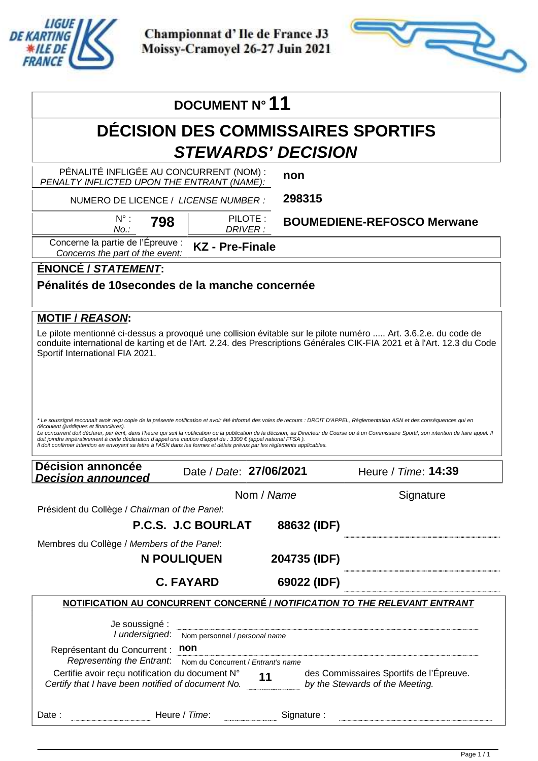

Apex Timing - timing solutions and services https://www.apex-timing.com/

Championnat d'Ile de France J3 Moissy-Cramoyel 26-27 Juin 2021



|                                                                                                                                                                                                                                                                                                                                                                                                                                                                                                                                                                                                                                                                                                              | DOCUMENT N° 11                         |                     |                                                                                                                     |                                         |
|--------------------------------------------------------------------------------------------------------------------------------------------------------------------------------------------------------------------------------------------------------------------------------------------------------------------------------------------------------------------------------------------------------------------------------------------------------------------------------------------------------------------------------------------------------------------------------------------------------------------------------------------------------------------------------------------------------------|----------------------------------------|---------------------|---------------------------------------------------------------------------------------------------------------------|-----------------------------------------|
|                                                                                                                                                                                                                                                                                                                                                                                                                                                                                                                                                                                                                                                                                                              |                                        |                     | <b>DÉCISION DES COMMISSAIRES SPORTIFS</b>                                                                           |                                         |
|                                                                                                                                                                                                                                                                                                                                                                                                                                                                                                                                                                                                                                                                                                              | <b>STEWARDS' DECISION</b>              |                     |                                                                                                                     |                                         |
| PÉNALITÉ INFLIGÉE AU CONCURRENT (NOM) :<br>PENALTY INFLICTED UPON THE ENTRANT (NAME):                                                                                                                                                                                                                                                                                                                                                                                                                                                                                                                                                                                                                        |                                        | non                 |                                                                                                                     |                                         |
| NUMERO DE LICENCE / LICENSE NUMBER :                                                                                                                                                                                                                                                                                                                                                                                                                                                                                                                                                                                                                                                                         |                                        | 298315              |                                                                                                                     |                                         |
| $N^{\circ}$ :<br>798<br>No.:                                                                                                                                                                                                                                                                                                                                                                                                                                                                                                                                                                                                                                                                                 |                                        | PILOTE:<br>DRIVER : |                                                                                                                     | <b>BOUMEDIENE-REFOSCO Merwane</b>       |
| Concerne la partie de l'Épreuve :<br>Concerns the part of the event:                                                                                                                                                                                                                                                                                                                                                                                                                                                                                                                                                                                                                                         | <b>KZ</b> - Pre-Finale                 |                     |                                                                                                                     |                                         |
| ÉNONCÉ / STATEMENT:                                                                                                                                                                                                                                                                                                                                                                                                                                                                                                                                                                                                                                                                                          |                                        |                     |                                                                                                                     |                                         |
| Pénalités de 10 secondes de la manche concernée                                                                                                                                                                                                                                                                                                                                                                                                                                                                                                                                                                                                                                                              |                                        |                     |                                                                                                                     |                                         |
| <b>MOTIF / REASON:</b>                                                                                                                                                                                                                                                                                                                                                                                                                                                                                                                                                                                                                                                                                       |                                        |                     |                                                                                                                     |                                         |
| Le pilote mentionné ci-dessus a provoqué une collision évitable sur le pilote numéro  Art. 3.6.2.e. du code de<br>conduite international de karting et de l'Art. 2.24. des Prescriptions Générales CIK-FIA 2021 et à l'Art. 12.3 du Code<br>Sportif International FIA 2021.                                                                                                                                                                                                                                                                                                                                                                                                                                  |                                        |                     |                                                                                                                     |                                         |
|                                                                                                                                                                                                                                                                                                                                                                                                                                                                                                                                                                                                                                                                                                              |                                        |                     |                                                                                                                     |                                         |
| * Le soussigné reconnait avoir reçu copie de la présente notification et avoir été informé des voies de recours : DROIT D'APPEL, Réglementation ASN et des conséquences qui en<br>découlent (juridiques et financières).<br>Le concurrent doit déclarer, par écrit, dans l'heure qui suit la notification ou la publication de la décision, au Directeur de Course ou à un Commissaire Sportif, son intention de faire appel. Il<br>doit joindre impérativement à cette déclaration d'appel une caution d'appel de : 3300 € (appel national FFSA).<br>Il doit confirmer intention en envoyant sa lettre à l'ASN dans les formes et délais prévus par les règlements applicables.<br><b>Décision annoncée</b> | Date / Date: 27/06/2021                |                     |                                                                                                                     | Heure / Time: 14:39                     |
| <b>Decision announced</b>                                                                                                                                                                                                                                                                                                                                                                                                                                                                                                                                                                                                                                                                                    |                                        | Nom / Name          |                                                                                                                     | Signature                               |
| Président du Collège / Chairman of the Panel:                                                                                                                                                                                                                                                                                                                                                                                                                                                                                                                                                                                                                                                                |                                        |                     |                                                                                                                     |                                         |
|                                                                                                                                                                                                                                                                                                                                                                                                                                                                                                                                                                                                                                                                                                              | P.C.S. J.C BOURLAT                     |                     | 88632 (IDF)                                                                                                         |                                         |
| Membres du Collège / Members of the Panel:                                                                                                                                                                                                                                                                                                                                                                                                                                                                                                                                                                                                                                                                   |                                        |                     |                                                                                                                     |                                         |
|                                                                                                                                                                                                                                                                                                                                                                                                                                                                                                                                                                                                                                                                                                              | <b>N POULIQUEN</b><br><b>C. FAYARD</b> |                     | 204735 (IDF)<br>69022 (IDF)                                                                                         |                                         |
| NOTIFICATION AU CONCURRENT CONCERNÉ / NOTIFICATION TO THE RELEVANT ENTRANT                                                                                                                                                                                                                                                                                                                                                                                                                                                                                                                                                                                                                                   |                                        |                     |                                                                                                                     |                                         |
| Je soussigné :                                                                                                                                                                                                                                                                                                                                                                                                                                                                                                                                                                                                                                                                                               |                                        |                     | .<br>2000 - Paris de Carolina de Carolina de Carolina de Carolina de Carolina de Carolina de Carolina de Carolina d |                                         |
| I undersigned:<br>Représentant du Concurrent : non                                                                                                                                                                                                                                                                                                                                                                                                                                                                                                                                                                                                                                                           | Nom personnel / personal name          |                     |                                                                                                                     |                                         |
| Representing the Entrant.<br>Certifie avoir reçu notification du document N° 11 des Commissaires Sportifs de l'I<br>Certify that I have been notified of document No. by the Stewards of the Meeting.                                                                                                                                                                                                                                                                                                                                                                                                                                                                                                        | Nom du Concurrent / Entrant's name     |                     |                                                                                                                     | des Commissaires Sportifs de l'Épreuve. |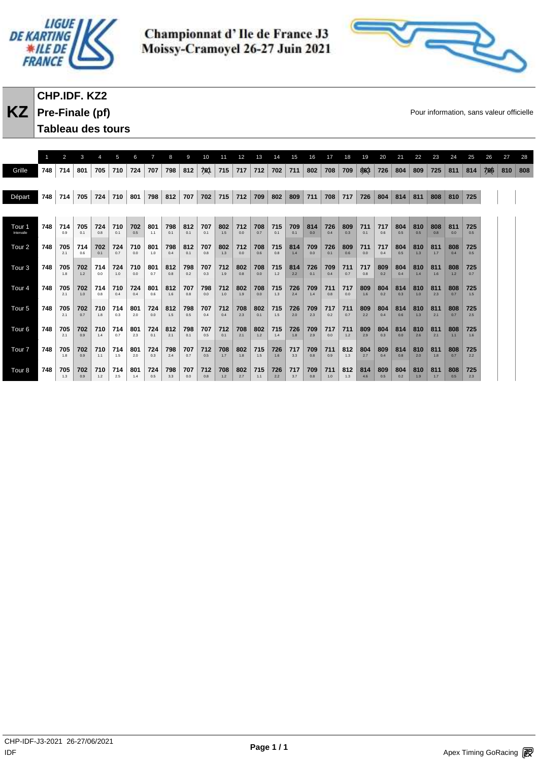



# **CHP.IDF. KZ2**

**KZ** Pre-Finale (pf) **Pre-Finale** (pf)

| Tableau des tours |  |
|-------------------|--|

|                      |     | 2          | З          |            | 5          |            |            |            | 9          | 10         | 11         | 12         | 13         | 14         | 15         | 16         | 17         | 18         | 19         | 20         | 21         | 22         | 23         | 24         | 25         | 26  | 27  | 28  |
|----------------------|-----|------------|------------|------------|------------|------------|------------|------------|------------|------------|------------|------------|------------|------------|------------|------------|------------|------------|------------|------------|------------|------------|------------|------------|------------|-----|-----|-----|
| Grille               | 748 | 714        | 801        | 705        | 710        | 724        | 707        | 798        | 812        | 701        | 715        | 717        | 712        | 702        | 711        | 802        | 708        | 709        | 863        | 726        | 804        | 809        | 725        | 811        | 814        | 706 | 810 | 808 |
|                      |     |            |            |            |            |            |            |            |            |            |            |            |            |            |            |            |            |            |            |            |            |            |            |            |            |     |     |     |
| Départ               | 748 | 714        | 705        | 724        | 710        | 801        | 798        | 812        | 707        | 702        | 715        | 712        | 709        | 802        | 809        | 711        | 708        | 717        | 726        | 804        | 814        | 811        | 808        | 810        | 725        |     |     |     |
|                      |     |            |            |            |            |            |            |            |            |            |            |            |            |            |            |            |            |            |            |            |            |            |            |            |            |     |     |     |
| Tour 1<br>Intervalle | 748 | 714<br>0.9 | 705<br>0.1 | 724<br>0.8 | 710<br>0.1 | 702<br>0.5 | 801<br>1.1 | 798<br>0.1 | 812<br>0.1 | 707<br>0.1 | 802<br>1.5 | 712<br>0.0 | 708<br>0.7 | 715<br>0.1 | 709<br>0.1 | 814<br>0.0 | 726<br>0.4 | 809<br>0.3 | 711<br>0.1 | 717<br>0.6 | 804<br>0.5 | 810<br>0.5 | 808<br>0.8 | 811<br>0.0 | 725<br>0.5 |     |     |     |
| Tour <sub>2</sub>    | 748 | 705<br>2.1 | 714<br>0.6 | 702<br>0.1 | 724<br>0.7 | 710<br>0.0 | 801<br>1.0 | 798<br>0.4 | 812<br>0.1 | 707<br>0.8 | 802<br>1.3 | 712<br>0.0 | 708<br>0.6 | 715<br>0.8 | 814<br>1.4 | 709<br>0.0 | 726<br>0.1 | 809<br>0.6 | 711<br>0.0 | 717<br>0.4 | 804<br>0.5 | 810<br>1.3 | 811<br>1.7 | 808<br>0.4 | 725<br>0.5 |     |     |     |
| Tour <sub>3</sub>    | 748 | 705<br>1.8 | 702<br>1.2 | 714<br>0.0 | 724<br>1.0 | 710<br>0.0 | 801<br>0.7 | 812<br>0.8 | 798<br>0.2 | 707<br>0.3 | 712<br>1.9 | 802<br>0.8 | 708<br>0.0 | 715<br>1.2 | 814<br>2.2 | 726<br>0.1 | 709<br>0.4 | 711<br>0.7 | 717<br>0.8 | 809<br>0.2 | 804<br>0.4 | 810<br>1.4 | 811<br>1.6 | 808<br>1.2 | 725<br>0.7 |     |     |     |
| Tour <sub>4</sub>    | 748 | 705<br>2.1 | 702<br>1.0 | 714<br>0.8 | 710<br>0.4 | 724<br>0.4 | 801<br>0.6 | 812<br>1.6 | 707<br>0.8 | 798<br>0.0 | 712<br>1.0 | 802<br>1.9 | 708<br>0.0 | 715<br>1.3 | 726<br>2.4 | 709<br>1.4 | 711<br>0.8 | 717<br>0.0 | 809<br>1.6 | 804<br>0.2 | 814<br>0.3 | 810<br>1.0 | 811<br>2.3 | 808<br>0.7 | 725<br>1.5 |     |     |     |
| Tour <sub>5</sub>    | 748 | 705<br>2.1 | 702<br>0.7 | 710<br>1.8 | 714<br>0.3 | 801<br>2.0 | 724<br>0.0 | 812<br>1.5 | 798<br>0.5 | 707<br>0.4 | 712<br>0.4 | 708<br>2.3 | 802<br>0.1 | 715<br>1.5 | 726<br>2.0 | 709<br>2.3 | 717<br>0.2 | 711<br>0.7 | 809<br>2.2 | 804<br>0.4 | 814<br>0.6 | 810<br>1.3 | 811<br>2.1 | 808<br>0.7 | 725<br>2.5 |     |     |     |
| Tour <sub>6</sub>    | 748 | 705<br>2.1 | 702<br>0.9 | 710<br>1.4 | 714<br>0.7 | 801<br>2.3 | 724<br>0.1 | 812<br>2.1 | 798<br>0.1 | 707<br>0.5 | 712<br>0.1 | 708<br>2.1 | 802<br>1.2 | 715<br>1.4 | 726<br>1.8 | 709<br>2.9 | 717<br>0.0 | 711<br>1.2 | 809<br>2.9 | 804<br>0.3 | 814<br>0.0 | 810<br>2.6 | 811<br>2.1 | 808<br>1.1 | 725<br>1.6 |     |     |     |
| Tour <sub>7</sub>    | 748 | 705<br>1.8 | 702<br>0.9 | 710<br>1.1 | 714<br>1.5 | 801<br>2.0 | 724<br>0.3 | 798<br>2.4 | 707<br>0.7 | 712<br>0.5 | 708<br>1.7 | 802<br>1.8 | 715<br>1.5 | 726<br>1.6 | 717<br>3.3 | 709<br>0.8 | 711<br>0.9 | 812<br>1.3 | 804<br>2.7 | 809<br>0.4 | 814<br>0.8 | 810<br>2.0 | 811<br>1.8 | 808<br>0.7 | 725<br>2.2 |     |     |     |
| Tour <sub>8</sub>    | 748 | 705<br>1.3 | 702<br>0.9 | 710<br>1.2 | 714<br>2.5 | 801<br>1.4 | 724<br>0.5 | 798<br>3.3 | 707<br>0.0 | 712<br>0.8 | 708<br>1.2 | 802<br>2.7 | 715<br>1.1 | 726<br>2.2 | 717<br>3.7 | 709<br>0.8 | 711<br>1.0 | 812<br>1.3 | 814<br>4.6 | 809<br>0.5 | 804<br>0.2 | 810<br>1.9 | 811<br>1.7 | 808<br>0.5 | 725<br>2.3 |     |     |     |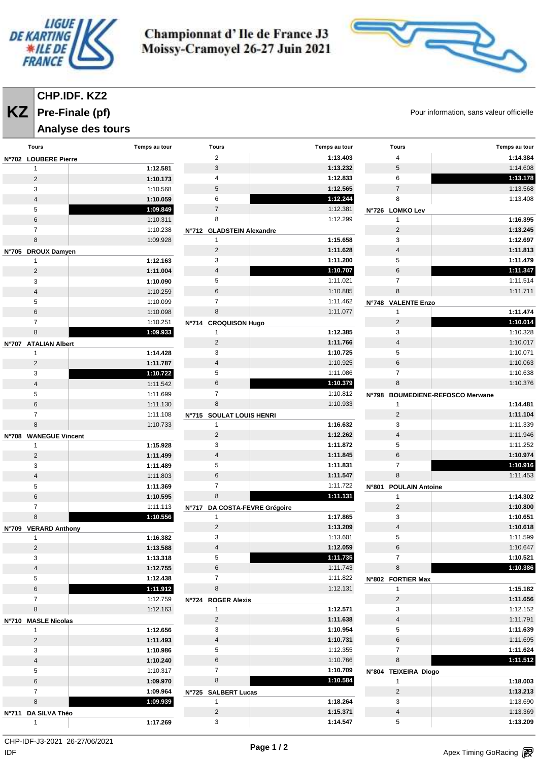



# **CHP.IDF. KZ2 Pre-Finale (pf)**

**Analyse des tours** 

**KZ** Pre-Finale (pf) **COVID-19** Pour information, sans valeur officielle

| <b>Tours</b>            | Temps au tour | <b>Tours</b>                  | Temps au tour | <b>Tours</b>                           | Temps au tour |
|-------------------------|---------------|-------------------------------|---------------|----------------------------------------|---------------|
| N°702 LOUBERE Pierre    |               | $\overline{c}$                | 1:13.403      | 4                                      | 1:14.384      |
| $\mathbf{1}$            | 1:12.581      | $\ensuremath{\mathsf{3}}$     | 1:13.232      | 5                                      | 1:14.608      |
| $\overline{2}$          | 1:10.173      | 4                             | 1:12.833      | 6                                      | 1:13.178      |
| 3                       | 1:10.568      | 5                             | 1:12.565      | $\overline{7}$                         | 1:13.568      |
| $\overline{4}$          | 1:10.059      | 6                             | 1:12.244      | 8                                      | 1:13.408      |
| 5                       | 1:09.849      | $\overline{7}$                | 1:12.381      | N°726 LOMKO Lev                        |               |
| 6                       | 1:10.311      | 8                             | 1:12.299      | 1                                      | 1:16.395      |
| $\overline{7}$          | 1:10.238      | N°712 GLADSTEIN Alexandre     |               | $\mathbf 2$                            | 1:13.245      |
| 8                       | 1:09.928      | $\mathbf{1}$                  | 1:15.658      | 3                                      | 1:12.697      |
| N°705 DROUX Damyen      |               | $\overline{2}$                | 1:11.628      | $\overline{\mathbf{4}}$                | 1:11.813      |
| $\mathbf{1}$            | 1:12.163      | 3                             | 1:11.200      | 5                                      | 1:11.479      |
| $\overline{2}$          | 1:11.004      | $\overline{4}$                | 1:10.707      | 6                                      | 1:11.347      |
| 3                       | 1:10.090      | 5                             | 1:11.021      | $\overline{7}$                         | 1:11.514      |
| $\overline{4}$          | 1:10.259      | $\,6\,$                       | 1:10.885      | 8                                      | 1:11.711      |
| 5                       | 1:10.099      | $\overline{7}$                | 1:11.462      |                                        |               |
| 6                       | 1:10.098      | 8                             | 1:11.077      | N°748 VALENTE Enzo<br>$\mathbf{1}$     | 1:11.474      |
| $\overline{7}$          | 1:10.251      |                               |               | $\sqrt{2}$                             | 1:10.014      |
| 8                       |               | N°714 CROQUISON Hugo          | 1:12.385      | 3                                      | 1:10.328      |
|                         | 1:09.933      | $\mathbf{1}$                  |               |                                        |               |
| N°707 ATALIAN Albert    |               | 2                             | 1:11.766      | $\overline{\mathbf{4}}$                | 1:10.017      |
| $\mathbf{1}$            | 1:14.428      | 3                             | 1:10.725      | 5                                      | 1:10.071      |
| $\overline{2}$          | 1:11.787      | $\overline{4}$                | 1:10.925      | 6                                      | 1:10.063      |
| 3                       | 1:10.722      | 5                             | 1:11.086      | $\overline{7}$                         | 1:10.638      |
| 4                       | 1:11.542      | 6                             | 1:10.379      | 8                                      | 1:10.376      |
| 5                       | 1:11.699      | $\overline{7}$                | 1:10.812      | N°798 BOUMEDIENE-REFOSCO Merwane       |               |
| 6                       | 1:11.130      | 8                             | 1:10.933      | $\mathbf{1}$                           | 1:14.481      |
| $\overline{7}$          | 1:11.108      | N°715 SOULAT LOUIS HENRI      |               | $\sqrt{2}$                             | 1:11.104      |
| 8                       | 1:10.733      | 1                             | 1:16.632      | 3                                      | 1:11.339      |
| N°708 WANEGUE Vincent   |               | $\overline{2}$                | 1:12.262      | $\overline{4}$                         | 1:11.946      |
| $\mathbf{1}$            | 1:15.928      | 3                             | 1:11.872      | 5                                      | 1:11.252      |
| $\overline{2}$          | 1:11.499      | $\overline{4}$                | 1:11.845      | 6                                      | 1:10.974      |
| 3                       | 1:11.489      | 5                             | 1:11.831      | $\overline{7}$                         | 1:10.916      |
| $\overline{4}$          | 1:11.803      | 6                             | 1:11.547      | 8                                      | 1:11.453      |
| 5                       | 1:11.369      | $\overline{7}$                | 1:11.722      | <b>POULAIN Antoine</b><br><b>N°801</b> |               |
| $\,6\,$                 | 1:10.595      | 8                             | 1:11.131      | $\mathbf{1}$                           | 1:14.302      |
| $\overline{7}$          | 1:11.113      | N°717 DA COSTA-FEVRE Grégoire |               | $\overline{2}$                         | 1:10.800      |
| 8                       | 1:10.556      | 1                             | 1:17.865      | 3                                      | 1:10.651      |
| N°709 VERARD Anthony    |               | $\overline{2}$                | 1:13.209      | $\overline{4}$                         | 1:10.618      |
| $\mathbf{1}$            | 1:16.382      | 3                             | 1:13.601      | 5                                      | 1:11.599      |
| $\overline{2}$          | 1:13.588      | $\overline{4}$                | 1:12.059      | 6                                      | 1:10.647      |
| 3                       | 1:13.318      | 5                             | 1:11.735      | $\overline{7}$                         | 1:10.521      |
| $\overline{\mathbf{4}}$ | 1:12.755      | 6                             | 1:11.743      | 8                                      | 1:10.386      |
| 5                       | 1:12.438      | $\overline{7}$                | 1:11.822      | N°802 FORTIER Max                      |               |
| $\,6\,$                 | 1:11.912      | $\bf 8$                       | 1:12.131      | $\mathbf{1}$                           | 1:15.182      |
| $\overline{7}$          | 1:12.759      | N°724 ROGER Alexis            |               | $\sqrt{2}$                             | 1:11.656      |
| 8                       | 1:12.163      | $\mathbf{1}$                  | 1:12.571      | 3                                      | 1:12.152      |
| N°710 MASLE Nicolas     |               | $\overline{c}$                | 1:11.638      | $\sqrt{4}$                             | 1:11.791      |
| $\mathbf{1}$            | 1:12.656      | 3                             | 1:10.954      | 5                                      | 1:11.639      |
| $\overline{c}$          | 1:11.493      | $\overline{4}$                | 1:10.731      | 6                                      | 1:11.695      |
| 3                       | 1:10.986      | 5                             | 1:12.355      | $\overline{7}$                         | 1:11.624      |
| $\overline{4}$          | 1:10.240      | 6                             | 1:10.766      | 8                                      | 1:11.512      |
| 5                       | 1:10.317      | $\overline{7}$                | 1:10.709      | N°804 TEIXEIRA Diogo                   |               |
| $\,6\,$                 | 1:09.970      | $\bf 8$                       | 1:10.584      | $\mathbf{1}$                           | 1:18.003      |
| $\overline{7}$          | 1:09.964      | N°725 SALBERT Lucas           |               | $\sqrt{2}$                             | 1:13.213      |
| 8                       | 1:09.939      | $\mathbf{1}$                  | 1:18.264      | 3                                      | 1:13.690      |
| Nº711 DA SILVA Théo     |               | $\overline{c}$                | 1:15.371      | $\sqrt{4}$                             | 1:13.369      |
| $\mathbf{1}$            | 1:17.269      | 3                             | 1:14.547      | 5                                      | 1:13.209      |
|                         |               |                               |               |                                        |               |

 $\mathsf{IDF}$ CHP-IDF-J3-2021 26-27/06/2021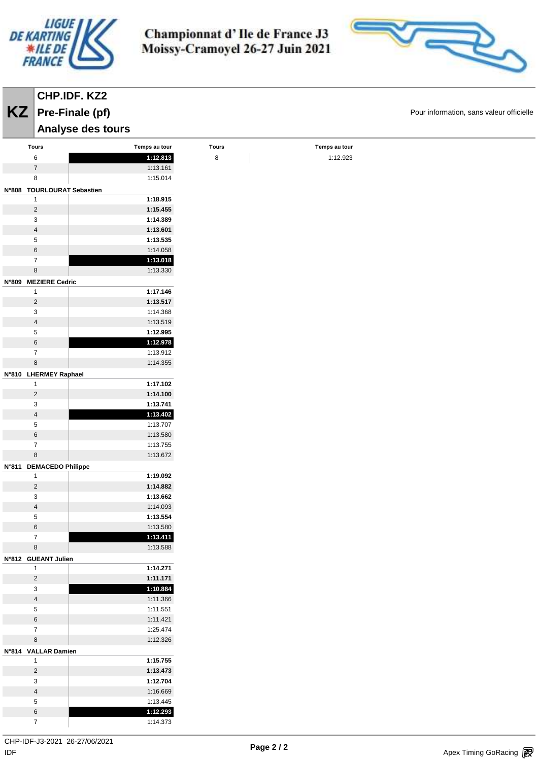

**CHP.IDF. KZ2 Pre-Finale (pf)**

Championnat d'Ile de France J3 Moissy-Cramoyel 26-27 Juin 2021



**KZ** Pre-Finale (pf) **COVID-TIME** Pour information, sans valeur officielle

|                              | Analyse des tours |              |               |  |
|------------------------------|-------------------|--------------|---------------|--|
| Tours                        | Temps au tour     | <b>Tours</b> | Temps au tour |  |
| $\,6\,$                      | 1:12.813          | $\bf 8$      | 1:12.923      |  |
| $\boldsymbol{7}$             | 1:13.161          |              |               |  |
| $\bf 8$                      | 1:15.014          |              |               |  |
| N°808 TOURLOURAT Sebastien   |                   |              |               |  |
| $\mathbf{1}$                 | 1:18.915          |              |               |  |
| $\sqrt{2}$                   | 1:15.455          |              |               |  |
| $\sqrt{3}$                   | 1:14.389          |              |               |  |
| $\overline{\mathbf{4}}$      | 1:13.601          |              |               |  |
| $\,$ 5 $\,$                  | 1:13.535          |              |               |  |
| $\,6\,$                      | 1:14.058          |              |               |  |
| $\overline{7}$               | 1:13.018          |              |               |  |
| $\bf 8$                      | 1:13.330          |              |               |  |
| N°809 MEZIERE Cedric         |                   |              |               |  |
| $\mathbf{1}$                 | 1:17.146          |              |               |  |
| $\sqrt{2}$                   | 1:13.517          |              |               |  |
| $\sqrt{3}$                   | 1:14.368          |              |               |  |
| $\overline{\mathbf{4}}$      | 1:13.519          |              |               |  |
| $\,$ 5 $\,$                  | 1:12.995          |              |               |  |
| $\,6\,$                      | 1:12.978          |              |               |  |
| $\overline{7}$               | 1:13.912          |              |               |  |
| $\bf 8$                      | 1:14.355          |              |               |  |
|                              |                   |              |               |  |
| N°810 LHERMEY Raphael        | 1:17.102          |              |               |  |
| $\mathbf{1}$                 |                   |              |               |  |
| $\sqrt{2}$                   | 1:14.100          |              |               |  |
| 3<br>$\overline{\mathbf{4}}$ | 1:13.741          |              |               |  |
|                              | 1:13.402          |              |               |  |
| $\,$ 5 $\,$                  | 1:13.707          |              |               |  |
| $\,$ 6 $\,$                  | 1:13.580          |              |               |  |
| $\overline{7}$               | 1:13.755          |              |               |  |
| $\bf 8$                      | 1:13.672          |              |               |  |
| N°811 DEMACEDO Philippe      |                   |              |               |  |
| $\mathbf{1}$                 | 1:19.092          |              |               |  |
| $\overline{2}$               | 1:14.882          |              |               |  |
| $\mathbf 3$                  | 1:13.662          |              |               |  |
| $\overline{\mathbf{4}}$      | 1:14.093          |              |               |  |
| $\,$ 5 $\,$                  | 1:13.554          |              |               |  |
| $\,$ 6 $\,$                  | 1:13.580          |              |               |  |
| $\overline{7}$               | 1:13.411          |              |               |  |
| $\bf 8$                      | 1:13.588          |              |               |  |
| N°812 GUEANT Julien          |                   |              |               |  |
| $\mathbf{1}$                 | 1:14.271          |              |               |  |
| $\overline{2}$               | 1:11.171          |              |               |  |
| $\mathbf{3}$                 | 1:10.884          |              |               |  |
| $\overline{a}$               | 1:11.366          |              |               |  |
| $\,$ 5 $\,$                  | 1:11.551          |              |               |  |
| $\,6\,$                      | 1:11.421          |              |               |  |
| $\overline{7}$               | 1:25.474          |              |               |  |
| $\bf8$                       | 1:12.326          |              |               |  |
| N°814 VALLAR Damien          |                   |              |               |  |
| $\mathbf{1}$                 | 1:15.755          |              |               |  |
| $\overline{2}$               | 1:13.473          |              |               |  |
| $\mathbf{3}$                 | 1:12.704          |              |               |  |
| $\overline{4}$               | 1:16.669          |              |               |  |
| $\sqrt{5}$                   | 1:13.445          |              |               |  |
| $\bf 6$                      | 1:12.293          |              |               |  |
| $\boldsymbol{7}$             | 1:14.373          |              |               |  |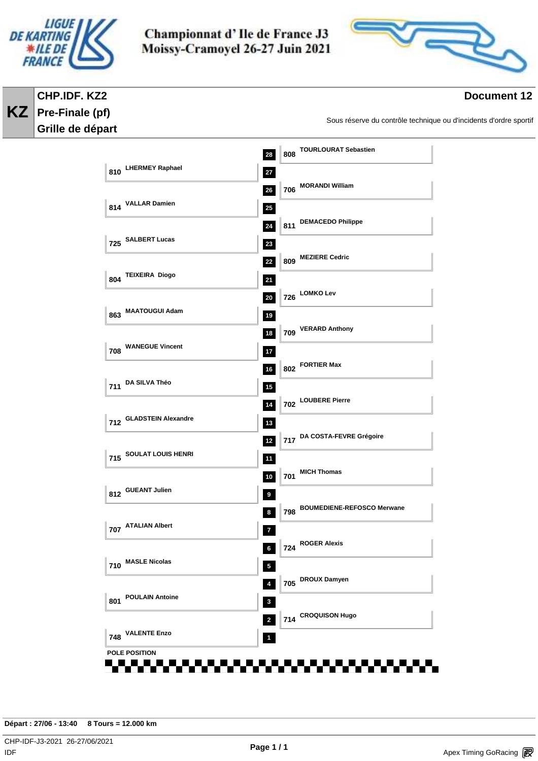

**CHP.IDF. KZ2 Pre-Finale (pf) Grille de départ** 

**KZ**

Championnat d'Ile de France J3 Moissy-Cramoyel 26-27 Juin 2021



### **Document 12**

Sous réserve du contrôle technique ou d'incidents d'ordre sportif

|                               | 808 TOURLOURAT Sebastien<br>28                          |
|-------------------------------|---------------------------------------------------------|
| 810 LHERMEY Raphael           | 27<br>706 MORANDI William                               |
| 814 VALLAR Damien             | 26<br>$25\phantom{.0}$                                  |
|                               | 811 DEMACEDO Philippe<br>24                             |
| 725 SALBERT Lucas             | 23                                                      |
| 804 TEIXEIRA Diogo            | 809 MEZIERE Cedric<br>22<br>21                          |
|                               | 726 LOMKO Lev<br>20                                     |
| 863 MAATOUGUI Adam            | 19                                                      |
| <b>708 WANEGUE Vincent</b>    | 709 VERARD Anthony<br>18                                |
|                               | 17<br>802 FORTIER Max<br>16                             |
| 711 DA SILVA Théo             | $15\phantom{.0}$                                        |
| 712 GLADSTEIN Alexandre       | 702 LOUBERE Pierre<br>14                                |
|                               | $13$<br>717 DA COSTA-FEVRE Grégoire<br>$12$             |
| 715 SOULAT LOUIS HENRI        | $11$                                                    |
| 812 GUEANT Julien             | 701 MICH Thomas<br>10                                   |
|                               | $\boldsymbol{9}$<br>798 BOUMEDIENE-REFOSCO Merwane<br>8 |
| 707 ATALIAN Albert            | 7                                                       |
| <b>MASLE Nicolas</b>          | $\frac{1}{2}$ 724 ROGER Alexis<br>6 <sup>1</sup>        |
| 710                           | $\overline{\mathbf{5}}$<br>705 DROUX Damyen<br>4        |
| <b>POULAIN Antoine</b><br>801 | $\mathbf 3$                                             |
|                               | 714 CROQUISON Hugo<br>$\overline{2}$                    |
| <b>VALENTE Enzo</b><br>748    | $\mathbf 1$                                             |

**Départ : 27/06 - 13:40 8 Tours = 12.000 km**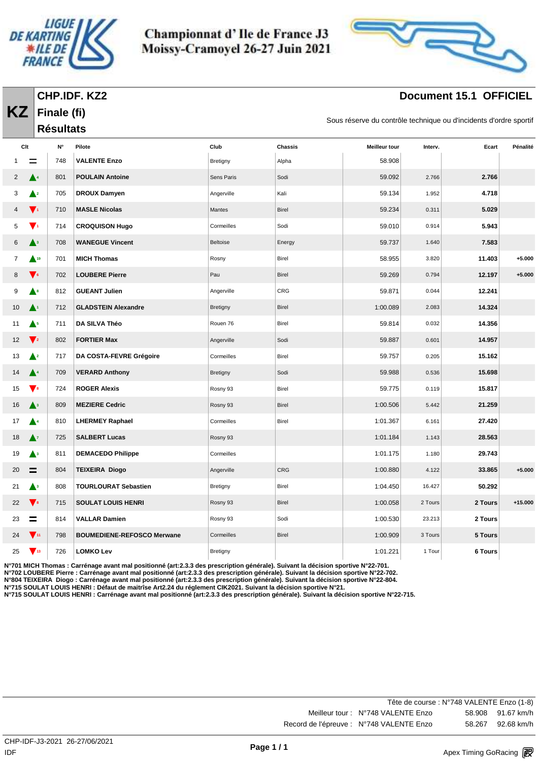

**Finale (fi)**

**KZ**

Championnat d'Ile de France J3 Moissy-Cramoyel 26-27 Juin 2021



# **Document 15.1 OFFICIEL**

Sous réserve du contrôle technique ou d'incidents d'ordre sportif

|                |                                    | <b>Résultats</b>   |                                   |            |                |                      | 55      |         |           |
|----------------|------------------------------------|--------------------|-----------------------------------|------------|----------------|----------------------|---------|---------|-----------|
| Clt            |                                    | $\mathsf{N}^\circ$ | Pilote                            | Club       | <b>Chassis</b> | <b>Meilleur tour</b> | Interv. | Ecart   | Pénalité  |
|                |                                    | 748                | <b>VALENTE Enzo</b>               | Bretigny   | Alpha          | 58.908               |         |         |           |
| $\overline{2}$ | $\blacktriangle^4$                 | 801                | <b>POULAIN Antoine</b>            | Sens Paris | Sodi           | 59.092               | 2.766   | 2.766   |           |
| 3              | $\blacktriangle^2$                 | 705                | <b>DROUX Damyen</b>               | Angerville | Kali           | 59.134               | 1.952   | 4.718   |           |
| 4              | $\mathbf{V}^{\mathbf{1}}$          | 710                | <b>MASLE Nicolas</b>              | Mantes     | <b>Birel</b>   | 59.234               | 0.311   | 5.029   |           |
| 5              | $\mathbf{V}^{\mathbf{1}}$          | 714                | <b>CROQUISON Hugo</b>             | Cormeilles | Sodi           | 59.010               | 0.914   | 5.943   |           |
| 6              | $\blacktriangle^3$                 | 708                | <b>WANEGUE Vincent</b>            | Beltoise   | Energy         | 59.737               | 1.640   | 7.583   |           |
| 7              | $\triangle$ <sup>19</sup>          | 701                | <b>MICH Thomas</b>                | Rosny      | Birel          | 58.955               | 3.820   | 11.403  | $+5.000$  |
| 8              | $\blacktriangledown_{\mathbf{6}}$  | 702                | <b>LOUBERE Pierre</b>             | Pau        | Birel          | 59.269               | 0.794   | 12.197  | $+5.000$  |
| 9              | $\blacktriangle^s$                 | 812                | <b>GUEANT Julien</b>              | Angerville | CRG            | 59.871               | 0.044   | 12.241  |           |
| 10             | $\blacktriangle^1$                 | 712                | <b>GLADSTEIN Alexandre</b>        | Bretigny   | Birel          | 1:00.089             | 2.083   | 14.324  |           |
| 11             | $\blacktriangle^5$                 | 711                | DA SILVA Théo                     | Rouen 76   | Birel          | 59.814               | 0.032   | 14.356  |           |
| 12             | $\blacktriangledown_2$             | 802                | <b>FORTIER Max</b>                | Angerville | Sodi           | 59.887               | 0.601   | 14.957  |           |
| 13             | $\blacktriangle^2$                 | 717                | DA COSTA-FEVRE Grégoire           | Cormeilles | Birel          | 59.757               | 0.205   | 15.162  |           |
| 14             | $\blacktriangle^4$                 | 709                | <b>VERARD Anthony</b>             | Bretigny   | Sodi           | 59.988               | 0.536   | 15.698  |           |
| 15             | $\blacktriangledown$               | 724                | <b>ROGER Alexis</b>               | Rosny 93   | Birel          | 59.775               | 0.119   | 15.817  |           |
| 16             | $\blacktriangle^3$                 | 809                | <b>MEZIERE Cedric</b>             | Rosny 93   | <b>Birel</b>   | 1:00.506             | 5.442   | 21.259  |           |
| 17             | $\blacktriangle^4$                 | 810                | <b>LHERMEY Raphael</b>            | Cormeilles | Birel          | 1:01.367             | 6.161   | 27.420  |           |
| 18             | $\blacktriangle^7$                 | 725                | <b>SALBERT Lucas</b>              | Rosny 93   |                | 1:01.184             | 1.143   | 28.563  |           |
| 19             | $\blacktriangle^3$                 | 811                | <b>DEMACEDO Philippe</b>          | Cormeilles |                | 1:01.175             | 1.180   | 29.743  |           |
| 20             | $\equiv$                           | 804                | <b>TEIXEIRA Diogo</b>             | Angerville | <b>CRG</b>     | 1:00.880             | 4.122   | 33.865  | $+5.000$  |
| 21             | $\blacktriangle^3$                 | 808                | <b>TOURLOURAT Sebastien</b>       | Bretigny   | Birel          | 1:04.450             | 16.427  | 50.292  |           |
| 22             | $\blacktriangledown$               | 715                | <b>SOULAT LOUIS HENRI</b>         | Rosny 93   | Birel          | 1:00.058             | 2 Tours | 2 Tours | $+15.000$ |
| 23             | =                                  | 814                | <b>VALLAR Damien</b>              | Rosny 93   | Sodi           | 1:00.530             | 23.213  | 2 Tours |           |
| 24             | $\sqrt{11}$                        | 798                | <b>BOUMEDIENE-REFOSCO Merwane</b> | Cormeilles | <b>Birel</b>   | 1:00.909             | 3 Tours | 5 Tours |           |
| 25             | $\blacktriangledown$ <sub>13</sub> | 726                | <b>LOMKO Lev</b>                  | Bretigny   |                | 1:01.221             | 1 Tour  | 6 Tours |           |

**N°701 MICH Thomas : Carrénage avant mal positionné (art:2.3.3 des prescription générale). Suivant la décision sportive N°22-701.**

**N°702 LOUBERE Pierre : Carrénage avant mal positionné (art:2.3.3 des prescription générale). Suivant la décision sportive N°22-702.**

**N°804 TEIXEIRA Diogo : Carrénage avant mal positionné (art:2.3.3 des prescription générale). Suivant la décision sportive N°22-804.**

**N°715 SOULAT LOUIS HENRI : Défaut de maitrîse Art2.24 du réglement CIK2021. Suivant la décision sportive N°21. N°715 SOULAT LOUIS HENRI : Carrénage avant mal positionné (art:2.3.3 des prescription générale). Suivant la décision sportive N°22-715.**

| Tête de course : N°748 VALENTE Enzo (1-8) |        |                   |
|-------------------------------------------|--------|-------------------|
| Meilleur tour: N°748 VALENTE Enzo         |        | 58.908 91.67 km/h |
| Record de l'épreuve : N°748 VALENTE Enzo  | 58.267 | 92.68 km/h        |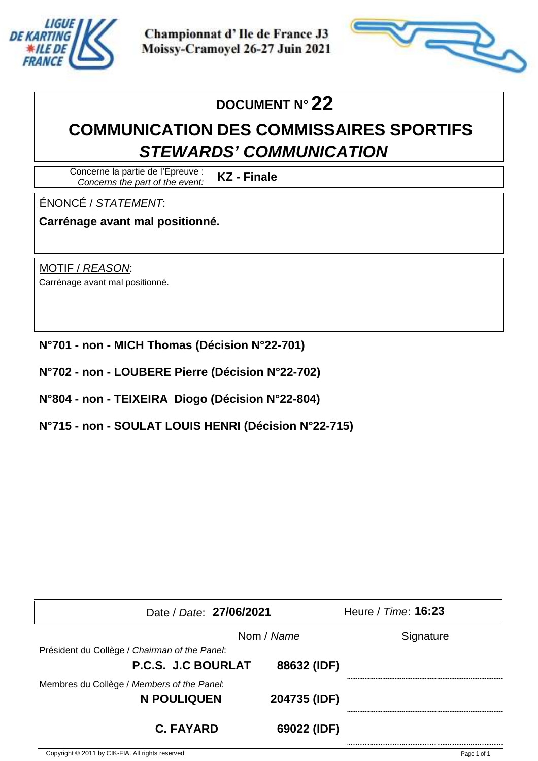



# **DOCUMENT N° 22**

# **COMMUNICATION DES COMMISSAIRES SPORTIFS STEWARDS' COMMUNICATION**

Concerne la partie de l'Épreuve : Concerns the part of the event: **KZ - Finale**

ÉNONCÉ / STATEMENT:

**Carrénage avant mal positionné.**

MOTIF / REASON: Carrénage avant mal positionné.

- **N°701 non MICH Thomas (Décision N°22-701)**
- **N°702 non LOUBERE Pierre (Décision N°22-702)**
- **N°804 non TEIXEIRA Diogo (Décision N°22-804)**
- **N°715 non SOULAT LOUIS HENRI (Décision N°22-715)**

| Date / Date: 27/06/2021                       |              | Heure / Time: 16:23 |
|-----------------------------------------------|--------------|---------------------|
|                                               | Nom / Name   | Signature           |
| Président du Collège / Chairman of the Panel: |              |                     |
| P.C.S. J.C BOURLAT                            | 88632 (IDF)  |                     |
| Membres du Collège / Members of the Panel:    |              |                     |
| N POULIQUEN                                   | 204735 (IDF) |                     |
|                                               |              |                     |
| <b>C. FAYARD</b>                              | 69022 (IDF)  |                     |
|                                               |              |                     |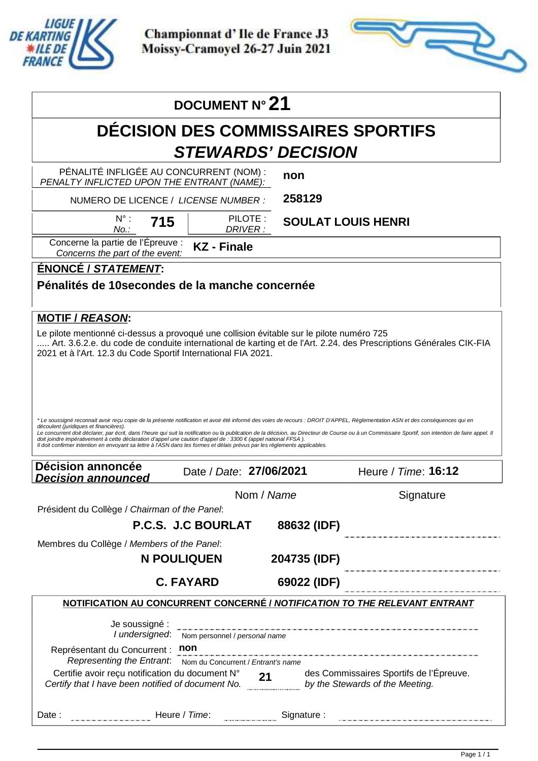

Apex Timing - timing solutions and services https://www.apex-timing.com/

Championnat d'Ile de France J3 Moissy-Cramoyel 26-27 Juin 2021



|                                                                                                                                                                                                                                                                                                                                                                                                                                                                                                      | DOCUMENT N° 21                                                             |                             |                                                                                                                                                                                                                             |
|------------------------------------------------------------------------------------------------------------------------------------------------------------------------------------------------------------------------------------------------------------------------------------------------------------------------------------------------------------------------------------------------------------------------------------------------------------------------------------------------------|----------------------------------------------------------------------------|-----------------------------|-----------------------------------------------------------------------------------------------------------------------------------------------------------------------------------------------------------------------------|
|                                                                                                                                                                                                                                                                                                                                                                                                                                                                                                      | <b>DÉCISION DES COMMISSAIRES SPORTIFS</b>                                  |                             |                                                                                                                                                                                                                             |
|                                                                                                                                                                                                                                                                                                                                                                                                                                                                                                      | <b>STEWARDS' DECISION</b>                                                  |                             |                                                                                                                                                                                                                             |
| PÉNALITÉ INFLIGÉE AU CONCURRENT (NOM) :<br>PENALTY INFLICTED UPON THE ENTRANT (NAME):                                                                                                                                                                                                                                                                                                                                                                                                                |                                                                            | non                         |                                                                                                                                                                                                                             |
| NUMERO DE LICENCE / LICENSE NUMBER :                                                                                                                                                                                                                                                                                                                                                                                                                                                                 |                                                                            | 258129                      |                                                                                                                                                                                                                             |
| $N^{\circ}$ :<br>715<br>No.:                                                                                                                                                                                                                                                                                                                                                                                                                                                                         | PILOTE:<br>DRIVER:                                                         | <b>SOULAT LOUIS HENRI</b>   |                                                                                                                                                                                                                             |
| Concerne la partie de l'Épreuve :<br>Concerns the part of the event:                                                                                                                                                                                                                                                                                                                                                                                                                                 | <b>KZ</b> - Finale                                                         |                             |                                                                                                                                                                                                                             |
| <b>ÉNONCÉ / STATEMENT:</b>                                                                                                                                                                                                                                                                                                                                                                                                                                                                           |                                                                            |                             |                                                                                                                                                                                                                             |
| Pénalités de 10 secondes de la manche concernée<br><b>MOTIF / REASON:</b>                                                                                                                                                                                                                                                                                                                                                                                                                            |                                                                            |                             |                                                                                                                                                                                                                             |
| Le pilote mentionné ci-dessus a provoqué une collision évitable sur le pilote numéro 725<br>2021 et à l'Art. 12.3 du Code Sportif International FIA 2021.                                                                                                                                                                                                                                                                                                                                            |                                                                            |                             | Art. 3.6.2.e. du code de conduite international de karting et de l'Art. 2.24. des Prescriptions Générales CIK-FIA                                                                                                           |
|                                                                                                                                                                                                                                                                                                                                                                                                                                                                                                      |                                                                            |                             |                                                                                                                                                                                                                             |
| * Le soussigné reconnait avoir reçu copie de la présente notification et avoir été informé des voies de recours : DROIT D'APPEL, Réglementation ASN et des conséquences qui en<br>découlent (juridiques et financières).<br>doit joindre impérativement à cette déclaration d'appel une caution d'appel de : 3300 € (appel national FFSA).<br>Il doit confirmer intention en envoyant sa lettre à l'ASN dans les formes et délais prévus par les règlements applicables.<br><b>Décision annoncée</b> |                                                                            |                             | Le concurrent doit déclarer, par écrit, dans l'heure qui suit la notification ou la publication de la décision, au Directeur de Course ou à un Commissaire Sportif, son intention de faire appel. Il<br>Heure / Time: 16:12 |
| <b>Decision announced</b>                                                                                                                                                                                                                                                                                                                                                                                                                                                                            | Date / Date: 27/06/2021                                                    |                             |                                                                                                                                                                                                                             |
| Président du Collège / Chairman of the Panel:                                                                                                                                                                                                                                                                                                                                                                                                                                                        | Nom / Name                                                                 |                             | Signature                                                                                                                                                                                                                   |
|                                                                                                                                                                                                                                                                                                                                                                                                                                                                                                      | P.C.S. J.C BOURLAT                                                         | 88632 (IDF)                 |                                                                                                                                                                                                                             |
| Membres du Collège / Members of the Panel:                                                                                                                                                                                                                                                                                                                                                                                                                                                           |                                                                            |                             |                                                                                                                                                                                                                             |
|                                                                                                                                                                                                                                                                                                                                                                                                                                                                                                      | <b>N POULIQUEN</b><br><b>C. FAYARD</b>                                     | 204735 (IDF)<br>69022 (IDF) |                                                                                                                                                                                                                             |
|                                                                                                                                                                                                                                                                                                                                                                                                                                                                                                      |                                                                            |                             | NOTIFICATION AU CONCURRENT CONCERNÉ / NOTIFICATION TO THE RELEVANT ENTRANT                                                                                                                                                  |
| Je soussigné :<br>I undersigned:<br>Représentant du Concurrent :<br>Representing the Entrant.<br>Certifie avoir reçu notification du document N°<br>Certifie avoir reçu notification du document $N^{\circ}$ 21<br>Certify that I have been notified of document No.                                                                                                                                                                                                                                 | Nom personnel / personal name<br>non<br>Nom du Concurrent / Entrant's name |                             | des Commissaires Sportifs de l'Épreuve.<br>by the Stewards of the Meeting.                                                                                                                                                  |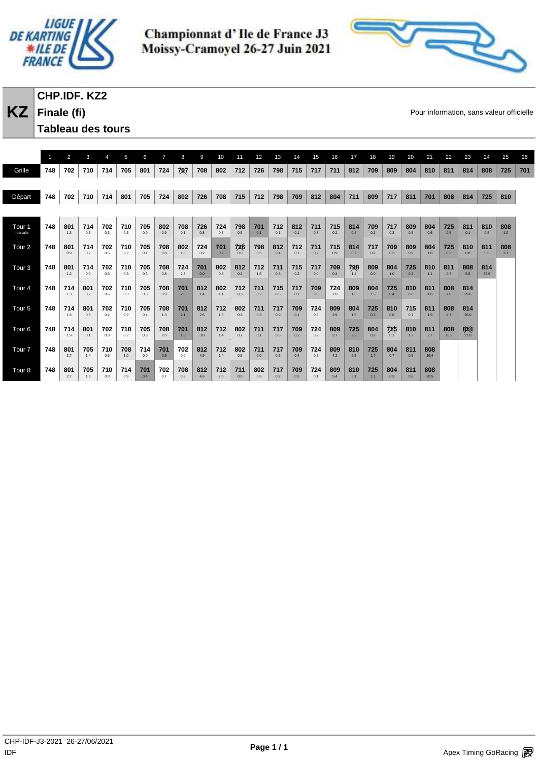



# **CHP.IDF. KZ2**

**Finale (fi) Tableau des tours** 

**KZ** Finale (fi) **Example 19** Pour information, sans valeur officielle

|                      |     | 2          | 3          |            | 5          | 6          | $\overline{7}$ | 8          | 9          | 10         | 11         | 12         | 13         | 14         | 15         | 16         | 17         | 18         | 19         | 20         | 21          | 22          | 23          | 24          | 25         | 26  |
|----------------------|-----|------------|------------|------------|------------|------------|----------------|------------|------------|------------|------------|------------|------------|------------|------------|------------|------------|------------|------------|------------|-------------|-------------|-------------|-------------|------------|-----|
| Grille               | 748 | 702        | 710        | 714        | 705        | 801        | 724            | 707        | 708        | 802        | 712        | 726        | 798        | 715        | 717        | 711        | 812        | 709        | 809        | 804        | 810         | 811         | 814         | 808         | 725        | 701 |
|                      |     |            |            |            |            |            |                |            |            |            |            |            |            |            |            |            |            |            |            |            |             |             |             |             |            |     |
| Départ               | 748 | 702        | 710        | 714        | 801        | 705        | 724            | 802        | 726        | 708        | 715        | 712        | 798        | 709        | 812        | 804        | 711        | 809        | 717        | 811        | 701         | 808         | 814         | 725         | 810        |     |
|                      |     |            |            |            |            |            |                |            |            |            |            |            |            |            |            |            |            |            |            |            |             |             |             |             |            |     |
| Tour 1<br>Intervalle | 748 | 801<br>1.3 | 714<br>0.3 | 702<br>0.3 | 710<br>0.3 | 705<br>0.0 | 802<br>0.9     | 708<br>0.1 | 726<br>0.8 | 724<br>0.3 | 798<br>0.5 | 701<br>0.1 | 712<br>0.1 | 812<br>0.1 | 711<br>0.3 | 715<br>0.2 | 814<br>0.4 | 709<br>0.2 | 717<br>0.3 | 809<br>0.5 | 804<br>0.6  | 725<br>0.5  | 811<br>0.1  | 810<br>0.5  | 808<br>1.0 |     |
| Tour <sub>2</sub>    | 748 | 801<br>0.9 | 714<br>0.2 | 702<br>0.5 | 710<br>0.2 | 705<br>0.1 | 708<br>0.8     | 802<br>1.3 | 724<br>0.2 | 701<br>0.2 | 726<br>0.0 | 798<br>0.5 | 812<br>0.4 | 712<br>0.1 | 711<br>0.2 | 715<br>0.9 | 814<br>0.2 | 717<br>0.2 | 709<br>0.3 | 809<br>0.9 | 804<br>1.0  | 725<br>0.2  | 810<br>0.8  | 811<br>0.5  | 808<br>3.1 |     |
| Tour <sub>3</sub>    | 748 | 801<br>1.2 | 714<br>0.0 | 702<br>0.5 | 710<br>0.3 | 705<br>0.3 | 708<br>0.8     | 724<br>2.3 | 701<br>0.0 | 802<br>0.8 | 812<br>0.2 | 712<br>1.5 | 711<br>0.5 | 715<br>0.2 | 717<br>0.0 | 709<br>0.4 | 798<br>1.4 | 809<br>0.0 | 804<br>1.0 | 725<br>0.2 | 810<br>1.1  | 811<br>0.7  | 808<br>5.6  | 814<br>32.9 |            |     |
| Tour <sub>4</sub>    | 748 | 714<br>1.3 | 801<br>0.2 | 702<br>0.5 | 710<br>0.3 | 705<br>0.3 | 708<br>0.9     | 701<br>2.6 | 812<br>1.4 | 802<br>1.1 | 712<br>0.3 | 711<br>0.2 | 715<br>0.5 | 717<br>0.1 | 709<br>0.8 | 724<br>1.0 | 809<br>1.3 | 804<br>1.5 | 725<br>0.4 | 810<br>0.6 | 811<br>1.8  | 808<br>7.0  | 814<br>29.6 |             |            |     |
| Tour <sub>5</sub>    | 748 | 714<br>1.6 | 801<br>0.3 | 702<br>0.2 | 710<br>0.2 | 705<br>0.4 | 708<br>1.3     | 701<br>2.1 | 812<br>2.6 | 712<br>1.5 | 802<br>0.3 | 711<br>0.3 | 717<br>0.9 | 709<br>0.1 | 724<br>0.3 | 809<br>2.9 | 804<br>1.5 | 725<br>0.3 | 810<br>0.8 | 715<br>0.7 | 811<br>1.9  | 808<br>9.7  | 814<br>26.0 |             |            |     |
| Tour <sub>6</sub>    | 748 | 714<br>1.9 | 801<br>0.1 | 702<br>0.3 | 710<br>0.2 | 705<br>0.3 | 708<br>2.0     | 701<br>1.3 | 812<br>3.8 | 712<br>1.4 | 802<br>0.7 | 711<br>0.1 | 717<br>0.6 | 709<br>0.2 | 724<br>0.2 | 809<br>3.7 | 725<br>2.2 | 804<br>0.2 | 7x5<br>0.1 | 810<br>1.2 | 811<br>2.7  | 808<br>13.2 | 8X4<br>21.0 |             |            |     |
| Tour <sub>7</sub>    | 748 | 801<br>2.7 | 705<br>1.4 | 710<br>0.6 | 708<br>1.0 | 714<br>0.0 | 701<br>0.5     | 702<br>0.0 | 812<br>4.9 | 712<br>1.4 | 802<br>0.5 | 711<br>0.0 | 717<br>0.6 | 709<br>0.4 | 724<br>0.2 | 809<br>4.2 | 810<br>5.5 | 725<br>1.7 | 804<br>0.7 | 811<br>0.5 | 808<br>16.4 |             |             |             |            |     |
| Tour <sub>8</sub>    | 748 | 801<br>2.7 | 705<br>1.9 | 710<br>0.3 | 714<br>0.9 | 701<br>0.4 | 702<br>0.7     | 708<br>0.3 | 812<br>4.6 | 712<br>2.0 | 711<br>0.0 | 802<br>0.6 | 717<br>0.2 | 709<br>0.5 | 724<br>0.1 | 809<br>5.4 | 810<br>6.1 | 725<br>1.1 | 804<br>0.3 | 811<br>0.8 | 808<br>20.5 |             |             |             |            |     |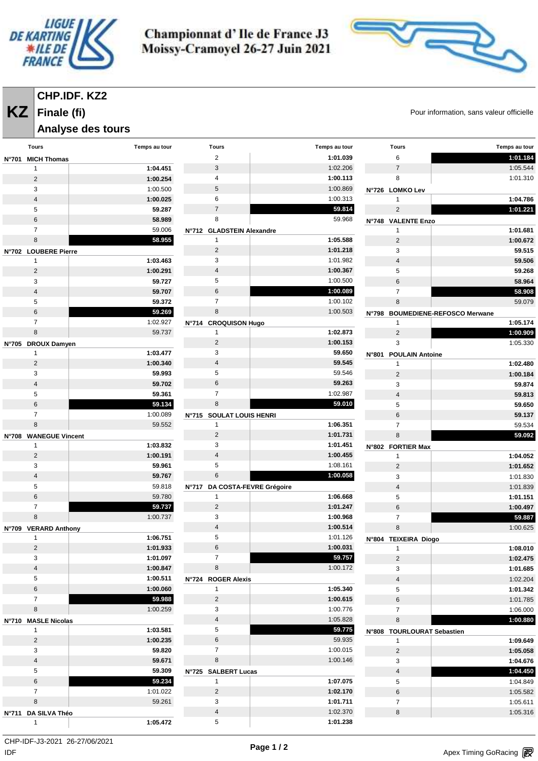



#### **CHP.IDF. KZ2**

#### **Finale (fi)**

#### **Analyse des tours**

**KZ** Finale (fi) **Example 19** Pour information, sans valeur officielle

|                | <b>Tours</b>                          | Temps au tour    | <b>Tours</b>                                  | Temps au tour        | <b>Tours</b>                   | Temps au tour                    |
|----------------|---------------------------------------|------------------|-----------------------------------------------|----------------------|--------------------------------|----------------------------------|
| <b>N°701</b>   | <b>MICH Thomas</b>                    |                  | $\overline{2}$                                | 1:01.039             | 6                              | 1:01.184                         |
|                | $\mathbf{1}$                          | 1:04.451         | 3                                             | 1:02.206             | $\overline{7}$                 | 1:05.544                         |
|                | $\overline{2}$                        | 1:00.254         | 4                                             | 1:00.113             | 8                              | 1:01.310                         |
|                | 3                                     | 1:00.500         | 5                                             | 1:00.869             | N°726 LOMKO Lev                |                                  |
|                | $\sqrt{4}$                            | 1:00.025         | 6                                             | 1:00.313             | 1                              | 1:04.786                         |
|                | 5                                     | 59.287           | $\overline{7}$                                | 59.814               | $\overline{2}$                 | 1:01.221                         |
|                | 6                                     | 58.989           | 8                                             | 59.968               | N°748 VALENTE Enzo             |                                  |
|                | $\overline{7}$                        | 59.006           | N°712 GLADSTEIN Alexandre                     |                      | 1                              | 1:01.681                         |
|                | 8                                     | 58.955           | $\mathbf{1}$                                  | 1:05.588             | $\sqrt{2}$                     | 1:00.672                         |
|                | N°702 LOUBERE Pierre                  |                  | $\overline{2}$                                | 1:01.218             | 3                              | 59.515                           |
|                | $\mathbf{1}$                          | 1:03.463         | 3                                             | 1:01.982             | $\overline{4}$                 | 59.506                           |
|                | $\mathbf 2$                           | 1:00.291         | 4                                             | 1:00.367             | 5                              | 59.268                           |
|                | 3                                     | 59.727           | 5                                             | 1:00.500             | $6\phantom{1}$                 | 58.964                           |
|                | $\overline{a}$                        | 59.707           | 6                                             | 1:00.089             | $\overline{7}$                 | 58.908                           |
|                | $\sqrt{5}$                            | 59.372           | $\overline{7}$                                | 1:00.102             | 8                              | 59.079                           |
|                | 6                                     | 59.269           | 8                                             | 1:00.503             |                                | N°798 BOUMEDIENE-REFOSCO Merwane |
|                | $\overline{7}$                        | 1:02.927         | N°714 CROQUISON Hugo                          |                      | $\mathbf{1}$                   | 1:05.174                         |
|                | 8                                     | 59.737           | $\mathbf{1}$                                  | 1:02.873             | $\overline{2}$                 | 1:00.909                         |
| $N^{\circ}705$ | <b>DROUX Damyen</b>                   |                  | $\overline{2}$                                | 1:00.153             | 3                              | 1:05.330                         |
|                | $\mathbf{1}$                          | 1:03.477         | 3                                             | 59.650               | N°801 POULAIN Antoine          |                                  |
|                | $\overline{2}$                        | 1:00.340         | $\overline{4}$                                | 59.545               | $\mathbf{1}$                   | 1:02.480                         |
|                | 3                                     | 59.993           | 5                                             | 59.546               | $\overline{2}$                 | 1:00.184                         |
|                | $\overline{4}$                        | 59.702           | 6                                             | 59.263               | 3                              | 59.874                           |
|                | 5                                     | 59.361           | $\overline{7}$                                | 1:02.987             | $\overline{\mathbf{4}}$        | 59.813                           |
|                | 6                                     | 59.134           | 8                                             | 59.010               | 5                              | 59.650                           |
|                | $\overline{7}$                        | 1:00.089         | N°715 SOULAT LOUIS HENRI                      |                      | $6\phantom{1}$                 | 59.137                           |
|                | 8                                     | 59.552           | $\mathbf{1}$                                  | 1:06.351             | $\overline{7}$                 | 59.534                           |
| <b>N°708</b>   | <b>WANEGUE Vincent</b>                |                  | $\overline{2}$                                | 1:01.731             | 8                              | 59.092                           |
|                | $\mathbf{1}$                          | 1:03.832         | 3                                             | 1:01.451             | N°802 FORTIER Max              |                                  |
|                | $\mathbf 2$                           | 1:00.191         | $\overline{4}$<br>5                           | 1:00.455             | $\mathbf{1}$                   | 1:04.052                         |
|                | 3                                     | 59.961<br>59.767 | 6                                             | 1:08.161<br>1:00.058 | $\sqrt{2}$                     | 1:01.652                         |
|                | $\overline{4}$<br>5                   | 59.818           |                                               |                      | 3                              | 1:01.830                         |
|                | $6\phantom{1}6$                       | 59.780           | N°717 DA COSTA-FEVRE Grégoire<br>$\mathbf{1}$ | 1:06.668             | $\sqrt{4}$                     | 1:01.839<br>1:01.151             |
|                | $\overline{7}$                        | 59.737           | $\overline{2}$                                | 1:01.247             | 5<br>$\,6$                     | 1:00.497                         |
|                | 8                                     | 1:00.737         | 3                                             | 1:00.968             | $\overline{7}$                 | 59.887                           |
|                |                                       |                  | $\overline{4}$                                | 1:00.514             | 8                              | 1:00.625                         |
| N°709          | <b>VERARD Anthony</b><br>$\mathbf{1}$ | 1:06.751         | 5                                             | 1:01.126             |                                |                                  |
|                | $\overline{2}$                        | 1:01.933         | 6                                             | 1:00.031             | N°804 TEIXEIRA Diogo           | 1:08.010                         |
|                | 3                                     | 1:01.097         | $\overline{7}$                                | 59.757               | $\mathbf{1}$<br>$\overline{2}$ | 1:02.475                         |
|                | $\sqrt{4}$                            | 1:00.847         | 8                                             | 1:00.172             | 3                              | 1:01.685                         |
|                | 5                                     | 1:00.511         | N°724 ROGER Alexis                            |                      | $\overline{\mathbf{4}}$        | 1:02.204                         |
|                | 6                                     | 1:00.060         | $\mathbf{1}$                                  | 1:05.340             | 5                              | 1:01.342                         |
|                | $\overline{7}$                        | 59.988           | $\overline{2}$                                | 1:00.615             | 6                              | 1:01.785                         |
|                | 8                                     | 1:00.259         | 3                                             | 1:00.776             | $\overline{7}$                 | 1:06.000                         |
|                | N°710 MASLE Nicolas                   |                  | $\overline{\mathbf{4}}$                       | 1:05.828             | 8                              | 1:00.880                         |
|                | $\mathbf{1}$                          | 1:03.581         | 5                                             | 59.775               | N°808 TOURLOURAT Sebastien     |                                  |
|                | $\overline{2}$                        | 1:00.235         | 6                                             | 59.935               | $\mathbf{1}$                   | 1:09.649                         |
|                | 3                                     | 59.820           | $\overline{7}$                                | 1:00.015             | $\overline{2}$                 | 1:05.058                         |
|                | $\sqrt{4}$                            | 59.671           | $\bf 8$                                       | 1:00.146             | 3                              | 1:04.676                         |
|                | 5                                     | 59.309           | N°725 SALBERT Lucas                           |                      | $\overline{\mathbf{4}}$        | 1:04.450                         |
|                | 6                                     | 59.234           | $\mathbf{1}$                                  | 1:07.075             | 5                              | 1:04.849                         |
|                | $\overline{7}$                        | 1:01.022         | $\overline{2}$                                | 1:02.170             | 6                              | 1:05.582                         |
|                | 8                                     | 59.261           | 3                                             | 1:01.711             | $\overline{7}$                 | 1:05.611                         |
|                | Nº711 DA SILVA Théo                   |                  | 4                                             | 1:02.370             | 8                              | 1:05.316                         |
|                | 1                                     | 1:05.472         | 5                                             | 1:01.238             |                                |                                  |
|                |                                       |                  |                                               |                      |                                |                                  |

 $\mathsf{IDF}$ CHP-IDF-J3-2021 26-27/06/2021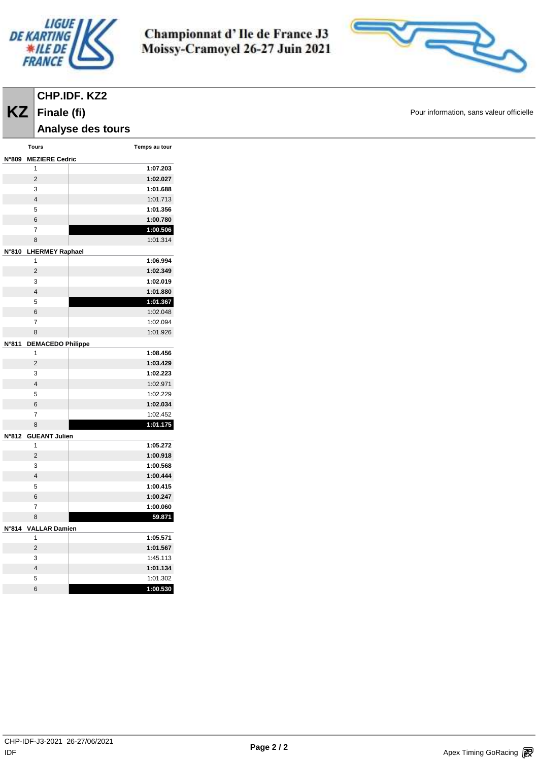

**Analyse des tours** 

**Finale (fi)**

Championnat d'Ile de France J3 Moissy-Cramoyel 26-27 Juin 2021



**KZ** Finale (fi) **Example 19** Pour information, sans valeur officielle

|       | <b>Tours</b>             | Temps au tour |
|-------|--------------------------|---------------|
| N°809 | <b>MEZIERE Cedric</b>    |               |
|       | 1                        | 1:07.203      |
|       | $\overline{2}$           | 1:02.027      |
|       | 3                        | 1:01.688      |
|       | $\overline{\mathbf{4}}$  | 1:01.713      |
|       | 5                        | 1:01.356      |
|       | 6                        | 1:00.780      |
|       | $\overline{7}$           | 1:00.506      |
|       | 8                        | 1:01.314      |
| N°810 | <b>LHERMEY Raphael</b>   |               |
|       | 1                        | 1:06.994      |
|       | $\overline{2}$           | 1:02.349      |
|       | 3                        | 1:02.019      |
|       | 4                        | 1:01.880      |
|       | 5                        | 1:01.367      |
|       | 6                        | 1:02.048      |
|       | 7                        | 1:02.094      |
|       | 8                        | 1:01.926      |
| N°811 | <b>DEMACEDO Philippe</b> |               |
|       | 1                        | 1:08.456      |
|       | $\overline{2}$           | 1:03.429      |
|       | 3                        | 1:02.223      |
|       | 4                        | 1:02.971      |
|       | 5                        | 1:02.229      |
|       | 6                        | 1:02.034      |
|       | 7                        | 1:02.452      |
|       | 8                        | 1:01.175      |
| N°812 | <b>GUEANT Julien</b>     |               |
|       | 1                        | 1:05.272      |
|       | $\overline{2}$           | 1:00.918      |
|       | 3                        | 1:00.568      |
|       | $\overline{4}$           | 1:00.444      |
|       | 5                        | 1:00.415      |
|       | 6                        | 1:00.247      |
|       | $\overline{7}$           | 1:00.060      |
|       | 8                        | 59.871        |
|       | N°814 VALLAR Damien      |               |
|       | 1                        | 1:05.571      |
|       | $\overline{2}$           | 1:01.567      |
|       | 3                        | 1:45.113      |
|       | 4                        | 1:01.134      |
|       | 5                        | 1:01.302      |
|       | 6                        | 1:00.530      |